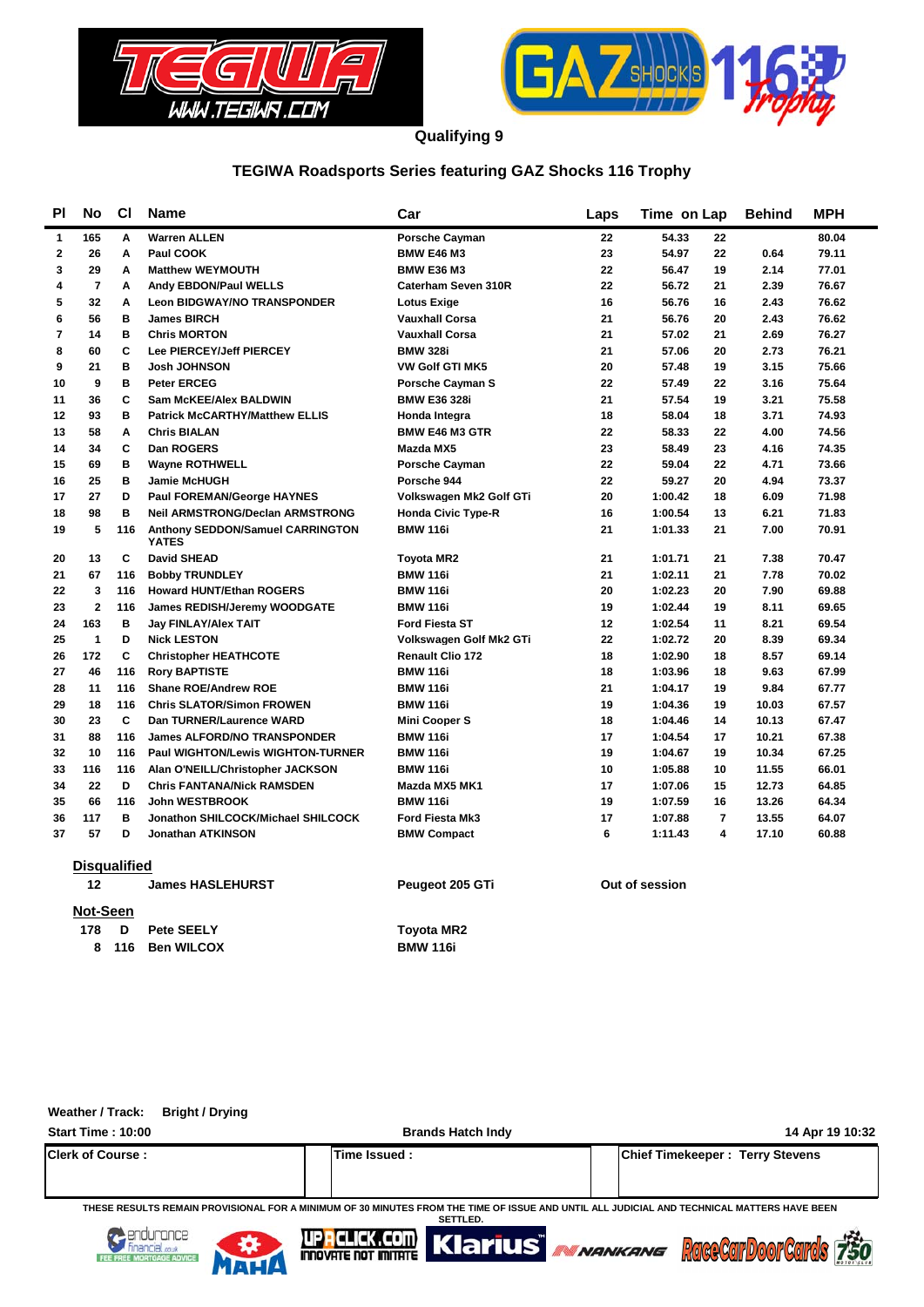



**Qualifying 9**

### **TEGIWA Roadsports Series featuring GAZ Shocks 116 Trophy**

| ΡI           | No                  | <b>CI</b> | <b>Name</b>                                      | Car                        | Laps | Time on Lap    | <b>Behind</b> | MPH   |
|--------------|---------------------|-----------|--------------------------------------------------|----------------------------|------|----------------|---------------|-------|
| 1            | 165                 | Α         | <b>Warren ALLEN</b>                              | <b>Porsche Cayman</b>      | 22   | 54.33<br>22    |               | 80.04 |
| $\mathbf{2}$ | 26                  | Α         | Paul COOK                                        | <b>BMW E46 M3</b>          | 23   | 54.97<br>22    | 0.64          | 79.11 |
| 3            | 29                  | Α         | <b>Matthew WEYMOUTH</b>                          | <b>BMW E36 M3</b>          | 22   | 56.47<br>19    | 2.14          | 77.01 |
| 4            | $\overline{7}$      | Α         | <b>Andy EBDON/Paul WELLS</b>                     | <b>Caterham Seven 310R</b> | 22   | 56.72<br>21    | 2.39          | 76.67 |
| 5            | 32                  | Α         | <b>Leon BIDGWAY/NO TRANSPONDER</b>               | <b>Lotus Exige</b>         | 16   | 56.76<br>16    | 2.43          | 76.62 |
| 6            | 56                  | в         | <b>James BIRCH</b>                               | <b>Vauxhall Corsa</b>      | 21   | 20<br>56.76    | 2.43          | 76.62 |
| 7            | 14                  | в         | <b>Chris MORTON</b>                              | <b>Vauxhall Corsa</b>      | 21   | 57.02<br>21    | 2.69          | 76.27 |
| 8            | 60                  | C         | Lee PIERCEY/Jeff PIERCEY                         | <b>BMW 328i</b>            | 21   | 20<br>57.06    | 2.73          | 76.21 |
| 9            | 21                  | в         | <b>Josh JOHNSON</b>                              | <b>VW Golf GTI MK5</b>     | 20   | 57.48<br>19    | 3.15          | 75.66 |
| 10           | 9                   | в         | <b>Peter ERCEG</b>                               | <b>Porsche Cayman S</b>    | 22   | 57.49<br>22    | 3.16          | 75.64 |
| 11           | 36                  | C         | Sam McKEE/Alex BALDWIN                           | <b>BMW E36 328i</b>        | 21   | 57.54<br>19    | 3.21          | 75.58 |
| 12           | 93                  | в         | <b>Patrick McCARTHY/Matthew ELLIS</b>            | Honda Integra              | 18   | 58.04<br>18    | 3.71          | 74.93 |
| 13           | 58                  | Α         | <b>Chris BIALAN</b>                              | <b>BMW E46 M3 GTR</b>      | 22   | 58.33<br>22    | 4.00          | 74.56 |
| 14           | 34                  | C         | Dan ROGERS                                       | Mazda MX5                  | 23   | 58.49<br>23    | 4.16          | 74.35 |
| 15           | 69                  | в         | <b>Wayne ROTHWELL</b>                            | <b>Porsche Cayman</b>      | 22   | 59.04<br>22    | 4.71          | 73.66 |
| 16           | 25                  | в         | <b>Jamie McHUGH</b>                              | Porsche 944                | 22   | 59.27<br>20    | 4.94          | 73.37 |
| 17           | 27                  | D         | <b>Paul FOREMAN/George HAYNES</b>                | Volkswagen Mk2 Golf GTi    | 20   | 1:00.42<br>18  | 6.09          | 71.98 |
| 18           | 98                  | B         | <b>Neil ARMSTRONG/Declan ARMSTRONG</b>           | <b>Honda Civic Type-R</b>  | 16   | 1:00.54<br>13  | 6.21          | 71.83 |
| 19           | 5                   | 116       | Anthony SEDDON/Samuel CARRINGTON<br><b>YATES</b> | <b>BMW 116i</b>            | 21   | 1:01.33<br>21  | 7.00          | 70.91 |
| 20           | 13                  | C         | <b>David SHEAD</b>                               | <b>Tovota MR2</b>          | 21   | 1:01.71<br>21  | 7.38          | 70.47 |
| 21           | 67                  | 116       | <b>Bobby TRUNDLEY</b>                            | <b>BMW 116i</b>            | 21   | 1:02.11<br>21  | 7.78          | 70.02 |
| 22           | 3                   | 116       | <b>Howard HUNT/Ethan ROGERS</b>                  | <b>BMW 116i</b>            | 20   | 1:02.23<br>20  | 7.90          | 69.88 |
| 23           | $\overline{2}$      | 116       | James REDISH/Jeremy WOODGATE                     | <b>BMW 116i</b>            | 19   | 1:02.44<br>19  | 8.11          | 69.65 |
| 24           | 163                 | в         | <b>Jay FINLAY/Alex TAIT</b>                      | <b>Ford Fiesta ST</b>      | 12   | 1:02.54<br>11  | 8.21          | 69.54 |
| 25           | $\mathbf{1}$        | D         | <b>Nick LESTON</b>                               | Volkswagen Golf Mk2 GTi    | 22   | 1:02.72<br>20  | 8.39          | 69.34 |
| 26           | 172                 | C         | <b>Christopher HEATHCOTE</b>                     | <b>Renault Clio 172</b>    | 18   | 1:02.90<br>18  | 8.57          | 69.14 |
| 27           | 46                  | 116       | <b>Rory BAPTISTE</b>                             | <b>BMW 116i</b>            | 18   | 1:03.96<br>18  | 9.63          | 67.99 |
| 28           | 11                  | 116       | <b>Shane ROE/Andrew ROE</b>                      | <b>BMW 116i</b>            | 21   | 19<br>1:04.17  | 9.84          | 67.77 |
| 29           | 18                  | 116       | <b>Chris SLATOR/Simon FROWEN</b>                 | <b>BMW 116i</b>            | 19   | 1:04.36<br>19  | 10.03         | 67.57 |
| 30           | 23                  | C         | Dan TURNER/Laurence WARD                         | <b>Mini Cooper S</b>       | 18   | 1:04.46<br>14  | 10.13         | 67.47 |
| 31           | 88                  | 116       | <b>James ALFORD/NO TRANSPONDER</b>               | <b>BMW 116i</b>            | 17   | 1:04.54<br>17  | 10.21         | 67.38 |
| 32           | 10                  | 116       | Paul WIGHTON/Lewis WIGHTON-TURNER                | <b>BMW 116i</b>            | 19   | 1:04.67<br>19  | 10.34         | 67.25 |
| 33           | 116                 | 116       | Alan O'NEILL/Christopher JACKSON                 | <b>BMW 116i</b>            | 10   | 1:05.88<br>10  | 11.55         | 66.01 |
| 34           | 22                  | D         | <b>Chris FANTANA/Nick RAMSDEN</b>                | Mazda MX5 MK1              | 17   | 1:07.06<br>15  | 12.73         | 64.85 |
| 35           | 66                  | 116       | <b>John WESTBROOK</b>                            | <b>BMW 116i</b>            | 19   | 1:07.59<br>16  | 13.26         | 64.34 |
| 36           | 117                 | в         | Jonathon SHILCOCK/Michael SHILCOCK               | <b>Ford Fiesta Mk3</b>     | 17   | 7<br>1:07.88   | 13.55         | 64.07 |
| 37           | 57                  | D         | <b>Jonathan ATKINSON</b>                         | <b>BMW Compact</b>         | 6    | 4<br>1:11.43   | 17.10         | 60.88 |
|              | <b>Disqualified</b> |           |                                                  |                            |      |                |               |       |
|              | 12                  |           | <b>James HASLEHURST</b>                          | Peugeot 205 GTi            |      | Out of session |               |       |
|              | <b>Not-Seen</b>     |           |                                                  |                            |      |                |               |       |
|              | 178                 | D         | Pete SEELY                                       | Toyota MR2                 |      |                |               |       |
|              | 8                   | 116       | <b>Ben WILCOX</b>                                | <b>BMW 116i</b>            |      |                |               |       |

| <b>Start Time: 10:00</b>                                                                                                                   | <b>Brands Hatch Indy</b> | 14 Apr 19 10:32                        |  |  |  |  |  |  |  |  |
|--------------------------------------------------------------------------------------------------------------------------------------------|--------------------------|----------------------------------------|--|--|--|--|--|--|--|--|
| <b>IClerk of Course:</b>                                                                                                                   | Time Issued:             | <b>Chief Timekeeper: Terry Stevens</b> |  |  |  |  |  |  |  |  |
| THESE RESULTS REMAIN PROVISIONAL FOR A MINIMUM OF 30 MINUTES FROM THE TIME OF ISSUE AND UNTIL ALL JUDICIAL AND TECHNICAL MATTERS HAVE REEN |                          |                                        |  |  |  |  |  |  |  |  |

**THESE RESULTS REMAIN PROVISIONAL FOR A MINIMUM OF 30 MINUTES FROM THE TIME OF ISSUE AND UNTIL ALL JUDICIAL AND TECHNICAL MATTERS HAVE BEEN SETTLED.**





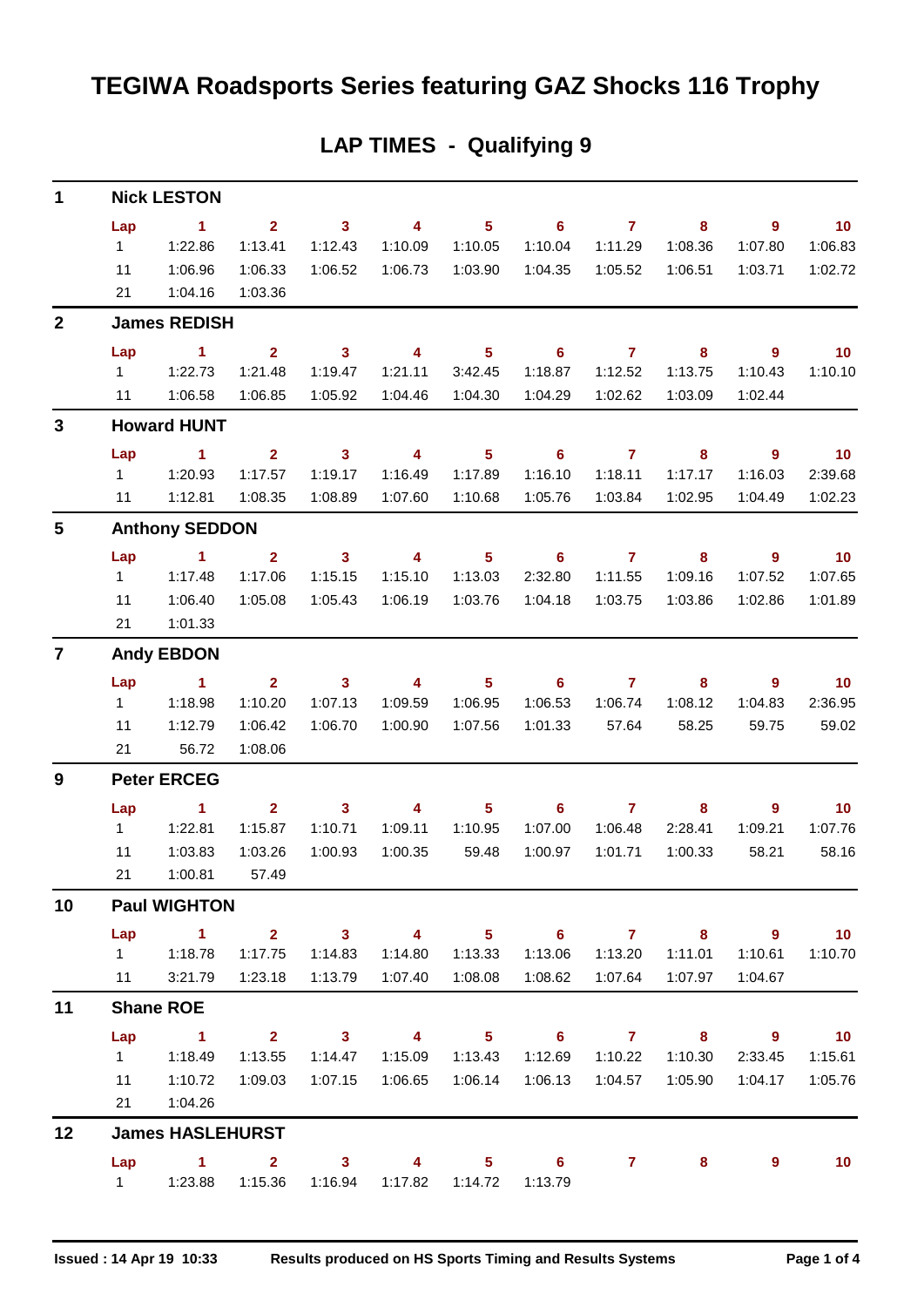## **TEGIWA Roadsports Series featuring GAZ Shocks 116 Trophy**

| 1              |                        | <b>Nick LESTON</b>                      |                         |                            |                                    |                            |                            |                |         |                            |                             |
|----------------|------------------------|-----------------------------------------|-------------------------|----------------------------|------------------------------------|----------------------------|----------------------------|----------------|---------|----------------------------|-----------------------------|
|                | Lap                    | $\sim$ 1                                | $\overline{2}$          | $\mathbf{3}$               | $\overline{4}$                     | 5 <sup>5</sup>             | 6                          | $\overline{7}$ | 8       | $9^{\circ}$                | 10                          |
|                | 1                      | 1:22.86                                 | 1:13.41                 | 1:12.43                    | 1:10.09                            | 1:10.05                    | 1:10.04                    | 1:11.29        | 1:08.36 | 1:07.80                    | 1:06.83                     |
|                | 11                     | 1:06.96                                 | 1:06.33                 | 1:06.52                    | 1:06.73                            | 1:03.90                    | 1:04.35                    | 1:05.52        | 1:06.51 | 1:03.71                    | 1:02.72                     |
|                | 21                     | 1:04.16                                 | 1:03.36                 |                            |                                    |                            |                            |                |         |                            |                             |
| $\mathbf{2}$   |                        | <b>James REDISH</b>                     |                         |                            |                                    |                            |                            |                |         |                            |                             |
|                | Lap                    | $\sim$ 1                                | $\overline{2}$          | $\sim$ 3                   | $\sim$ 4                           | $\overline{\phantom{1}}$ 5 | $\overline{\phantom{0}}$ 6 | $\overline{7}$ | 8       | 9                          | $\overline{10}$             |
|                | $1 \quad \blacksquare$ | 1:22.73                                 | 1:21.48                 | 1:19.47                    | 1:21.11                            | 3:42.45                    | 1:18.87                    | 1:12.52        | 1:13.75 | 1:10.43                    | 1:10.10                     |
|                |                        | 11  1:06.58                             | 1:06.85                 | 1:05.92                    | 1:04.46                            | 1:04.30                    | 1:04.29                    | 1:02.62        | 1:03.09 | 1:02.44                    |                             |
| $\mathbf{3}$   |                        | <b>Howard HUNT</b>                      |                         |                            |                                    |                            |                            |                |         |                            |                             |
|                | Lap                    | $\blacktriangleleft$                    | $\overline{2}$          | $\mathbf{3}$               | 4                                  | 5 <sup>5</sup>             | 6                          | $\overline{7}$ | 8       | 9                          | $\overline{10}$             |
|                |                        |                                         | 1:17.57                 | 1:19.17                    | 1:16.49                            | 1:17.89                    | 1:16.10                    | 1:18.11        | 1:17.17 | 1:16.03                    | 2:39.68                     |
|                |                        | 11  1:12.81                             | 1:08.35                 | 1:08.89                    | 1:07.60                            | 1:10.68                    | 1:05.76                    | 1:03.84        | 1:02.95 | 1:04.49                    | 1:02.23                     |
| 5              |                        | <b>Anthony SEDDON</b>                   |                         |                            |                                    |                            |                            |                |         |                            |                             |
|                | Lap                    | $\sim$ 1                                | $\overline{2}$          | $\overline{\phantom{a}}$ 3 | $\overline{4}$                     | $5^{\circ}$                | $\overline{\phantom{a}}$ 6 | $\overline{7}$ | 8       | 9                          | $\overline{\phantom{0}}$ 10 |
|                | $1 \quad$              | 1:17.48                                 | 1:17.06                 | 1:15.15                    | 1:15.10                            | 1:13.03                    | 2:32.80                    | 1:11.55        | 1:09.16 | 1:07.52                    | 1:07.65                     |
|                | 11                     | 1:06.40                                 | 1:05.08                 | 1:05.43                    | 1:06.19                            | 1:03.76                    | 1:04.18                    | 1:03.75        | 1:03.86 | 1:02.86                    | 1:01.89                     |
|                | 21                     | 1:01.33                                 |                         |                            |                                    |                            |                            |                |         |                            |                             |
| $\overline{7}$ |                        | <b>Andy EBDON</b>                       |                         |                            |                                    |                            |                            |                |         |                            |                             |
|                | Lap                    | $\sim$ $-1$                             | $\overline{\mathbf{2}}$ | $\overline{\mathbf{3}}$    | $\overline{\mathbf{4}}$            | $5^{\circ}$                | $\overline{\phantom{0}}$ 6 | $\overline{7}$ | 8       | 9                          | $\blacksquare$ 10           |
|                | $1 \quad$              | 1:18.98                                 | 1:10.20                 | 1:07.13                    | 1:09.59                            | 1:06.95                    | 1:06.53                    | 1:06.74        | 1:08.12 | 1:04.83                    | 2:36.95                     |
|                | 11                     | 1:12.79                                 | 1:06.42                 | 1:06.70                    | 1:00.90                            | 1:07.56                    | 1:01.33                    | 57.64          | 58.25   | 59.75                      | 59.02                       |
|                | 21                     | 56.72                                   | 1:08.06                 |                            |                                    |                            |                            |                |         |                            |                             |
| 9              |                        | <b>Peter ERCEG</b>                      |                         |                            |                                    |                            |                            |                |         |                            |                             |
|                | Lap                    | $\sim$ 1                                | 2 <sup>1</sup>          | 3                          | 4                                  | $5^{\circ}$                | 6.                         | $\overline{7}$ | 8       | 9                          | 10                          |
|                |                        | 1 1:22.81                               | 1:15.87                 | 1:10.71                    | 1:09.11                            | 1:10.95                    | 1:07.00                    | 1:06.48        | 2:28.41 | 1:09.21                    | 1:07.76                     |
|                | 11                     | 1:03.83                                 | 1:03.26                 | 1:00.93                    | 1:00.35                            | 59.48                      | 1:00.97                    | 1:01.71        | 1:00.33 | 58.21                      | 58.16                       |
|                | 21                     | 1:00.81 57.49                           |                         |                            |                                    |                            |                            |                |         |                            |                             |
| 10             |                        | <b>Paul WIGHTON</b>                     |                         |                            |                                    |                            |                            |                |         |                            |                             |
|                | Lap                    | $1 \qquad 2 \qquad 3 \qquad 4 \qquad 5$ |                         |                            |                                    |                            |                            |                |         | 6 7 8 9                    | $\overline{10}$             |
|                |                        | 1   1:18.78                             | 1:17.75                 | 1:14.83                    | 1:14.80                            | 1:13.33                    | 1:13.06                    | 1:13.20        | 1:11.01 | 1:10.61                    | 1:10.70                     |
|                |                        | 11   3:21.79   1:23.18                  |                         | 1:13.79                    | 1:07.40                            | 1:08.08                    | 1:08.62                    | 1:07.64        | 1:07.97 | 1:04.67                    |                             |
| 11             |                        | <b>Shane ROE</b>                        |                         |                            |                                    |                            |                            |                |         |                            |                             |
|                |                        | Lap 1 2 3 4                             |                         |                            |                                    |                            | $5 \t\t 6 \t\t 7 \t\t 8$   |                |         | $\overline{\phantom{a}}$ 9 | $\overline{\phantom{0}}$ 10 |
|                | $1 \quad$              | 1:18.49                                 | 1:13.55                 | 1:14.47                    |                                    |                            | 1:12.69                    | 1:10.22        | 1:10.30 | 2:33.45                    | 1:15.61                     |
|                |                        | 11  1:10.72                             | 1:09.03                 | 1:07.15                    |                                    | 1:06.65  1:06.14           | 1:06.13                    |                |         | 1:04.17                    | 1:05.76                     |
|                |                        | 21  1:04.26                             |                         |                            |                                    |                            |                            |                |         |                            |                             |
| 12             |                        | <b>James HASLEHURST</b>                 |                         |                            |                                    |                            |                            |                |         |                            |                             |
|                |                        | Lap 1 2 3 4 5 6                         |                         |                            |                                    |                            |                            | $\overline{7}$ | 8       | 9                          | 10                          |
|                |                        | 1   1:23.88   1:15.36                   |                         |                            | 1:16.94  1:17.82  1:14.72  1:13.79 |                            |                            |                |         |                            |                             |
|                |                        |                                         |                         |                            |                                    |                            |                            |                |         |                            |                             |

### **LAP TIMES - Qualifying 9**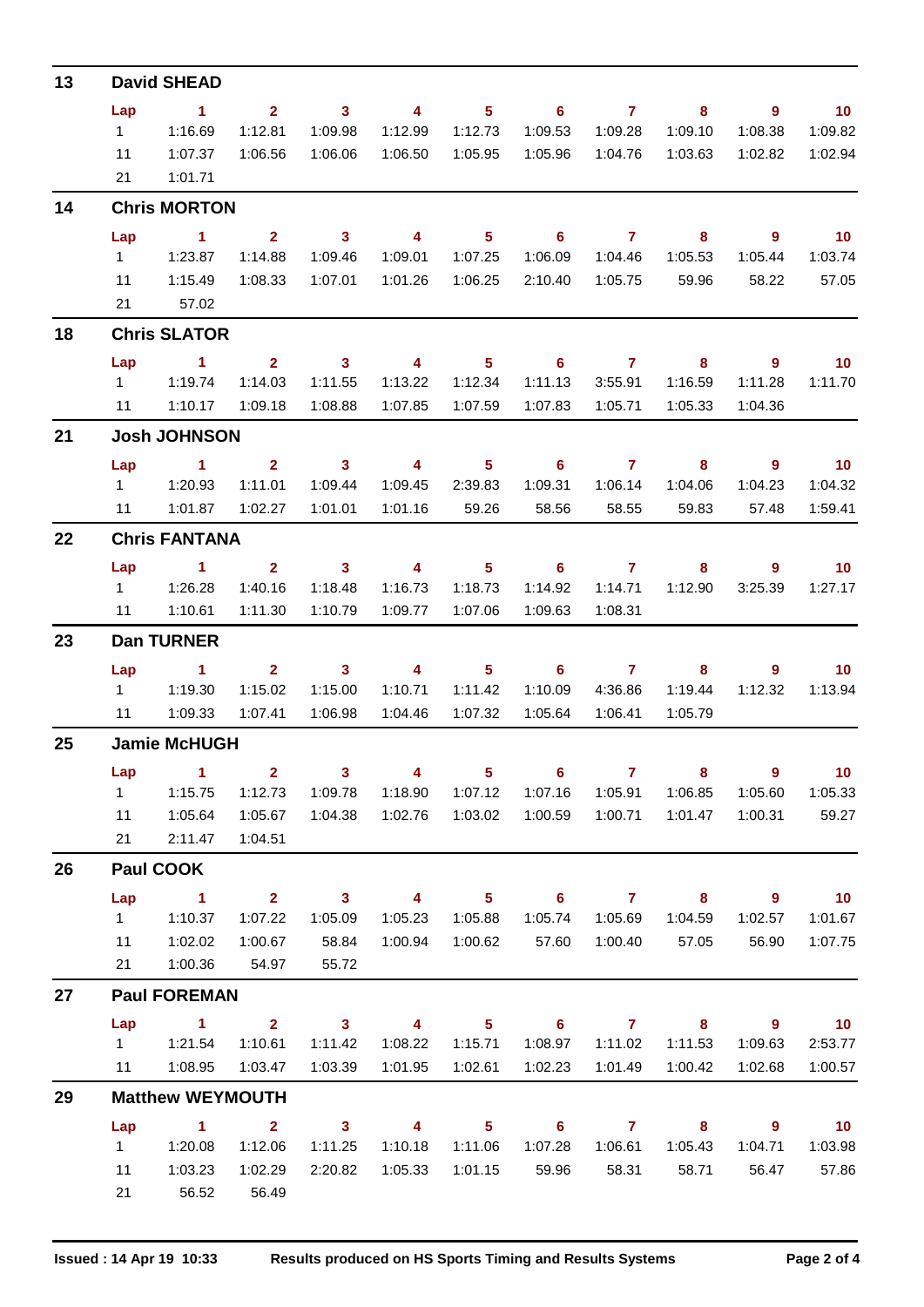| 13 |           | <b>David SHEAD</b>      |                         |                                    |                         |                            |                                    |                                                                                                                                                                                                                                                                                                                                    |                                |                            |                   |
|----|-----------|-------------------------|-------------------------|------------------------------------|-------------------------|----------------------------|------------------------------------|------------------------------------------------------------------------------------------------------------------------------------------------------------------------------------------------------------------------------------------------------------------------------------------------------------------------------------|--------------------------------|----------------------------|-------------------|
|    | Lap       | $\sim$ 1.               | $\overline{\mathbf{2}}$ | $\overline{\mathbf{3}}$            | $\sim$ 4                | 5 <sub>1</sub>             |                                    | $6$ $7$ $8$                                                                                                                                                                                                                                                                                                                        |                                | - 9                        | $\blacksquare$ 10 |
|    |           |                         | 1:12.81                 | 1:09.98                            | 1:12.99                 | 1:12.73                    | 1:09.53                            | 1:09.28                                                                                                                                                                                                                                                                                                                            | 1:09.10                        | 1:08.38                    | 1:09.82           |
|    | 11        | 1:07.37                 | 1:06.56                 | 1:06.06                            |                         | 1:06.50  1:05.95           | 1:05.96                            | 1:04.76                                                                                                                                                                                                                                                                                                                            | 1:03.63                        | 1:02.82                    | 1:02.94           |
|    | 21        | 1:01.71                 |                         |                                    |                         |                            |                                    |                                                                                                                                                                                                                                                                                                                                    |                                |                            |                   |
| 14 |           | <b>Chris MORTON</b>     |                         |                                    |                         |                            |                                    |                                                                                                                                                                                                                                                                                                                                    |                                |                            |                   |
|    | Lap       | $\sim$ $\sim$ 1         | $2^{\circ}$             | $\overline{\mathbf{3}}$            | $\overline{\mathbf{4}}$ | 5 <sup>5</sup>             | $\overline{\phantom{0}}$ 6         | $\overline{7}$                                                                                                                                                                                                                                                                                                                     | 8                              | $9^{\circ}$                | $\overline{10}$   |
|    |           | 1 1:23.87               | 1:14.88                 | 1:09.46                            | 1:09.01                 | 1:07.25                    | 1:06.09                            | 1:04.46                                                                                                                                                                                                                                                                                                                            | 1:05.53                        | 1:05.44                    | 1:03.74           |
|    | 11        | 1:15.49                 | 1:08.33                 | 1:07.01                            |                         | 1:01.26  1:06.25           | 2:10.40                            |                                                                                                                                                                                                                                                                                                                                    | 1:05.75 59.96 58.22            |                            | 57.05             |
|    | 21        | 57.02                   |                         |                                    |                         |                            |                                    |                                                                                                                                                                                                                                                                                                                                    |                                |                            |                   |
| 18 |           | <b>Chris SLATOR</b>     |                         |                                    |                         |                            |                                    |                                                                                                                                                                                                                                                                                                                                    |                                |                            |                   |
|    | Lap       | $\sim$ 1                | 2 <sup>1</sup>          | $\sim$ 3                           | $\overline{\mathbf{4}}$ | 5 <sup>5</sup>             | $\overline{\phantom{0}}$ 6         | $\overline{7}$                                                                                                                                                                                                                                                                                                                     | 8                              | 9                          | $\blacksquare$ 10 |
|    |           |                         | 1:14.03                 | 1:11.55                            |                         | 1:13.22   1:12.34          | 1:11.13                            | 3:55.91                                                                                                                                                                                                                                                                                                                            | 1:16.59                        | 1:11.28                    | 1:11.70           |
|    |           | 11  1:10.17  1:09.18    |                         | 1:08.88                            |                         | 1:07.85  1:07.59           | 1:07.83                            | 1:05.71                                                                                                                                                                                                                                                                                                                            | 1:05.33                        | 1:04.36                    |                   |
| 21 |           | <b>Josh JOHNSON</b>     |                         |                                    |                         |                            |                                    |                                                                                                                                                                                                                                                                                                                                    |                                |                            |                   |
|    |           | $Lap$ 1 2               |                         |                                    | $3 \t 4$                | $\sim$ 5 $\sim$            |                                    | 6 7 8                                                                                                                                                                                                                                                                                                                              |                                | - 9                        | $\blacksquare$ 10 |
|    |           |                         | 1:11.01                 | 1:09.44                            | 1:09.45                 | 2:39.83                    | 1:09.31                            | 1:06.14                                                                                                                                                                                                                                                                                                                            | 1:04.06                        | 1:04.23                    | 1:04.32           |
|    | 11        |                         |                         | 1:01.01                            | 1:01.16                 | 59.26                      | 58.56 58.55                        |                                                                                                                                                                                                                                                                                                                                    | 59.83                          | 57.48                      | 1:59.41           |
| 22 |           | <b>Chris FANTANA</b>    |                         |                                    |                         |                            |                                    |                                                                                                                                                                                                                                                                                                                                    |                                |                            |                   |
|    | Lap       | $\sim$ 1                | $2^{\circ}$             | $\sim$ 3                           | $\sim$ 4                | 5 <sup>5</sup>             | $\overline{\phantom{a}}$ 6         | $\overline{7}$                                                                                                                                                                                                                                                                                                                     | 8                              | 9                          | $\overline{10}$   |
|    |           | 1 1:26.28               | 1:40.16                 | 1:18.48                            | 1:16.73                 | 1:18.73                    | 1:14.92                            | 1:14.71                                                                                                                                                                                                                                                                                                                            | 1:12.90                        | 3:25.39                    | 1:27.17           |
|    |           | 11  1:10.61  1:11.30    |                         | 1:10.79                            |                         | 1:09.77  1:07.06           | 1:09.63                            | 1:08.31                                                                                                                                                                                                                                                                                                                            |                                |                            |                   |
| 23 |           | Dan TURNER              |                         |                                    |                         |                            |                                    |                                                                                                                                                                                                                                                                                                                                    |                                |                            |                   |
|    |           | Lap 1                   | $\mathbf{2}$            | $3 \t 4$                           |                         | $\overline{\phantom{0}}$ 5 |                                    | $6$ $7$ $8$                                                                                                                                                                                                                                                                                                                        |                                | - 9                        | $\overline{10}$   |
|    |           |                         | 1:15.02                 | 1:15.00                            | 1:10.71                 | 1:11.42                    | 1:10.09                            | 4:36.86                                                                                                                                                                                                                                                                                                                            | 1:19.44                        | 1:12.32                    | 1:13.94           |
|    |           | 11 1:09.33              | 1:07.41                 | 1:06.98                            |                         | 1:04.46  1:07.32           | 1:05.64                            | 1:06.41  1:05.79                                                                                                                                                                                                                                                                                                                   |                                |                            |                   |
| 25 |           | <b>Jamie McHUGH</b>     |                         |                                    |                         |                            |                                    |                                                                                                                                                                                                                                                                                                                                    |                                |                            |                   |
|    | Lap       | - 1                     |                         | 2 3 4                              |                         |                            | 5 6 7 8                            |                                                                                                                                                                                                                                                                                                                                    |                                | - 9                        | $\blacksquare$ 10 |
|    | 1         | 1:15.75                 | 1:12.73                 | 1:09.78                            | 1:18.90                 | 1:07.12                    | 1:07.16                            | 1:05.91                                                                                                                                                                                                                                                                                                                            | 1:06.85                        | 1:05.60                    | 1:05.33           |
|    | 11        | 1:05.64                 | 1:05.67                 | 1:04.38                            | 1:02.76  1:03.02        |                            | 1:00.59                            |                                                                                                                                                                                                                                                                                                                                    |                                | 1:00.31                    | 59.27             |
|    | 21        | 2:11.47                 | 1:04.51                 |                                    |                         |                            |                                    |                                                                                                                                                                                                                                                                                                                                    |                                |                            |                   |
| 26 |           | Paul COOK               |                         |                                    |                         |                            |                                    |                                                                                                                                                                                                                                                                                                                                    |                                |                            |                   |
|    | Lap       | $\sim$ $\sim$ 1         | $\overline{\mathbf{2}}$ | $\overline{\mathbf{3}}$<br>1:05.09 | $\overline{4}$          | $5 -$                      | $\overline{\phantom{a}}$ 6         | $7 \t 8$                                                                                                                                                                                                                                                                                                                           |                                | $9^{\circ}$                | $\overline{10}$   |
|    | $1 \quad$ | 1:10.37                 | 1:07.22<br>1:00.67      |                                    |                         |                            | 1:05.74<br>1:00.94  1:00.62  57.60 | 1:05.69                                                                                                                                                                                                                                                                                                                            | 1:04.59<br>1:00.40 57.05 56.90 | 1:02.57                    | 1:01.67           |
|    | 11<br>21  | 1:02.02<br>1:00.36      | 54.97                   | 58.84<br>55.72                     |                         |                            |                                    |                                                                                                                                                                                                                                                                                                                                    |                                |                            | 1:07.75           |
| 27 |           | <b>Paul FOREMAN</b>     |                         |                                    |                         |                            |                                    |                                                                                                                                                                                                                                                                                                                                    |                                |                            |                   |
|    | Lap       | $\sim$ 1.               | $\sim$ 2                | $\overline{\mathbf{3}}$            | $\overline{\mathbf{4}}$ | $5^{\circ}$                | $\overline{\phantom{0}}$ 6         | $\overline{7}$ and $\overline{7}$ and $\overline{7}$ and $\overline{7}$ and $\overline{7}$ and $\overline{7}$ and $\overline{7}$ and $\overline{7}$ and $\overline{7}$ and $\overline{7}$ and $\overline{7}$ and $\overline{7}$ and $\overline{7}$ and $\overline{7}$ and $\overline{7}$ and $\overline{7}$ and $\overline{7}$ and | 8 <sup>°</sup>                 | $\overline{\phantom{a}}$ 9 | $\overline{10}$   |
|    |           | 1 1:21.54               | 1:10.61                 | 1:11.42                            | 1:08.22                 | 1:15.71                    | 1:08.97                            | 1:11.02                                                                                                                                                                                                                                                                                                                            | 1:11.53                        | 1:09.63                    | 2:53.77           |
|    |           | 11   1:08.95            | 1:03.47                 | 1:03.39                            | 1:01.95                 | 1:02.61                    | 1:02.23                            | 1:01.49                                                                                                                                                                                                                                                                                                                            | 1:00.42                        | 1:02.68                    | 1:00.57           |
| 29 |           | <b>Matthew WEYMOUTH</b> |                         |                                    |                         |                            |                                    |                                                                                                                                                                                                                                                                                                                                    |                                |                            |                   |
|    | Lap       | $\sim$ $\sim$ 1         | $\overline{\mathbf{2}}$ | $\overline{\mathbf{3}}$            | $\overline{4}$          | $5 -$                      |                                    | 6 7 8                                                                                                                                                                                                                                                                                                                              |                                | - 9                        | $\blacksquare$ 10 |
|    | $1 \quad$ | 1:20.08                 | 1:12.06                 | 1:11.25                            | 1:10.18                 | 1:11.06                    | 1:07.28                            | 1:06.61                                                                                                                                                                                                                                                                                                                            | 1:05.43                        | 1:04.71                    | 1:03.98           |
|    | 11        | 1:03.23                 | 1:02.29                 | 2:20.82                            |                         | 1:05.33  1:01.15           |                                    |                                                                                                                                                                                                                                                                                                                                    | 59.96 58.31 58.71 56.47        |                            | 57.86             |
|    | 21        | 56.52                   | 56.49                   |                                    |                         |                            |                                    |                                                                                                                                                                                                                                                                                                                                    |                                |                            |                   |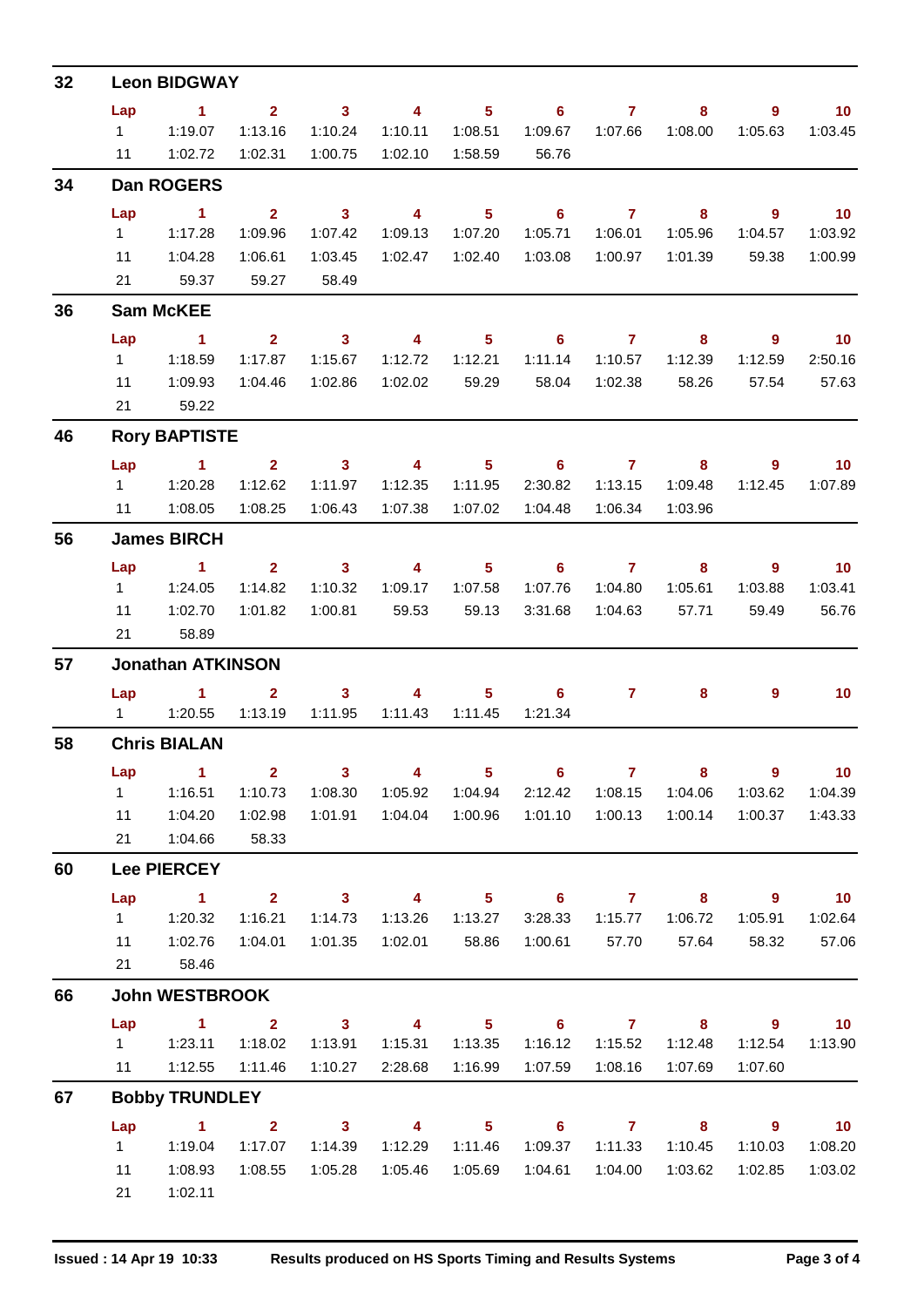| 32 |                | <b>Leon BIDGWAY</b>      |                         |                         |                         |                            |                            |                |                         |                            |                             |
|----|----------------|--------------------------|-------------------------|-------------------------|-------------------------|----------------------------|----------------------------|----------------|-------------------------|----------------------------|-----------------------------|
|    | Lap            | $\sim$ 1                 | $\overline{2}$          | $\mathbf{3}$            | $\overline{\mathbf{4}}$ | 5 <sub>5</sub>             | 6                          | $\overline{7}$ | 8                       | 9                          | 10                          |
|    | $1 \quad$      | 1:19.07                  | 1:13.16                 | 1:10.24                 | 1:10.11                 | 1:08.51                    | 1:09.67                    | 1:07.66        | 1:08.00                 | 1:05.63                    | 1:03.45                     |
|    | 11             | 1:02.72                  | 1:02.31                 | 1:00.75                 | 1:02.10                 | 1:58.59                    | 56.76                      |                |                         |                            |                             |
| 34 |                | <b>Dan ROGERS</b>        |                         |                         |                         |                            |                            |                |                         |                            |                             |
|    | Lap            | $\sim$ 1                 | $\overline{2}$          | $\mathbf{3}$            | $\overline{\mathbf{4}}$ | 5 <sup>5</sup>             | 6                          | $\overline{7}$ | 8                       | 9                          | 10                          |
|    | $1 \quad$      | 1:17.28                  | 1:09.96                 | 1:07.42                 | 1:09.13                 | 1:07.20                    | 1:05.71                    | 1:06.01        | 1:05.96                 | 1:04.57                    | 1:03.92                     |
|    | 11             | 1:04.28                  | 1:06.61                 | 1:03.45                 | 1:02.47                 | 1:02.40                    | 1:03.08                    | 1:00.97        | 1:01.39                 | 59.38                      | 1:00.99                     |
|    | 21             | 59.37                    | 59.27                   | 58.49                   |                         |                            |                            |                |                         |                            |                             |
| 36 |                | <b>Sam McKEE</b>         |                         |                         |                         |                            |                            |                |                         |                            |                             |
|    | Lap            | $\sim$ 1                 | $\overline{2}$          | $\mathbf{3}$            | 4                       | 5                          | $\overline{\phantom{0}}$ 6 | $\overline{7}$ | 8                       | 9                          | 10                          |
|    | $1 \quad$      | 1:18.59                  | 1:17.87                 | 1:15.67                 | 1:12.72                 | 1:12.21                    | 1:11.14                    | 1:10.57        | 1:12.39                 | 1:12.59                    | 2:50.16                     |
|    | 11             | 1:09.93                  | 1:04.46                 | 1:02.86                 | 1:02.02                 | 59.29                      | 58.04                      | 1:02.38        | 58.26                   | 57.54                      | 57.63                       |
|    | 21             | 59.22                    |                         |                         |                         |                            |                            |                |                         |                            |                             |
| 46 |                | <b>Rory BAPTISTE</b>     |                         |                         |                         |                            |                            |                |                         |                            |                             |
|    | Lap            | $\sim$ 1                 | $\mathbf{2}$            | $\overline{\mathbf{3}}$ | $\overline{\mathbf{4}}$ | 5 <sub>5</sub>             | $\overline{\phantom{0}}$ 6 | $\overline{7}$ | 8                       | 9                          | 10                          |
|    | $1 \quad$      | 1:20.28                  | 1:12.62                 | 1:11.97                 | 1:12.35                 | 1:11.95                    | 2:30.82                    | 1:13.15        | 1:09.48                 | 1:12.45                    | 1:07.89                     |
|    | 11             | 1:08.05                  | 1:08.25                 | 1:06.43                 | 1:07.38                 | 1:07.02                    | 1:04.48                    | 1:06.34        | 1:03.96                 |                            |                             |
| 56 |                | <b>James BIRCH</b>       |                         |                         |                         |                            |                            |                |                         |                            |                             |
|    | Lap            | $\sim$ 1                 | $\overline{2}$          | $\mathbf{3}$            | 4                       | 5                          | 6                          | $\overline{7}$ | 8                       | 9                          | 10                          |
|    | $1 \quad$      | 1:24.05                  | 1:14.82                 | 1:10.32                 | 1:09.17                 | 1:07.58                    | 1:07.76                    | 1:04.80        | 1:05.61                 | 1:03.88                    | 1:03.41                     |
|    | 11             | 1:02.70                  | 1:01.82                 | 1:00.81                 | 59.53                   | 59.13                      | 3:31.68                    | 1:04.63        | 57.71                   | 59.49                      | 56.76                       |
|    | 21             | 58.89                    |                         |                         |                         |                            |                            |                |                         |                            |                             |
| 57 |                | <b>Jonathan ATKINSON</b> |                         |                         |                         |                            |                            |                |                         |                            |                             |
|    | Lap            | $\blacktriangleleft$     | $\mathbf{2}$            | $\mathbf{3}$            | 4                       | 5                          | 6                          | $\mathbf{7}$   | 8                       | 9                          | 10                          |
|    | 1 $\sqrt{2}$   | 1:20.55                  | 1:13.19                 | 1:11.95                 | 1:11.43                 | 1:11.45                    | 1:21.34                    |                |                         |                            |                             |
| 58 |                | <b>Chris BIALAN</b>      |                         |                         |                         |                            |                            |                |                         |                            |                             |
|    | Lap            | $\sim$ 1.                | $\overline{\mathbf{2}}$ | $\overline{\mathbf{3}}$ | $\overline{\mathbf{4}}$ | $\overline{\phantom{a}}$ 5 | $\overline{\phantom{0}}$ 6 | $\overline{7}$ | $\overline{\mathbf{8}}$ | $\overline{\phantom{a}}$   | $\overline{10}$             |
|    | 1              | 1:16.51                  | 1:10.73                 | 1:08.30                 | 1:05.92                 | 1:04.94                    | 2:12.42                    | 1:08.15        | 1:04.06                 | 1:03.62                    | 1:04.39                     |
|    | 11             | 1:04.20                  | 1:02.98                 | 1:01.91                 | 1:04.04                 | 1:00.96                    | 1:01.10                    | 1:00.13        | 1:00.14                 | 1:00.37                    | 1:43.33                     |
|    | 21             | 1:04.66                  | 58.33                   |                         |                         |                            |                            |                |                         |                            |                             |
| 60 |                | <b>Lee PIERCEY</b>       |                         |                         |                         |                            |                            |                |                         |                            |                             |
|    | Lap            | $\sim$ $\sim$ 1          | $\overline{\mathbf{2}}$ | $\overline{\mathbf{3}}$ | $\overline{4}$          | $5 -$                      |                            | 6 7 8          |                         | - 9                        | $\overline{10}$             |
|    | $1 \quad \Box$ | 1:20.32                  | 1:16.21                 | 1:14.73                 | 1:13.26                 | 1:13.27                    | 3:28.33                    | 1:15.77        | 1:06.72                 | 1:05.91                    | 1:02.64                     |
|    | 11             | 1:02.76                  | 1:04.01                 | 1:01.35                 |                         | 1:02.01 58.86              |                            | 1:00.61 57.70  | 57.64                   | 58.32                      | 57.06                       |
|    | 21             | 58.46                    |                         |                         |                         |                            |                            |                |                         |                            |                             |
| 66 |                | <b>John WESTBROOK</b>    |                         |                         |                         |                            |                            |                |                         |                            |                             |
|    | Lap            | $\sim$ $\sim$ 1          | $\overline{\mathbf{2}}$ | $\overline{\mathbf{3}}$ | $\overline{\mathbf{4}}$ | 5 <sub>5</sub>             |                            | $6\qquad 7$    | 8                       | $\overline{\phantom{a}}$ 9 | $\overline{10}$             |
|    |                | 1   1:23.11   1:18.02    |                         | 1:13.91                 | 1:15.31                 | 1:13.35                    | 1:16.12                    | 1:15.52        | 1:12.48                 | 1:12.54                    | 1:13.90                     |
|    | 11             | 1:12.55                  | 1:11.46                 | 1:10.27                 | 2:28.68                 | 1:16.99                    | 1:07.59                    | 1:08.16        | 1:07.69                 | 1:07.60                    |                             |
| 67 |                | <b>Bobby TRUNDLEY</b>    |                         |                         |                         |                            |                            |                |                         |                            |                             |
|    | Lap            | $\sim$ $\sim$ 1.100      | $\overline{\mathbf{2}}$ | $\overline{\mathbf{3}}$ | $\overline{4}$          | $5 -$                      |                            | $6$ $7$ $8$    |                         | $\overline{\phantom{a}}$ 9 | $\overline{\phantom{0}}$ 10 |
|    | 1              | 1:19.04                  | 1:17.07                 | 1:14.39                 | 1:12.29                 | 1:11.46                    | 1:09.37                    | 1:11.33        | 1:10.45                 | 1:10.03                    | 1:08.20                     |
|    | 11             | 1:08.93                  | 1:08.55                 | 1:05.28                 | 1:05.46                 | 1:05.69                    | 1:04.61                    | 1:04.00        | 1:03.62                 | 1:02.85                    | 1:03.02                     |
|    | 21             | 1:02.11                  |                         |                         |                         |                            |                            |                |                         |                            |                             |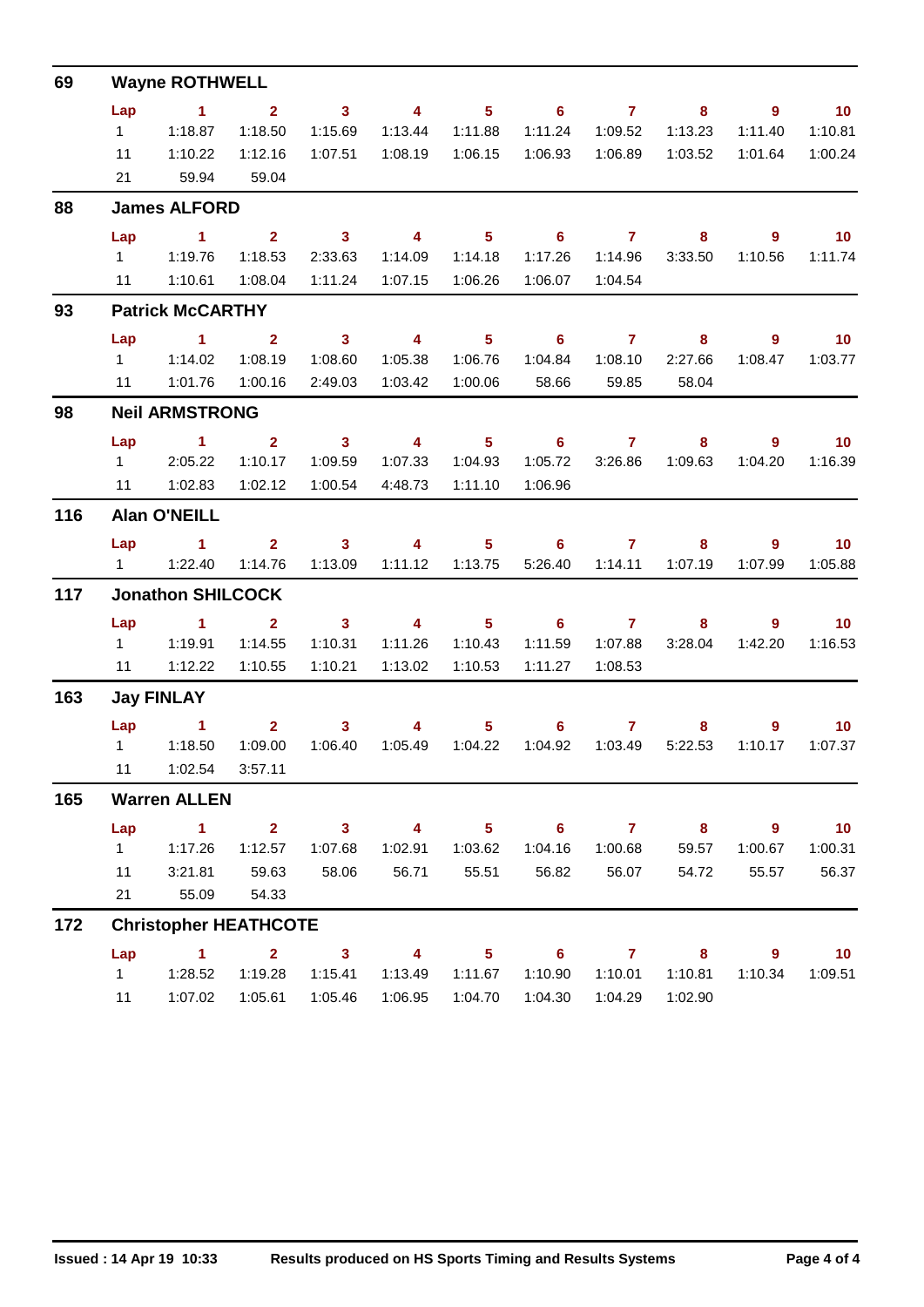| 69  |                | <b>Wayne ROTHWELL</b>        |                         |                         |                         |                            |                            |                           |                            |                |                             |
|-----|----------------|------------------------------|-------------------------|-------------------------|-------------------------|----------------------------|----------------------------|---------------------------|----------------------------|----------------|-----------------------------|
|     | Lap            | $\sim$ 1                     | $\overline{\mathbf{2}}$ | $\overline{\mathbf{3}}$ | $\overline{\mathbf{4}}$ | 5 <sub>5</sub>             |                            | $6\qquad 7$               | 8                          | $9^{\circ}$    | $\overline{10}$             |
|     | $1 \quad$      | 1:18.87                      | 1:18.50                 | 1:15.69                 | 1:13.44                 | 1:11.88                    | 1:11.24                    | 1:09.52                   | 1:13.23                    | 1:11.40        | 1:10.81                     |
|     | 11             | 1:10.22                      | 1:12.16                 | 1:07.51                 |                         | 1:08.19  1:06.15           | 1:06.93                    | 1:06.89                   | 1:03.52                    | 1:01.64        | 1:00.24                     |
|     | 21             | 59.94                        | 59.04                   |                         |                         |                            |                            |                           |                            |                |                             |
| 88  |                | <b>James ALFORD</b>          |                         |                         |                         |                            |                            |                           |                            |                |                             |
|     | Lap            | $\sim$ 1                     | 2 <sup>1</sup>          | $\overline{\mathbf{3}}$ | $\overline{4}$          | 5 <sup>5</sup>             | $\overline{\phantom{0}}$ 6 | $\overline{7}$            | 8                          | 9              | $\overline{10}$             |
|     |                |                              | 1:18.53                 | 2:33.63                 | 1:14.09                 | 1:14.18                    | 1:17.26                    | 1:14.96                   | 3:33.50                    | 1:10.56        | 1:11.74                     |
|     | 11             | 1:10.61                      | 1:08.04                 | 1:11.24                 | 1:07.15                 | 1:06.26                    | 1:06.07                    | 1:04.54                   |                            |                |                             |
| 93  |                | <b>Patrick McCARTHY</b>      |                         |                         |                         |                            |                            |                           |                            |                |                             |
|     | Lap            | $\sim$ 1 $\sim$ 2            |                         | $\overline{\mathbf{3}}$ | $\overline{\mathbf{4}}$ | $\overline{\phantom{1}}$ 5 | $6 \overline{7}$           |                           | 8                          | $\overline{9}$ | $\overline{10}$             |
|     | $1 \quad$      | 1:14.02                      | 1:08.19                 | 1:08.60                 | 1:05.38                 | 1:06.76                    | 1:04.84                    | 1:08.10                   | 2:27.66                    | 1:08.47        | 1:03.77                     |
|     | 11             | 1:01.76                      | 1:00.16                 | 2:49.03                 | 1:03.42                 | 1:00.06                    | 58.66                      | 59.85                     | 58.04                      |                |                             |
| 98  |                | <b>Neil ARMSTRONG</b>        |                         |                         |                         |                            |                            |                           |                            |                |                             |
|     | Lap            | $\sim$ 1                     | $\sim$ 2                | $\overline{\mathbf{3}}$ | $\overline{\mathbf{4}}$ | 5 <sub>5</sub>             | $\overline{\phantom{0}}$ 6 | $\overline{7}$            | 8                          | $9^{\circ}$    | $\blacksquare$ 10           |
|     | $1 \quad \Box$ | 2:05.22                      | 1:10.17                 | 1:09.59                 | 1:07.33                 | 1:04.93                    | 1:05.72                    |                           | 3:26.86 1:09.63            | 1:04.20        | 1:16.39                     |
|     | 11             | 1:02.83                      | 1:02.12                 | 1:00.54                 | 4:48.73                 | 1:11.10                    | 1:06.96                    |                           |                            |                |                             |
| 116 |                | <b>Alan O'NEILL</b>          |                         |                         |                         |                            |                            |                           |                            |                |                             |
|     | Lap            | $\sim$ 1                     | 2 <sup>1</sup>          | $\overline{\mathbf{3}}$ | $\overline{4}$          | $5 -$                      |                            | $6 \overline{7}$          | 8                          | 9              | $\overline{10}$             |
|     | $1 \quad \Box$ | 1:22.40                      | 1:14.76                 | 1:13.09                 |                         |                            |                            | 5:26.40  1:14.11  1:07.19 |                            | 1:07.99        | 1:05.88                     |
| 117 |                | <b>Jonathon SHILCOCK</b>     |                         |                         |                         |                            |                            |                           |                            |                |                             |
|     | Lap            | $\blacktriangleleft$         | $\mathbf{2}$            | $\mathbf{3}$            | $\overline{4}$          | 5 <sub>1</sub>             |                            | $6\qquad 7$               | 8                          | 9              | 10 <sup>°</sup>             |
|     |                | 1   1:19.91                  | 1:14.55                 | 1:10.31                 | 1:11.26                 | 1:10.43                    | 1:11.59                    | 1:07.88                   | 3:28.04                    | 1:42.20        | 1:16.53                     |
|     |                | $11 \t 1:12.22$              | 1:10.55                 | 1:10.21                 | 1:13.02                 | 1:10.53                    | 1:11.27                    | 1:08.53                   |                            |                |                             |
| 163 |                | <b>Jay FINLAY</b>            |                         |                         |                         |                            |                            |                           |                            |                |                             |
|     |                | Lap 1                        | 2 <sup>1</sup>          | $\overline{\mathbf{3}}$ | 4                       | $5^{\circ}$                | $\overline{\phantom{a}}$ 6 | $\overline{7}$            | 8                          | 9              | $\blacksquare$ 10           |
|     |                | 1 1:18.50                    | 1:09.00                 | 1:06.40                 | 1:05.49                 | 1:04.22                    | 1:04.92                    | 1:03.49                   | 5:22.53                    | 1:10.17        | 1:07.37                     |
|     |                | 11  1:02.54  3:57.11         |                         |                         |                         |                            |                            |                           |                            |                |                             |
| 165 |                | <b>Warren ALLEN</b>          |                         |                         |                         |                            |                            |                           |                            |                |                             |
|     | Lap            | $\sim$ 1                     |                         | $2 \t 3$                | $\overline{\mathbf{4}}$ | 5 <sub>1</sub>             |                            |                           | 6 7 8                      | 9              | $\overline{\phantom{0}}$ 10 |
|     | $1 \quad$      | 1:17.26                      | 1:12.57                 | 1:07.68                 | 1:02.91                 | 1:03.62                    | 1:04.16                    | 1:00.68                   | 59.57                      | 1:00.67        | 1:00.31                     |
|     | 11             | 3:21.81 59.63                |                         | 58.06                   | 56.71                   | 55.51                      | 56.82 56.07                |                           | 54.72                      | 55.57          | 56.37                       |
|     | 21             | 55.09                        | 54.33                   |                         |                         |                            |                            |                           |                            |                |                             |
| 172 |                | <b>Christopher HEATHCOTE</b> |                         |                         |                         |                            |                            |                           |                            |                |                             |
|     | Lap            | <b>Contract Manager</b>      |                         | $2 \qquad \qquad 3$     | $\overline{\mathbf{4}}$ | $5 -$                      | $\overline{\phantom{0}}$ 6 | $\overline{7}$            | $\overline{\phantom{a}}$ 8 | $9^{\circ}$    | $\blacksquare$ 10           |
|     | $1 \quad$      | 1:28.52                      | 1:19.28                 | 1:15.41                 | 1:13.49                 | 1:11.67                    | 1:10.90                    | 1:10.01                   | 1:10.81                    | 1:10.34        | 1:09.51                     |
|     | 11             | 1:07.02                      | 1:05.61                 | 1:05.46                 | 1:06.95                 | 1:04.70                    | 1:04.30                    | 1:04.29                   | 1:02.90                    |                |                             |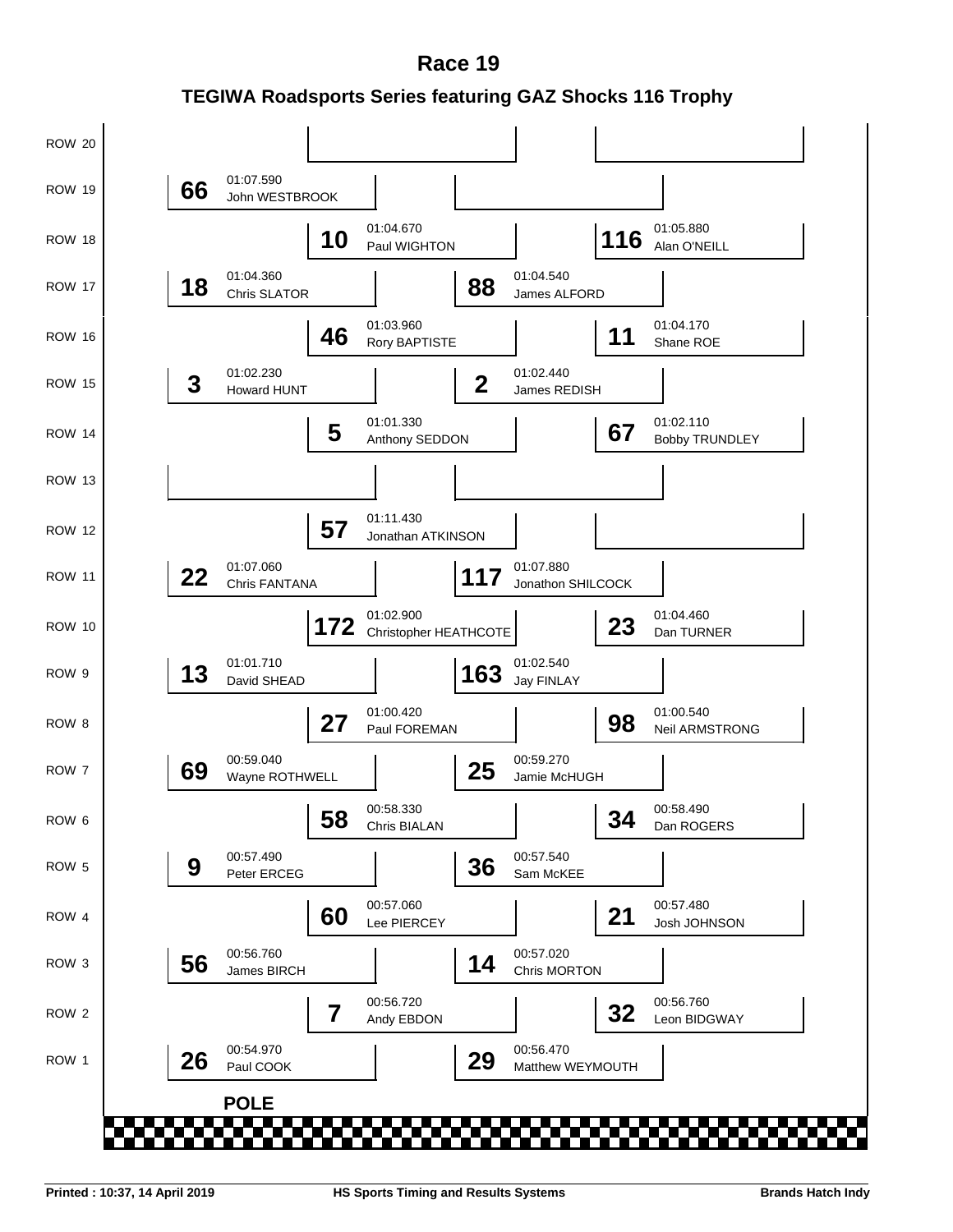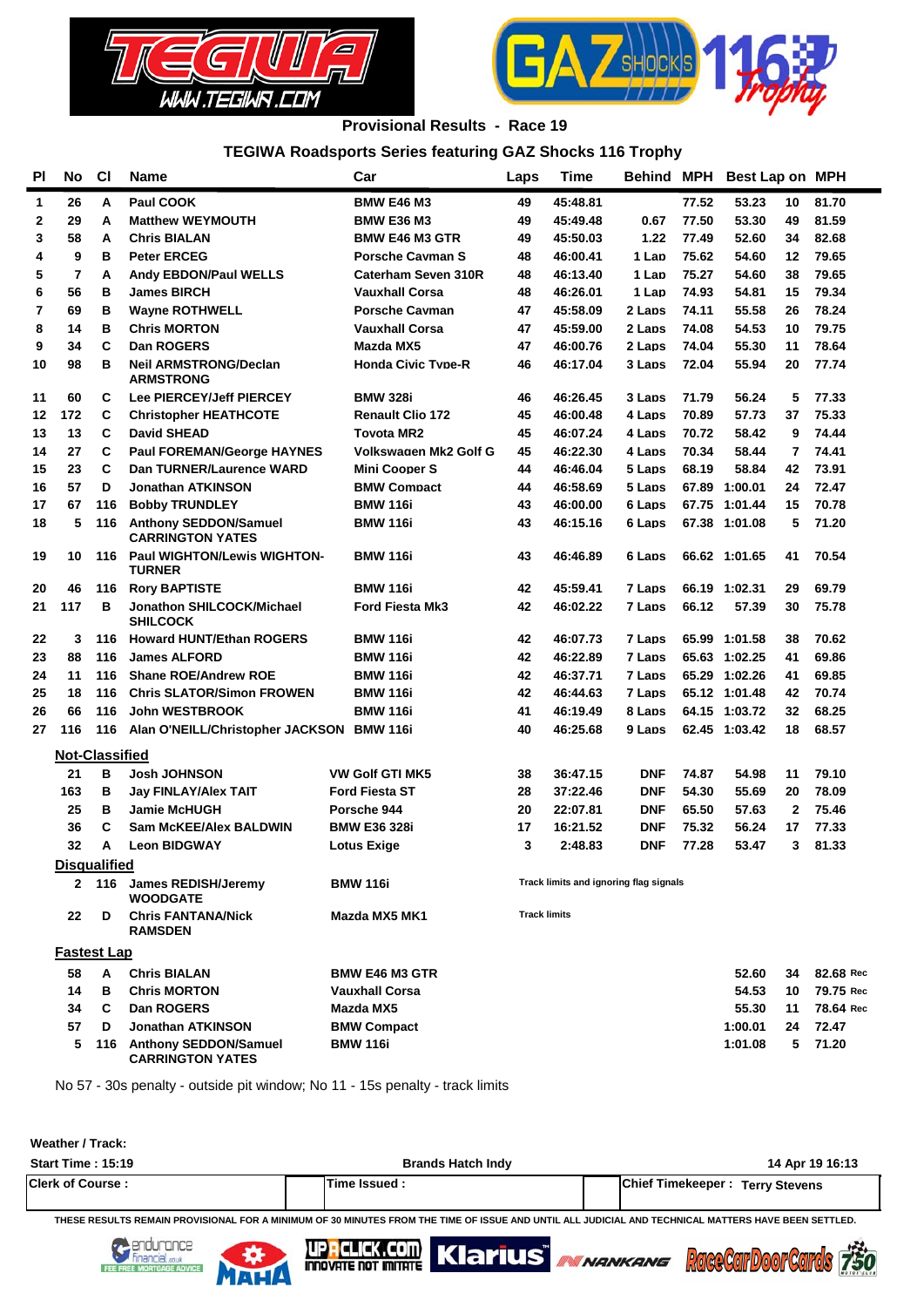



**Provisional Results - Race 19**

### **TEGIWA Roadsports Series featuring GAZ Shocks 116 Trophy**

| <b>PI</b> | No                 | <b>CI</b>             | Name                                                    | Car                          | Laps                | Time                                   |            |       | Behind MPH Best Lap on MPH |                |           |
|-----------|--------------------|-----------------------|---------------------------------------------------------|------------------------------|---------------------|----------------------------------------|------------|-------|----------------------------|----------------|-----------|
| 1         | 26                 | A                     | Paul COOK                                               | <b>BMW E46 M3</b>            | 49                  | 45:48.81                               |            | 77.52 | 53.23                      | 10             | 81.70     |
| 2         | 29                 | A                     | <b>Matthew WEYMOUTH</b>                                 | <b>BMW E36 M3</b>            | 49                  | 45:49.48                               | 0.67       | 77.50 | 53.30                      | 49             | 81.59     |
| 3         | 58                 | A                     | <b>Chris BIALAN</b>                                     | <b>BMW E46 M3 GTR</b>        | 49                  | 45:50.03                               | 1.22       | 77.49 | 52.60                      | 34             | 82.68     |
| 4         | 9                  | в                     | <b>Peter ERCEG</b>                                      | <b>Porsche Cavman S</b>      | 48                  | 46:00.41                               | 1 Lap      | 75.62 | 54.60                      | 12             | 79.65     |
| 5         | $\overline{7}$     | A                     | <b>Andy EBDON/Paul WELLS</b>                            | Caterham Seven 310R          | 48                  | 46:13.40                               | 1 Lan      | 75.27 | 54.60                      | 38             | 79.65     |
| 6         | 56                 | в                     | <b>James BIRCH</b>                                      | <b>Vauxhall Corsa</b>        | 48                  | 46:26.01                               | 1 Lap      | 74.93 | 54.81                      | 15             | 79.34     |
| 7         | 69                 | в                     | <b>Wayne ROTHWELL</b>                                   | <b>Porsche Cavman</b>        | 47                  | 45:58.09                               | 2 Laps     | 74.11 | 55.58                      | 26             | 78.24     |
| 8         | 14                 | в                     | <b>Chris MORTON</b>                                     | <b>Vauxhall Corsa</b>        | 47                  | 45:59.00                               | 2 Laps     | 74.08 | 54.53                      | 10             | 79.75     |
| 9         | 34                 | C                     | Dan ROGERS                                              | Mazda MX5                    | 47                  | 46:00.76                               | 2 Laps     | 74.04 | 55.30                      | 11             | 78.64     |
| 10        | 98                 | в                     | <b>Neil ARMSTRONG/Declan</b><br><b>ARMSTRONG</b>        | <b>Honda Civic Type-R</b>    | 46                  | 46:17.04                               | 3 Laps     | 72.04 | 55.94                      | 20             | 77.74     |
| 11        | 60                 | C                     | Lee PIERCEY/Jeff PIERCEY                                | <b>BMW 328i</b>              | 46                  | 46:26.45                               | 3 Laps     | 71.79 | 56.24                      | 5              | 77.33     |
| 12        | 172                | C                     | <b>Christopher HEATHCOTE</b>                            | <b>Renault Clio 172</b>      | 45                  | 46:00.48                               | 4 Laps     | 70.89 | 57.73                      | 37             | 75.33     |
| 13        | 13                 | C                     | <b>David SHEAD</b>                                      | <b>Tovota MR2</b>            | 45                  | 46:07.24                               | 4 Laps     | 70.72 | 58.42                      | 9              | 74.44     |
| 14        | 27                 | C                     | <b>Paul FOREMAN/George HAYNES</b>                       | <b>Volkswagen Mk2 Golf G</b> | 45                  | 46:22.30                               | 4 Laps     | 70.34 | 58.44                      | $\overline{7}$ | 74.41     |
| 15        | 23                 | C                     | Dan TURNER/Laurence WARD                                | Mini Cooper S                | 44                  | 46:46.04                               | 5 Laps     | 68.19 | 58.84                      | 42             | 73.91     |
| 16        | 57                 | D                     | <b>Jonathan ATKINSON</b>                                | <b>BMW Compact</b>           | 44                  | 46:58.69                               | 5 Laps     |       | 67.89 1:00.01              | 24             | 72.47     |
| 17        | 67                 | 116                   | <b>Bobby TRUNDLEY</b>                                   | <b>BMW 116i</b>              | 43                  | 46:00.00                               | 6 Laps     |       | 67.75 1:01.44              | 15             | 70.78     |
| 18        | 5                  | 116                   | <b>Anthony SEDDON/Samuel</b><br><b>CARRINGTON YATES</b> | <b>BMW 116i</b>              | 43                  | 46:15.16                               | 6 Laps     |       | 67.38 1:01.08              | 5              | 71.20     |
| 19        | 10                 | 116                   | <b>Paul WIGHTON/Lewis WIGHTON-</b><br><b>TURNER</b>     | <b>BMW 116i</b>              | 43                  | 46:46.89                               | 6 Laps     |       | 66.62 1:01.65              | 41             | 70.54     |
| 20        | 46                 | 116                   | <b>Rory BAPTISTE</b>                                    | <b>BMW 116i</b>              | 42                  | 45:59.41                               | 7 Laps     |       | 66.19 1:02.31              | 29             | 69.79     |
| 21        | 117                | В                     | Jonathon SHILCOCK/Michael<br><b>SHILCOCK</b>            | <b>Ford Fiesta Mk3</b>       | 42                  | 46:02.22                               | 7 Laps     | 66.12 | 57.39                      | 30             | 75.78     |
| 22        | 3                  | 116                   | <b>Howard HUNT/Ethan ROGERS</b>                         | <b>BMW 116i</b>              | 42                  | 46:07.73                               | 7 Laps     |       | 65.99 1:01.58              | 38             | 70.62     |
| 23        | 88                 | 116                   | <b>James ALFORD</b>                                     | <b>BMW 116i</b>              | 42                  | 46:22.89                               | 7 Laps     |       | 65.63 1:02.25              | 41             | 69.86     |
| 24        | 11                 | 116                   | <b>Shane ROE/Andrew ROE</b>                             | <b>BMW 116i</b>              | 42                  | 46:37.71                               | 7 Laps     |       | 65.29 1:02.26              | 41             | 69.85     |
| 25        | 18                 | 116                   | <b>Chris SLATOR/Simon FROWEN</b>                        | <b>BMW 116i</b>              | 42                  | 46:44.63                               | 7 Laps     |       | 65.12 1:01.48              | 42             | 70.74     |
| 26        | 66                 | 116                   | <b>John WESTBROOK</b>                                   | <b>BMW 116i</b>              | 41                  | 46:19.49                               | 8 Laps     |       | 64.15 1:03.72              | 32             | 68.25     |
| 27        | 116                | 116                   | Alan O'NEILL/Christopher JACKSON BMW 116i               |                              | 40                  | 46:25.68                               | 9 Laps     |       | 62.45 1:03.42              | 18             | 68.57     |
|           |                    | <b>Not-Classified</b> |                                                         |                              |                     |                                        |            |       |                            |                |           |
|           | 21                 | в                     | <b>Josh JOHNSON</b>                                     | <b>VW Golf GTI MK5</b>       | 38                  | 36:47.15                               | <b>DNF</b> | 74.87 | 54.98                      | 11             | 79.10     |
|           | 163                | в                     | <b>Jay FINLAY/Alex TAIT</b>                             | <b>Ford Fiesta ST</b>        | 28                  | 37:22.46                               | <b>DNF</b> | 54.30 | 55.69                      | 20             | 78.09     |
|           | 25                 | в                     | <b>Jamie McHUGH</b>                                     | Porsche 944                  | 20                  | 22:07.81                               | <b>DNF</b> | 65.50 | 57.63                      | $\mathbf{2}$   | 75.46     |
|           | 36                 | C                     | <b>Sam McKEE/Alex BALDWIN</b>                           | <b>BMW E36 328i</b>          | 17                  | 16:21.52                               | <b>DNF</b> | 75.32 | 56.24                      | 17             | 77.33     |
|           | 32                 | А                     | <b>Leon BIDGWAY</b>                                     | <b>Lotus Exige</b>           | 3                   | 2:48.83                                | <b>DNF</b> | 77.28 | 53.47                      | 3              | 81.33     |
|           |                    | <b>Disqualified</b>   |                                                         |                              |                     |                                        |            |       |                            |                |           |
|           |                    |                       | 2 116 James REDISH/Jeremy<br><b>WOODGATE</b>            | <b>BMW 116i</b>              |                     | Track limits and ignoring flag signals |            |       |                            |                |           |
|           | 22                 | D                     | <b>Chris FANTANA/Nick</b><br><b>RAMSDEN</b>             | Mazda MX5 MK1                | <b>Track limits</b> |                                        |            |       |                            |                |           |
|           | <b>Fastest Lap</b> |                       |                                                         |                              |                     |                                        |            |       |                            |                |           |
|           | 58                 | A                     | <b>Chris BIALAN</b>                                     | <b>BMW E46 M3 GTR</b>        |                     |                                        |            |       | 52.60                      | 34             | 82.68 Red |
|           | 14                 | в                     | <b>Chris MORTON</b>                                     | <b>Vauxhall Corsa</b>        |                     |                                        |            |       | 54.53                      | 10             | 79.75 Rec |
|           | 34                 | C                     | Dan ROGERS                                              | Mazda MX5                    |                     |                                        |            |       | 55.30                      | 11             | 78.64 Red |
|           | 57                 | D                     | <b>Jonathan ATKINSON</b>                                | <b>BMW Compact</b>           |                     |                                        |            |       | 1:00.01                    | 24             | 72.47     |
|           | 5                  |                       | 116 Anthony SEDDON/Samuel<br><b>CARRINGTON YATES</b>    | <b>BMW 116i</b>              |                     |                                        |            |       | 1:01.08                    | 5              | 71.20     |

No 57 - 30s penalty - outside pit window; No 11 - 15s penalty - track limits

**Weather / Track:** 

| <b>Start Time: 15:19</b> | <b>Brands Hatch Indy</b> | 14 Apr 19 16:13                                  |
|--------------------------|--------------------------|--------------------------------------------------|
| <b>Clerk of Course:</b>  | <b>Time Issued:</b>      | <b>Chief Timekeeper:</b><br><b>Terry Stevens</b> |
|                          |                          |                                                  |









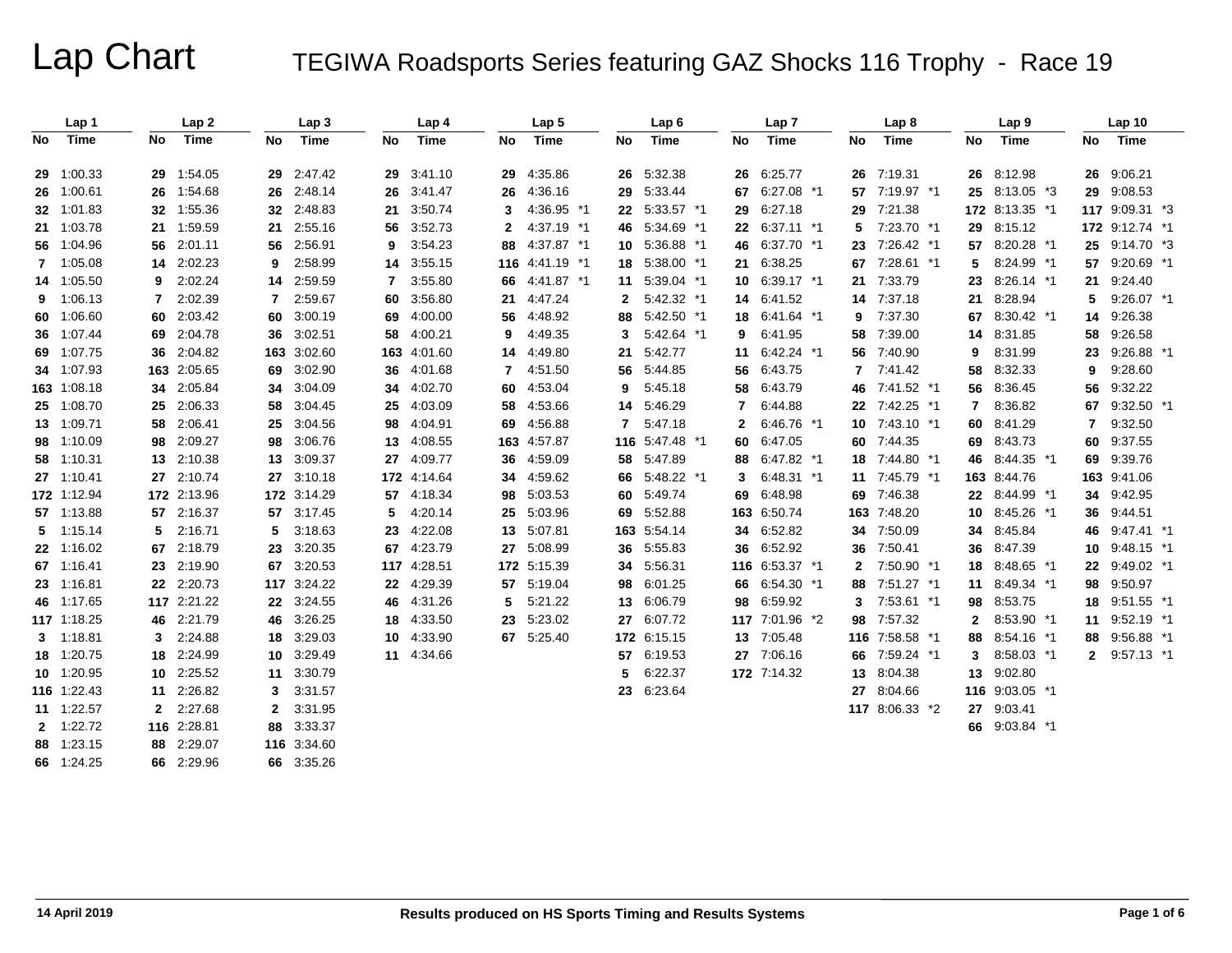|    | Lap 1       |    | Lap2        |     | Lap <sub>3</sub> |     | Lap 4       |              | Lap <sub>5</sub> |              | Lap <sub>6</sub> |              | Lap <sub>7</sub> |              | Lap <sub>8</sub> |     | Lap <sub>9</sub> |    | Lap <sub>10</sub> |  |
|----|-------------|----|-------------|-----|------------------|-----|-------------|--------------|------------------|--------------|------------------|--------------|------------------|--------------|------------------|-----|------------------|----|-------------------|--|
| No | Time        | No | Time        | No. | Time             | No. | Time        | No           | Time             | No           | Time             | No           | Time             | No           | Time             | No  | Time             | No | Time              |  |
|    | 29 1:00.33  |    | 29 1:54.05  |     | 29 2:47.42       | 29  | 3:41.10     | 29           | 4:35.86          |              | 26 5:32.38       |              | 26 6:25.77       |              | 26 7:19.31       |     | 26 8:12.98       |    | 26 9:06.21        |  |
|    | 26 1:00.61  |    | 26 1:54.68  | 26  | 2:48.14          | 26  | 3:41.47     | 26           | 4:36.16          | 29           | 5:33.44          |              | 67 6:27.08 *1    |              | 57 7:19.97 *1    |     | 25 8:13.05 *3    |    | 29 9:08.53        |  |
|    | 32 1:01.83  |    | 32 1:55.36  |     | 32 2:48.83       | 21  | 3:50.74     | 3            | 4:36.95 *1       |              | 22 5:33.57 *1    |              | 29 6:27.18       | 29           | 7:21.38          |     | 172 8:13.35 *1   |    | 117 9:09.31 *3    |  |
|    | 21 1:03.78  |    | 21 1:59.59  |     | 21 2:55.16       | 56  | 3:52.73     | $\mathbf{2}$ | 4:37.19 *1       | 46           | 5:34.69 *1       |              | 22 6:37.11 *1    | 5.           | 7:23.70 *1       |     | 29 8:15.12       |    | 172 9:12.74 *1    |  |
|    | 56 1:04.96  |    | 56 2:01.11  | 56  | 2:56.91          | 9   | 3:54.23     | 88           | 4:37.87 *1       |              | 10 5:36.88 *1    |              | 46 6:37.70 *1    | 23           | 7:26.42 *1       |     | 57 8:20.28 *1    |    | 25 9:14.70 *3     |  |
|    | 7 1:05.08   |    | 14 2:02.23  | 9   | 2:58.99          | 14  | 3:55.15     |              | 116 4:41.19 *1   |              | 18 5:38.00 *1    |              | 21 6:38.25       |              | 67 7:28.61 *1    | 5   | 8:24.99 *1       |    | 57 9:20.69 *1     |  |
|    | 14 1:05.50  | 9  | 2:02.24     | 14  | 2:59.59          | 7   | 3:55.80     |              | 66 4:41.87 *1    |              | 11 5:39.04 *1    |              | 10 6:39.17 *1    | 21           | 7:33.79          | 23  | $8:26.14$ *1     |    | 21 9:24.40        |  |
|    | 9 1:06.13   | 7  | 2:02.39     | 7.  | 2:59.67          | 60  | 3:56.80     | 21           | 4:47.24          | $\mathbf{2}$ | 5:42.32 *1       |              | 14 6:41.52       |              | 14 7:37.18       | 21  | 8:28.94          | 5. | $9:26.07$ *1      |  |
|    | 60 1:06.60  |    | 60 2:03.42  | 60  | 3:00.19          | 69  | 4:00.00     | 56           | 4:48.92          |              | 88 5:42.50 *1    |              | 18 6:41.64 *1    | 9            | 7:37.30          | 67  | $8:30.42$ *1     | 14 | 9:26.38           |  |
|    | 36 1:07.44  |    | 69 2:04.78  | 36  | 3:02.51          | 58  | 4:00.21     | 9            | 4:49.35          | 3            | 5:42.64 *1       | 9            | 6:41.95          | 58           | 7:39.00          |     | 14 8:31.85       |    | 58 9:26.58        |  |
|    | 69 1:07.75  |    | 36 2:04.82  |     | 163 3:02.60      | 163 | 4:01.60     | 14           | 4:49.80          | 21           | 5:42.77          |              | 11 6:42.24 *1    | 56           | 7:40.90          | 9   | 8:31.99          | 23 | $9:26.88$ *1      |  |
|    | 34 1:07.93  |    | 163 2:05.65 | 69  | 3:02.90          | 36  | 4:01.68     | 7            | 4:51.50          | 56           | 5:44.85          | 56           | 6:43.75          | 7            | 7:41.42          | 58  | 8:32.33          | 9  | 9:28.60           |  |
|    | 163 1:08.18 |    | 34 2:05.84  | 34  | 3:04.09          | 34  | 4:02.70     | 60           | 4:53.04          | 9            | 5.45.18          | 58           | 6:43.79          | 46           | 7:41.52 *1       | 56  | 8:36.45          | 56 | 9:32.22           |  |
|    | 25 1:08.70  | 25 | 2:06.33     | 58  | 3:04.45          | 25  | 4:03.09     | 58           | 4:53.66          | 14           | 5:46.29          | 7            | 6.44.88          |              | 22 7:42.25 *1    | 7   | 8:36.82          | 67 | $9:32.50$ *1      |  |
|    | 13 1:09.71  |    | 58 2:06.41  | 25  | 3:04.56          | 98  | 4:04.91     | 69           | 4:56.88          | $\mathbf{7}$ | 5:47.18          | $\mathbf{2}$ | 6:46.76 *1       |              | 10 7:43.10 *1    | 60  | 8:41.29          | 7  | 9:32.50           |  |
|    | 98 1:10.09  |    | 98 2:09.27  | 98  | 3:06.76          | 13  | 4:08.55     |              | 163 4:57.87      |              | 116 5:47.48 *1   | 60           | 6:47.05          | 60           | 7:44.35          | 69  | 8:43.73          | 60 | 9:37.55           |  |
|    | 58 1:10.31  |    | 13 2:10.38  |     | 13 3:09.37       | 27  | 4:09.77     | 36           | 4:59.09          |              | 58 5:47.89       | 88           | $6:47.82$ *1     |              | 18 7:44.80 *1    | 46  | 8:44.35 *1       |    | 69 9:39.76        |  |
|    | 27 1:10.41  |    | 27 2:10.74  |     | 27 3:10.18       |     | 172 4:14.64 | 34           | 4:59.62          | 66           | 5:48.22 *1       | 3            | 6:48.31 *1       | 11           | 7:45.79 *1       |     | 163 8:44.76      |    | 163 9:41.06       |  |
|    | 172 1:12.94 |    | 172 2:13.96 |     | 172 3:14.29      | 57  | 4:18.34     | 98           | 5:03.53          | 60           | 5:49.74          | 69           | 6:48.98          | 69           | 7:46.38          | 22  | 8:44.99 *1       |    | 34 9:42.95        |  |
|    | 57 1:13.88  |    | 57 2:16.37  |     | 57 3:17.45       | 5   | 4:20.14     | 25           | 5:03.96          | 69           | 5:52.88          |              | 163 6:50.74      |              | 163 7:48.20      | 10  | 8:45.26 *1       |    | 36 9:44.51        |  |
|    | 5 1:15.14   | 5  | 2:16.71     | 5   | 3:18.63          | 23  | 4:22.08     |              | 13 5:07.81       |              | 163 5:54.14      |              | 34 6:52.82       | 34           | 7:50.09          | 34  | 8:45.84          |    | 46 9:47.41 *1     |  |
|    | 22 1:16.02  |    | 67 2:18.79  | 23  | 3:20.35          | 67  | 4:23.79     | 27           | 5:08.99          |              | 36 5:55.83       |              | 36 6:52.92       | 36           | 7:50.41          | 36  | 8:47.39          |    | 10 9:48.15 *1     |  |
|    | 67 1:16.41  |    | 23 2:19.90  | 67  | 3:20.53          |     | 117 4:28.51 |              | 172 5:15.39      | 34           | 5:56.31          |              | 116 6:53.37 *1   | $\mathbf{2}$ | 7:50.90 *1       | 18  | 8:48.65 *1       |    | 22 9:49.02 *1     |  |
|    | 23 1:16.81  |    | 22 2:20.73  |     | 117 3:24.22      | 22  | 4:29.39     |              | 57 5:19.04       | 98           | 6:01.25          |              | 66 6:54.30 *1    | 88           | 7:51.27 *1       | 11  | 8:49.34 *1       |    | 98 9:50.97        |  |
|    | 46 1:17.65  |    | 117 2:21.22 |     | 22 3:24.55       | 46  | 4:31.26     | 5.           | 5:21.22          |              | 13 6:06.79       |              | 98 6:59.92       | 3            | 7:53.61 *1       | 98  | 8:53.75          |    | 18 9:51.55 *1     |  |
|    | 117 1:18.25 |    | 46 2:21.79  | 46  | 3:26.25          | 18  | 4:33.50     |              | 23 5:23.02       |              | 27 6:07.72       |              | 117 7:01.96 *2   | 98           | 7:57.32          | 2   | 8:53.90 *1       |    | 11 9:52.19 *1     |  |
|    | 3 1:18.81   | 3  | 2:24.88     | 18  | 3:29.03          | 10  | 4:33.90     |              | 67 5:25.40       |              | 172 6:15.15      |              | 13 7:05.48       |              | 116 7:58.58 *1   | 88  | 8:54.16 *1       |    | 88 9:56.88 *1     |  |
|    | 18 1:20.75  |    | 18 2:24.99  | 10  | 3:29.49          |     | 11 4:34.66  |              |                  |              | 57 6:19.53       |              | 27 7:06.16       | 66           | 7:59.24 *1       | 3   | 8:58.03 *1       |    | 2 9:57.13 *1      |  |
|    | 10 1:20.95  |    | 10 2:25.52  | 11  | 3:30.79          |     |             |              |                  | 5            | 6:22.37          |              | 172 7:14.32      | 13           | 8:04.38          | 13  | 9:02.80          |    |                   |  |
|    | 116 1:22.43 |    | 11 2:26.82  | 3   | 3:31.57          |     |             |              |                  |              | 23 6:23.64       |              |                  | 27           | 8:04.66          | 116 | $9:03.05$ *1     |    |                   |  |
|    | 11 1:22.57  |    | 2 2:27.68   | 2   | 3:31.95          |     |             |              |                  |              |                  |              |                  |              | 117 8:06.33 *2   | 27  | 9:03.41          |    |                   |  |
|    | 2 1:22.72   |    | 116 2:28.81 | 88  | 3:33.37          |     |             |              |                  |              |                  |              |                  |              |                  |     | 66 9:03.84 *1    |    |                   |  |
|    | 88 1:23.15  |    | 88 2:29.07  |     | 116 3:34.60      |     |             |              |                  |              |                  |              |                  |              |                  |     |                  |    |                   |  |
|    | 66 1:24.25  |    | 66 2:29.96  |     | 66 3:35.26       |     |             |              |                  |              |                  |              |                  |              |                  |     |                  |    |                   |  |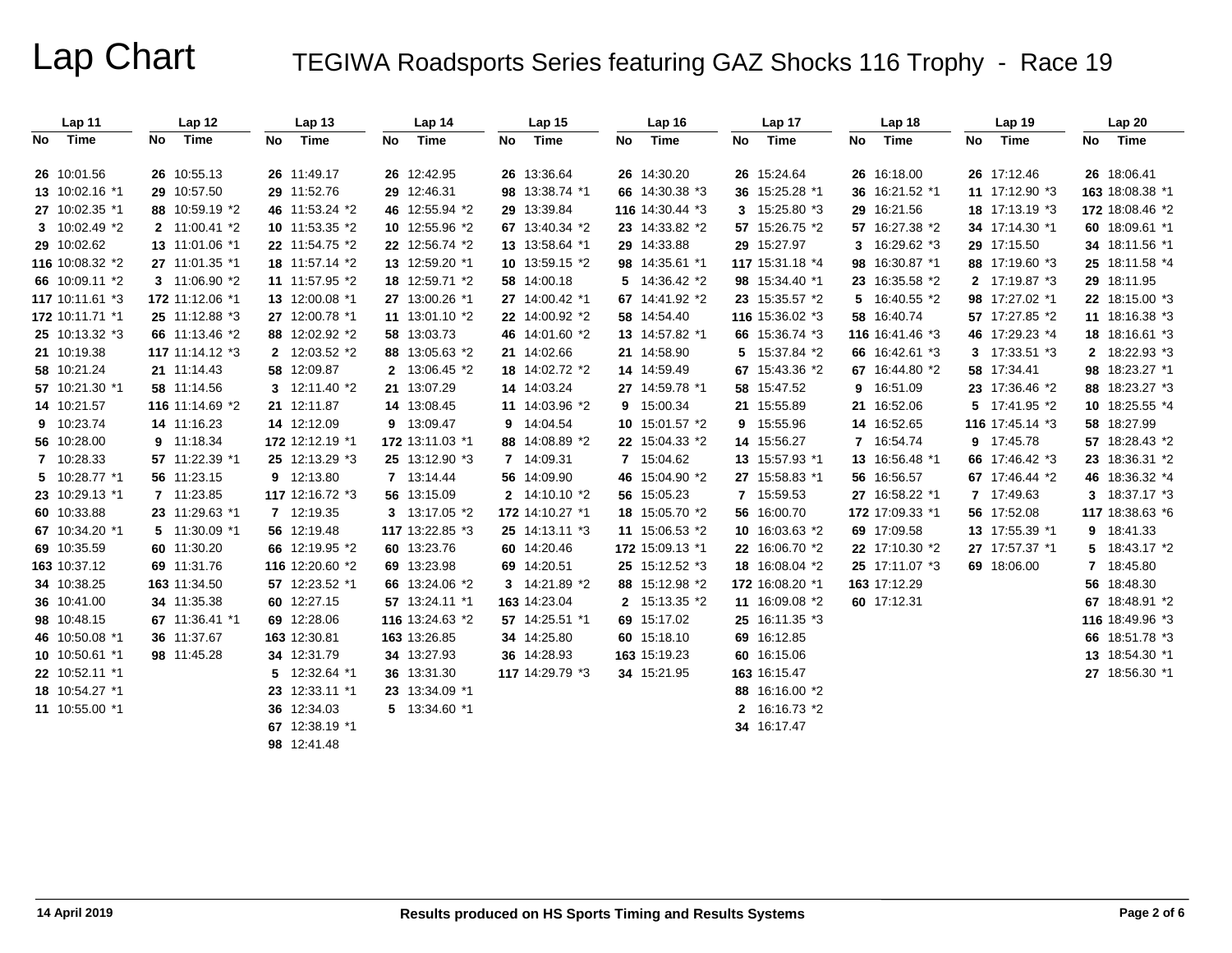|    | Lap 11          |    | Lap <sub>12</sub> |    | Lap <sub>13</sub> |     | Lap 14          | Lap 15          |    | Lap <sub>16</sub> |    | Lap 17          |    | Lap 18          |    | Lap 19          |    | Lap20           |
|----|-----------------|----|-------------------|----|-------------------|-----|-----------------|-----------------|----|-------------------|----|-----------------|----|-----------------|----|-----------------|----|-----------------|
| No | Time            | No | Time              | No | Time              | No. | Time            | No Time         | No | Time              | No | Time            | No | Time            | No | Time            | No | Time            |
|    | 26 10:01.56     |    | 26 10:55.13       |    | 26 11:49.17       |     | 26 12:42.95     | 26 13:36.64     |    | 26 14:30.20       |    | 26 15:24.64     |    | 26 16:18.00     |    | 26 17:12.46     |    | 26 18:06.41     |
|    | 13 10:02.16 *1  |    | 29 10:57.50       |    | 29 11:52.76       |     | 29 12:46.31     | 98 13:38.74 *1  |    | 66 14:30.38 *3    |    | 36 15:25.28 *1  |    | 36 16:21.52 *1  |    | 11 17:12.90 *3  |    | 163 18:08.38 *1 |
|    | 27 10:02.35 *1  |    | 88 10:59.19 *2    |    | 46 11:53.24 *2    |     | 46 12:55.94 *2  | 29 13:39.84     |    | 116 14:30.44 *3   |    | 3 15:25.80 *3   |    | 29 16:21.56     |    | 18 17:13.19 *3  |    | 172 18:08.46 *2 |
|    | 3 10:02.49 *2   |    | 2 11:00.41 *2     |    | 10 11:53.35 *2    |     | 10 12:55.96 *2  | 67 13:40.34 *2  |    | 23 14:33.82 *2    |    | 57 15:26.75 *2  |    | 57 16:27.38 *2  |    | 34 17:14.30 *1  |    | 60 18:09.61 *1  |
|    | 29 10:02.62     |    | 13 11:01.06 *1    |    | 22 11:54.75 *2    |     | 22 12:56.74 *2  | 13 13:58.64 *1  |    | 29 14:33.88       |    | 29 15:27.97     |    | 3 16:29.62 *3   |    | 29 17:15.50     |    | 34 18:11.56 *1  |
|    | 116 10:08.32 *2 |    | 27 11:01.35 *1    |    | 18 11:57.14 *2    |     | 13 12:59.20 *1  | 10 13:59.15 *2  |    | 98 14:35.61 *1    |    | 117 15:31.18 *4 |    | 98 16:30.87 *1  |    | 88 17:19.60 *3  |    | 25 18:11.58 *4  |
|    | 66 10:09.11 *2  |    | 3 11:06.90 *2     |    | 11 11:57.95 *2    |     | 18 12:59.71 *2  | 58 14:00.18     |    | 5 14:36.42 *2     |    | 98 15:34.40 *1  |    | 23 16:35.58 *2  |    | 2 17:19.87 *3   |    | 29 18:11.95     |
|    | 117 10:11.61 *3 |    | 172 11:12.06 *1   |    | 13 12:00.08 *1    |     | 27 13:00.26 *1  | 27 14:00.42 *1  |    | 67 14:41.92 *2    |    | 23 15:35.57 *2  |    | 5 $16:40.55*2$  |    | 98 17:27.02 *1  |    | 22 18:15.00 *3  |
|    | 172 10:11.71 *1 |    | 25 11:12.88 *3    |    | 27 12:00.78 *1    |     | 11 13:01.10 *2  | 22 14:00.92 *2  |    | 58 14:54.40       |    | 116 15:36.02 *3 |    | 58 16:40.74     |    | 57 17:27.85 *2  |    | 11 18:16.38 *3  |
|    | 25 10:13.32 *3  |    | 66 11:13.46 *2    |    | 88 12:02.92 *2    |     | 58 13:03.73     | 46 14:01.60 *2  |    | 13 14:57.82 *1    |    | 66 15:36.74 *3  |    | 116 16:41.46 *3 |    | 46 17:29.23 *4  |    | 18 18:16.61 *3  |
|    | 21 10:19.38     |    | 117 11:14.12 *3   |    | 2 12:03.52 *2     |     | 88 13:05.63 *2  | 21 14:02.66     |    | 21 14:58.90       |    | 5 15:37.84 *2   |    | 66 16:42.61 *3  |    | 3 17:33.51 *3   |    | 2 18:22.93 *3   |
|    | 58 10:21.24     |    | 21 11:14.43       |    | 58 12:09.87       |     | 2 13:06.45 *2   | 18 14:02.72 *2  |    | 14 14:59.49       |    | 67 15:43.36 *2  |    | 67 16:44.80 *2  |    | 58 17:34.41     |    | 98 18:23.27 *1  |
|    | 57 10:21.30 *1  |    | 58 11:14.56       |    | 3 $12:11.40*2$    |     | 21 13:07.29     | 14 14:03.24     |    | 27 14:59.78 *1    |    | 58 15:47.52     |    | 9 16:51.09      |    | 23 17:36.46 *2  |    | 88 18:23.27 *3  |
|    | 14 10:21.57     |    | 116 11:14.69 *2   |    | 21 12:11.87       |     | 14 13:08.45     | 11 14:03.96 *2  |    | 9 15:00.34        |    | 21 15:55.89     |    | 21 16:52.06     |    | 5 17:41.95 *2   |    | 10 18:25.55 *4  |
|    | 9 10:23.74      |    | 14 11:16.23       |    | 14 12:12.09       |     | 9 13:09.47      | 9 14:04.54      |    | 10 15:01.57 *2    |    | 9 15:55.96      |    | 14 16:52.65     |    | 116 17:45.14 *3 |    | 58 18:27.99     |
|    | 56 10:28.00     |    | 9 11:18.34        |    | 172 12:12.19 *1   |     | 172 13:11.03 *1 | 88 14:08.89 *2  |    | 22 15:04.33 *2    |    | 14 15:56.27     |    | 7 16:54.74      |    | 9 17:45.78      |    | 57 18:28.43 *2  |
|    | 7 10:28.33      |    | 57 11:22.39 *1    |    | 25 12:13.29 *3    |     | 25 13:12.90 *3  | 7 14:09.31      |    | 7 15:04.62        |    | 13 15:57.93 *1  |    | 13 16:56.48 *1  |    | 66 17:46.42 *3  |    | 23 18:36.31 *2  |
|    | 5 10:28.77 *1   |    | 56 11:23.15       |    | 9 12:13.80        |     | 7 13:14.44      | 56 14:09.90     |    | 46 15:04.90 *2    |    | 27 15:58.83 *1  |    | 56 16:56.57     |    | 67 17:46.44 *2  |    | 46 18:36.32 *4  |
|    | 23 10:29.13 *1  |    | 7 11:23.85        |    | 117 12:16.72 *3   |     | 56 13:15.09     | 2 14:10.10 *2   |    | 56 15:05.23       |    | 7 15:59.53      |    | 27 16:58.22 *1  |    | 7 17:49.63      |    | 3 18:37.17 *3   |
|    | 60 10:33.88     |    | 23 11:29.63 *1    |    | 7 12:19.35        |     | 3 13:17.05 *2   | 172 14:10.27 *1 |    | 18 15:05.70 *2    |    | 56 16:00.70     |    | 172 17:09.33 *1 |    | 56 17:52.08     |    | 117 18:38.63 *6 |
|    | 67 10:34.20 *1  |    | 5 11:30.09 *1     |    | 56 12:19.48       |     | 117 13:22.85 *3 | 25 14:13.11 *3  |    | 11 15:06.53 *2    |    | 10 16:03.63 *2  |    | 69 17:09.58     |    | 13 17:55.39 *1  |    | 9 18:41.33      |
|    | 69 10:35.59     |    | 60 11:30.20       |    | 66 12:19.95 *2    |     | 60 13:23.76     | 60 14:20.46     |    | 172 15:09.13 *1   |    | 22 16:06.70 *2  |    | 22 17:10.30 *2  |    | 27 17:57.37 *1  |    | 5 18:43.17 *2   |
|    | 163 10:37.12    |    | 69 11:31.76       |    | 116 12:20.60 *2   |     | 69 13:23.98     | 69 14:20.51     |    | 25 15:12.52 *3    |    | 18 16:08.04 *2  |    | 25 17:11.07 *3  |    | 69 18:06.00     |    | 7 18:45.80      |
|    | 34 10:38.25     |    | 163 11:34.50      |    | 57 12:23.52 *1    |     | 66 13:24.06 *2  | 3 14:21.89 *2   |    | 88 15:12.98 *2    |    | 172 16:08.20 *1 |    | 163 17:12.29    |    |                 |    | 56 18:48.30     |
|    | 36 10:41.00     |    | 34 11:35.38       |    | 60 12:27.15       |     | 57 13:24.11 *1  | 163 14:23.04    |    | 2 15:13.35 *2     |    | 11 16:09.08 *2  |    | 60 17:12.31     |    |                 |    | 67 18:48.91 *2  |
|    | 98 10:48.15     |    | 67 11:36.41 *1    |    | 69 12:28.06       |     | 116 13:24.63 *2 | 57 14:25.51 *1  |    | 69 15:17.02       |    | 25 16:11.35 *3  |    |                 |    |                 |    | 116 18:49.96 *3 |
|    | 46 10:50.08 *1  |    | 36 11:37.67       |    | 163 12:30.81      |     | 163 13:26.85    | 34 14:25.80     |    | 60 15:18.10       |    | 69 16:12.85     |    |                 |    |                 |    | 66 18:51.78 *3  |
|    | 10 10:50.61 *1  |    | 98 11:45.28       |    | 34 12:31.79       |     | 34 13:27.93     | 36 14:28.93     |    | 163 15:19.23      |    | 60 16:15.06     |    |                 |    |                 |    | 13 18:54.30 *1  |
|    | 22 10:52.11 *1  |    |                   |    | 5 12:32.64 *1     |     | 36 13:31.30     | 117 14:29.79 *3 |    | 34 15:21.95       |    | 163 16:15.47    |    |                 |    |                 |    | 27 18:56.30 *1  |
|    | 18 10:54.27 *1  |    |                   |    | 23 12:33.11 *1    |     | 23 13:34.09 *1  |                 |    |                   |    | 88 16:16.00 *2  |    |                 |    |                 |    |                 |
|    | 11 10:55.00 *1  |    |                   |    | 36 12:34.03       |     | 5 13:34.60 *1   |                 |    |                   |    | 2 16:16.73 *2   |    |                 |    |                 |    |                 |
|    |                 |    |                   |    | 67 12:38.19 *1    |     |                 |                 |    |                   |    | 34 16:17.47     |    |                 |    |                 |    |                 |
|    |                 |    |                   |    | 98 12:41.48       |     |                 |                 |    |                   |    |                 |    |                 |    |                 |    |                 |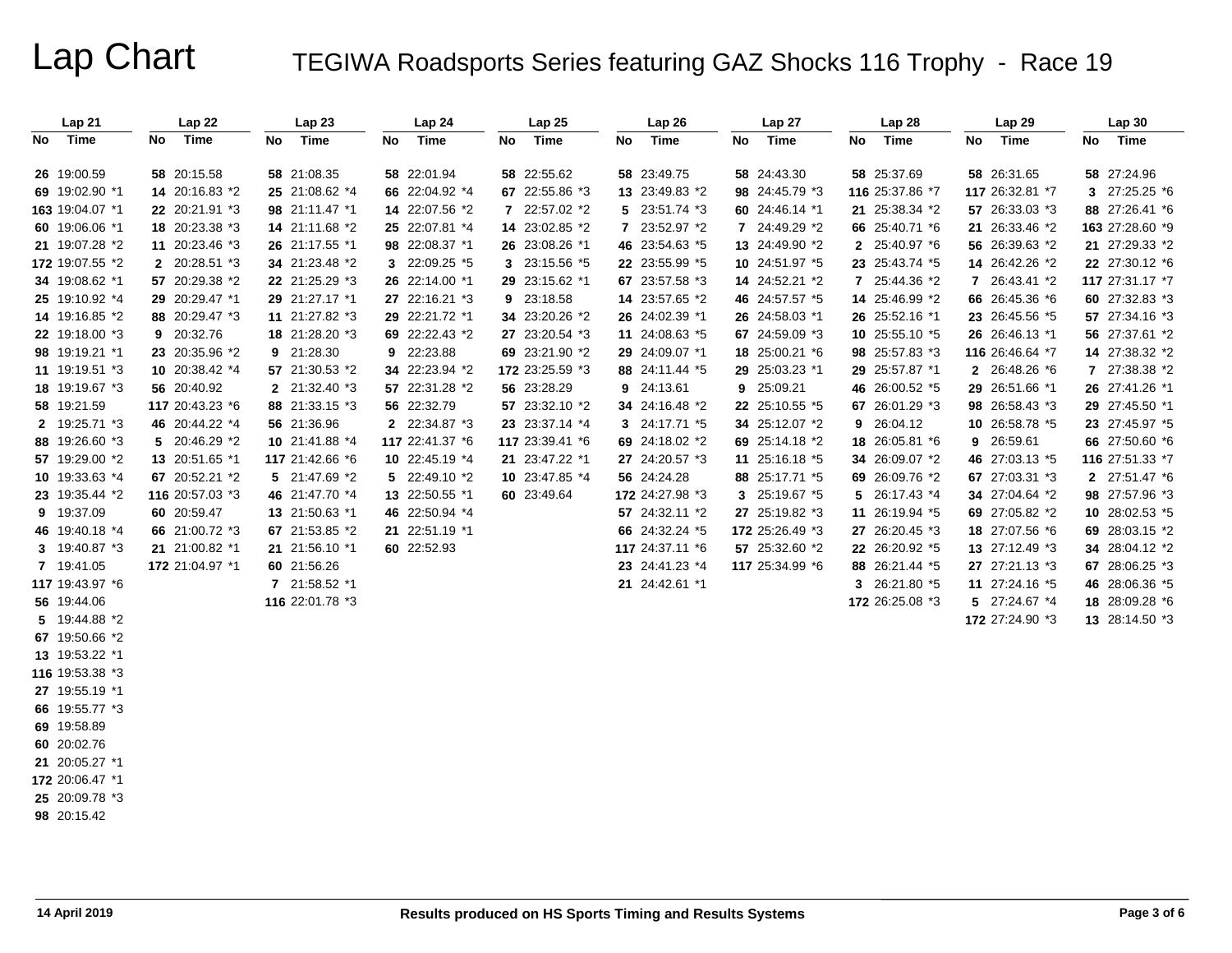|     | Lap21           |    | Lap 22          |    | Lap23           |    | Lap 24          | Lap25           | Lap 26          |    | Lap 27          |    | Lap 28          |    | Lap 29          | Lap30           |
|-----|-----------------|----|-----------------|----|-----------------|----|-----------------|-----------------|-----------------|----|-----------------|----|-----------------|----|-----------------|-----------------|
| No. | Time            | No | Time            | No | Time            | No | Time            | No Time         | No Time         | No | Time            | No | Time            | No | Time            | No Time         |
|     | 26 19:00.59     |    | 58 20:15.58     |    | 58 21:08.35     |    | 58 22:01.94     | 58 22:55.62     | 58 23:49.75     |    | 58 24:43.30     |    | 58 25:37.69     |    | 58 26:31.65     | 58 27:24.96     |
|     | 69 19:02.90 *1  |    | 14 20:16.83 *2  |    | 25 21:08.62 *4  |    | 66 22:04.92 *4  | 67 22:55.86 *3  | 13 23:49.83 *2  |    | 98 24:45.79 *3  |    | 116 25:37.86 *7 |    | 117 26:32.81 *7 | 3 27:25.25 *6   |
|     | 163 19:04.07 *1 |    | 22 20:21.91 *3  |    | 98 21:11.47 *1  |    | 14 22:07.56 *2  | 7 22:57.02 *2   | 5 23:51.74 *3   |    | 60 24:46.14 *1  |    | 21 25:38.34 *2  |    | 57 26:33.03 *3  | 88 27:26.41 *6  |
|     | 60 19:06.06 *1  |    | 18 20:23.38 *3  |    | 14 21:11.68 *2  |    | 25 22:07.81 *4  | 14 23:02.85 *2  | 7 23:52.97 *2   |    | 7 24:49.29 *2   |    | 66 25:40.71 *6  |    | 21 26:33.46 *2  | 163 27:28.60 *9 |
|     | 21 19:07.28 *2  |    | 11 20:23.46 *3  |    | 26 21:17.55 *1  |    | 98 22:08.37 *1  | 26 23:08.26 *1  | 46 23:54.63 *5  |    | 13 24:49.90 *2  |    | 2 25:40.97 *6   |    | 56 26:39.63 *2  | 21 27:29.33 *2  |
|     | 172 19:07.55 *2 |    | 2 20:28.51 *3   |    | 34 21:23.48 *2  |    | 3 22:09.25 *5   | 3 23:15.56 *5   | 22 23:55.99 *5  |    | 10 24:51.97 *5  |    | 23 25:43.74 *5  |    | 14 26:42.26 *2  | 22 27:30.12 *6  |
|     | 34 19:08.62 *1  |    | 57 20:29.38 *2  |    | 22 21:25.29 *3  |    | 26 22:14.00 *1  | 29 23:15.62 *1  | 67 23:57.58 *3  |    | 14 24:52.21 *2  |    | 7 25:44.36 *2   |    | 7 26:43.41 *2   | 117 27:31.17 *7 |
|     | 25 19:10.92 *4  |    | 29 20:29.47 *1  |    | 29 21:27.17 *1  |    | 27 22:16.21 *3  | 9 23:18.58      | 14 23:57.65 *2  |    | 46 24:57.57 *5  |    | 14 25:46.99 *2  |    | 66 26:45.36 *6  | 60 27:32.83 *3  |
|     | 14 19:16.85 *2  |    | 88 20:29.47 *3  |    | 11 21:27.82 *3  |    | 29 22:21.72 *1  | 34 23:20.26 *2  | 26 24:02.39 *1  |    | 26 24:58.03 *1  |    | 26 25:52.16 *1  |    | 23 26:45.56 *5  | 57 27:34.16 *3  |
|     | 22 19:18.00 *3  |    | 9 20:32.76      |    | 18 21:28.20 *3  |    | 69 22:22.43 *2  | 27 23:20.54 *3  | 11 24:08.63 *5  |    | 67 24:59.09 *3  |    | 10 25:55.10 *5  |    | 26 26:46.13 *1  | 56 27:37.61 *2  |
|     | 98 19:19.21 *1  |    | 23 20:35.96 *2  |    | 9 21:28.30      |    | 9 22:23.88      | 69 23:21.90 *2  | 29 24:09.07 *1  |    | 18 25:00.21 *6  |    | 98 25:57.83 *3  |    | 116 26:46.64 *7 | 14 27:38.32 *2  |
|     | 11 19:19.51 *3  |    | 10 20:38.42 *4  |    | 57 21:30.53 *2  |    | 34 22:23.94 *2  | 172 23:25.59 *3 | 88 24:11.44 *5  |    | 29 25:03.23 *1  |    | 29 25:57.87 *1  |    | 2 26:48.26 *6   | 7 27:38.38 *2   |
|     | 18 19:19.67 *3  |    | 56 20:40.92     |    | 2 21:32.40 *3   |    | 57 22:31.28 *2  | 56 23:28.29     | 9 24:13.61      |    | 9 25:09.21      |    | 46 26:00.52 *5  |    | 29 26:51.66 *1  | 26 27:41.26 *1  |
|     | 58 19:21.59     |    | 117 20:43.23 *6 |    | 88 21:33.15 *3  |    | 56 22:32.79     | 57 23:32.10 *2  | 34 24:16.48 *2  |    | 22 25:10.55 *5  |    | 67 26:01.29 *3  |    | 98 26:58.43 *3  | 29 27:45.50 *1  |
|     | 2 19:25.71 *3   |    | 46 20:44.22 *4  |    | 56 21:36.96     |    | 2 22:34.87 *3   | 23 23:37.14 *4  | 3 24:17.71 *5   |    | 34 25:12.07 *2  |    | 9 26:04.12      |    | 10 26:58.78 *5  | 23 27:45.97 *5  |
|     | 88 19:26.60 *3  |    | 5 20:46.29 *2   |    | 10 21:41.88 *4  |    | 117 22:41.37 *6 | 117 23:39.41 *6 | 69 24:18.02 *2  |    | 69 25:14.18 *2  |    | 18 26:05.81 *6  | 9  | 26:59.61        | 66 27:50.60 *6  |
|     | 57 19:29.00 *2  |    | 13 20:51.65 *1  |    | 117 21:42.66 *6 |    | 10 22:45.19 *4  | 21 23:47.22 *1  | 27 24:20.57 *3  |    | 11 25:16.18 *5  |    | 34 26:09.07 *2  |    | 46 27:03.13 *5  | 116 27:51.33 *7 |
|     | 10 19:33.63 *4  |    | 67 20:52.21 *2  |    | 5 21:47.69 *2   |    | 5 22:49.10 *2   | 10 23:47.85 *4  | 56 24:24.28     |    | 88 25:17.71 *5  |    | 69 26:09.76 *2  |    | 67 27:03.31 *3  | 2 27:51.47 *6   |
|     | 23 19:35.44 *2  |    | 116 20:57.03 *3 |    | 46 21:47.70 *4  |    | 13 22:50.55 *1  | 60 23:49.64     | 172 24:27.98 *3 |    | 3 25:19.67 *5   |    | 5 26:17.43 *4   |    | 34 27:04.64 *2  | 98 27:57.96 *3  |
|     | 9 19:37.09      |    | 60 20:59.47     |    | 13 21:50.63 *1  |    | 46 22:50.94 *4  |                 | 57 24:32.11 *2  |    | 27 25:19.82 *3  |    | 11 26:19.94 *5  |    | 69 27:05.82 *2  | 10 28:02.53 *5  |
|     | 46 19:40.18 *4  |    | 66 21:00.72 *3  |    | 67 21:53.85 *2  |    | 21 22:51.19 *1  |                 | 66 24:32.24 *5  |    | 172 25:26.49 *3 |    | 27 26:20.45 *3  |    | 18 27:07.56 *6  | 69 28:03.15 *2  |
|     | 3 19:40.87 *3   |    | 21 21:00.82 *1  |    | 21 21:56.10 *1  |    | 60 22:52.93     |                 | 117 24:37.11 *6 |    | 57 25:32.60 *2  |    | 22 26:20.92 *5  |    | 13 27:12.49 *3  | 34 28:04.12 *2  |
|     | 7 19:41.05      |    | 172 21:04.97 *1 |    | 60 21:56.26     |    |                 |                 | 23 24:41.23 *4  |    | 117 25:34.99 *6 |    | 88 26:21.44 *5  |    | 27 27:21.13 *3  | 67 28:06.25 *3  |
|     | 117 19:43.97 *6 |    |                 |    | 7 21:58.52 *1   |    |                 |                 | 21 24:42.61 *1  |    |                 |    | 3 26:21.80 *5   |    | 11 27:24.16 *5  | 46 28:06.36 *5  |
|     | 56 19:44.06     |    |                 |    | 116 22:01.78 *3 |    |                 |                 |                 |    |                 |    | 172 26:25.08 *3 |    | 5 27:24.67 *4   | 18 28:09.28 *6  |
|     | 5 19:44.88 *2   |    |                 |    |                 |    |                 |                 |                 |    |                 |    |                 |    | 172 27:24.90 *3 | 13 28:14.50 *3  |
|     | 67 19:50.66 *2  |    |                 |    |                 |    |                 |                 |                 |    |                 |    |                 |    |                 |                 |
|     | 13 19:53.22 *1  |    |                 |    |                 |    |                 |                 |                 |    |                 |    |                 |    |                 |                 |
|     | 116 19:53.38 *3 |    |                 |    |                 |    |                 |                 |                 |    |                 |    |                 |    |                 |                 |
|     | 27 19:55.19 *1  |    |                 |    |                 |    |                 |                 |                 |    |                 |    |                 |    |                 |                 |
|     | 66 19:55.77 *3  |    |                 |    |                 |    |                 |                 |                 |    |                 |    |                 |    |                 |                 |
|     | 69 19:58.89     |    |                 |    |                 |    |                 |                 |                 |    |                 |    |                 |    |                 |                 |
|     | 60 20:02.76     |    |                 |    |                 |    |                 |                 |                 |    |                 |    |                 |    |                 |                 |
|     | 21 20:05.27 *1  |    |                 |    |                 |    |                 |                 |                 |    |                 |    |                 |    |                 |                 |
|     | 172 20:06.47 *1 |    |                 |    |                 |    |                 |                 |                 |    |                 |    |                 |    |                 |                 |
|     | 25 20:09.78 *3  |    |                 |    |                 |    |                 |                 |                 |    |                 |    |                 |    |                 |                 |
|     | 98 20:15.42     |    |                 |    |                 |    |                 |                 |                 |    |                 |    |                 |    |                 |                 |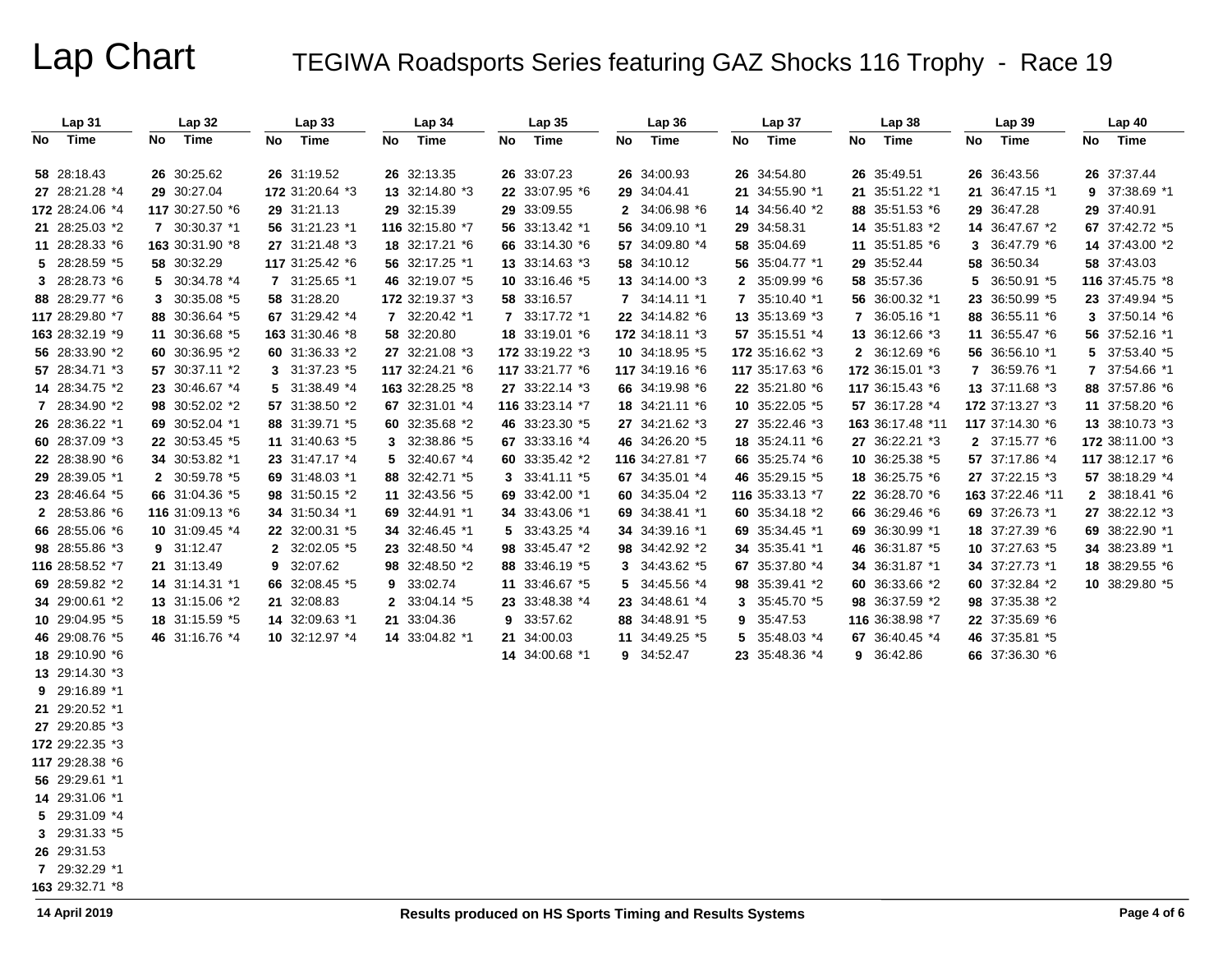| Lap 31          | Lap 32          | Lap33           | Lap 34                      | <b>Lap 35</b>   | Lap36           | Lap 37          | Lap38             | Lap39            | Lap40            |
|-----------------|-----------------|-----------------|-----------------------------|-----------------|-----------------|-----------------|-------------------|------------------|------------------|
| Time<br>No      | No<br>Time      | Time<br>No      | Time<br>No.                 | Time<br>No      | Time<br>No      | Time<br>No      | Time<br>No        | Time<br>No       | No Time          |
|                 |                 |                 |                             |                 |                 |                 |                   |                  |                  |
| 58 28:18.43     | 26 30:25.62     | 26 31:19.52     | 26 32:13.35                 | 26 33:07.23     | 26 34:00.93     | 26 34:54.80     | 26 35:49.51       | 26 36:43.56      | 26 37:37.44      |
| 27 28:21.28 *4  | 29 30:27.04     | 172 31:20.64 *3 | 13 32:14.80 *3              | 22 33:07.95 *6  | 29 34:04.41     | 21 34:55.90 *1  | 21 35:51.22 *1    | 21 36:47.15 *1   | 9 37:38.69 *1    |
| 172 28:24.06 *4 | 117 30:27.50 *6 | 29 31:21.13     | 29 32:15.39                 | 29 33:09.55     | 2 34:06.98 *6   | 14 34:56.40 *2  | 88 35:51.53 *6    | 29 36:47.28      | 29 37:40.91      |
| 21 28:25.03 *2  | 7 30:30.37 *1   | 56 31:21.23 *1  | 116 32:15.80 *7             | 56 33:13.42 *1  | 56 34:09.10 *1  | 29 34:58.31     | 14 35:51.83 *2    | 14 36:47.67 *2   | 67 37:42.72 *5   |
| 11 28:28.33 *6  | 163 30:31.90 *8 | 27 31:21.48 *3  | 18 32:17.21 *6              | 66 33:14.30 *6  | 57 34:09.80 *4  | 58 35:04.69     | 11 35:51.85 *6    | 3 36:47.79 *6    | 14 37:43.00 *2   |
| 5 28:28.59 *5   | 58 30:32.29     | 117 31:25.42 *6 | 56 32:17.25 *1              | 13 33:14.63 *3  | 58 34:10.12     | 56 35:04.77 *1  | 29 35:52.44       | 58 36:50.34      | 58 37:43.03      |
| 3 28:28.73 *6   | 5 30:34.78 *4   | 7 31:25.65 *1   | 46 32:19.07 *5              | 10 33:16.46 *5  | 13 34:14.00 *3  | 2 35:09.99 *6   | 58 35:57.36       | 5 36:50.91 *5    | 116 37:45.75 *8  |
| 88 28:29.77 *6  | 3 30:35.08 *5   | 58 31:28.20     | 172 32:19.37 *3             | 58 33:16.57     | 7 34:14.11 *1   | 7 35:10.40 *1   | 56 36:00.32 *1    | 23 36:50.99 *5   | 23 37:49.94 *5   |
| 117 28:29.80 *7 | 88 30:36.64 *5  | 67 31:29.42 *4  | 7 32:20.42 *1               | 7 33:17.72 *1   | 22 34:14.82 *6  | 13 35:13.69 *3  | 7 36:05.16 *1     | 88 36:55.11 *6   | 3 37:50.14 $*$ 6 |
| 163 28:32.19 *9 | 11 30:36.68 *5  | 163 31:30.46 *8 | 58 32:20.80                 | 18 33:19.01 *6  | 172 34:18.11 *3 | 57 35:15.51 *4  | 13 36:12.66 *3    | 11 36:55.47 *6   | 56 37:52.16 *1   |
| 56 28:33.90 *2  | 60 30:36.95 *2  | 60 31:36.33 *2  | 27 32:21.08 *3              | 172 33:19.22 *3 | 10 34:18.95 *5  | 172 35:16.62 *3 | 2 36:12.69 *6     | 56 36:56.10 *1   | 5 37:53.40 *5    |
| 57 28:34.71 *3  | 57 30:37.11 *2  | 3 31:37.23 *5   | 117 32:24.21 *6             | 117 33:21.77 *6 | 117 34:19.16 *6 | 117 35:17.63 *6 | 172 36:15.01 *3   | 7 36:59.76 *1    | 7 37:54.66 *1    |
| 14 28:34.75 *2  | 23 30:46.67 *4  | 5 31:38.49 *4   | 163 32:28.25 *8             | 27 33:22.14 *3  | 66 34:19.98 *6  | 22 35:21.80 *6  | 117 36:15.43 *6   | 13 37:11.68 *3   | 88 37:57.86 *6   |
| 7 28:34.90 *2   | 98 30:52.02 *2  | 57 31:38.50 *2  | 67 32:31.01 *4              | 116 33:23.14 *7 | 18 34:21.11 *6  | 10 35:22.05 *5  | 57 36:17.28 *4    | 172 37:13.27 *3  | 11 37:58.20 *6   |
| 26 28:36.22 *1  | 69 30:52.04 *1  | 88 31:39.71 *5  | 60 32:35.68 *2              | 46 33:23.30 *5  | 27 34:21.62 *3  | 27 35:22.46 *3  | 163 36:17.48 *11  | 117 37:14.30 *6  | 13 38:10.73 *3   |
| 60 28:37.09 *3  | 22 30:53.45 *5  | 11 31:40.63 *5  | 3 32:38.86 *5               | 67 33:33.16 *4  | 46 34:26.20 *5  | 18 35:24.11 *6  | 27 36:22.21 *3    | 2 37:15.77 *6    | 172 38:11.00 *3  |
| 22 28:38.90 *6  | 34 30:53.82 *1  | 23 31:47.17 *4  | 32:40.67 *4<br>5            | 60 33:35.42 *2  | 116 34:27.81 *7 | 66 35:25.74 *6  | 10 36:25.38 *5    | 57 37:17.86 *4   | 117 38:12.17 *6  |
| 29 28:39.05 *1  | 2 30:59.78 *5   | 69 31:48.03 *1  | 32:42.71 *5<br>88           | 3 33:41.11 *5   | 67 34:35.01 *4  | 46 35:29.15 *5  | 18 36:25.75 *6    | 27 37:22.15 *3   | 57 38:18.29 *4   |
| 23 28:46.64 *5  | 66 31:04.36 *5  | 98 31:50.15 *2  | 11 32:43.56 *5              | 69 33:42.00 *1  | 60 34:35.04 *2  | 116 35:33.13 *7 | 22 36:28.70 *6    | 163 37:22.46 *11 | 2 38:18.41 *6    |
| 2 28:53.86 *6   | 116 31:09.13 *6 | 34 31:50.34 *1  | 69 32:44.91 *1              | 34 33:43.06 *1  | 69 34:38.41 *1  | 60 35:34.18 *2  | 66 36:29.46 *6    | 69 37:26.73 *1   | 27 38:22.12 *3   |
| 66 28:55.06 *6  | 10 31:09.45 *4  | 22 32:00.31 *5  | 34 32:46.45 *1              | 5 33:43.25 *4   | 34 34:39.16 *1  | 69 35:34.45 *1  | 69 36:30.99 *1    | 18 37:27.39 *6   | 69 38:22.90 *1   |
| 98 28:55.86 *3  | 9 31:12.47      | 2 32:02.05 *5   | 23 32:48.50 *4              | 98 33:45.47 *2  | 98 34:42.92 *2  | 34 35:35.41 *1  | 46 36:31.87 *5    | 10 37:27.63 *5   | 34 38:23.89 *1   |
| 116 28:58.52 *7 | 21 31:13.49     | 9 32:07.62      | 32:48.50 *2<br>98           | 88 33:46.19 *5  | 3 34:43.62 *5   | 67 35:37.80 *4  | 34 36:31.87 *1    | 34 37:27.73 *1   | 18 38:29.55 *6   |
| 69 28:59.82 *2  | 14 31:14.31 *1  | 66 32:08.45 *5  | 33:02.74<br>9               | 11 33:46.67 *5  | 5 34:45.56 *4   | 98 35:39.41 *2  | 60 36:33.66 *2    | 60 37:32.84 *2   | 10 38:29.80 *5   |
| 34 29:00.61 *2  | 13 31:15.06 *2  | 21 32:08.83     | 33:04.14 *5<br>$\mathbf{2}$ | 23 33:48.38 *4  | 23 34:48.61 *4  | 3 35:45.70 *5   | 98 36:37.59 *2    | 98 37:35.38 *2   |                  |
| 10 29:04.95 *5  | 18 31:15.59 *5  | 14 32:09.63 *1  | 33:04.36<br>21              | 9 33:57.62      | 88 34:48.91 *5  | 35:47.53<br>9   | 116 36:38.98 *7   | 22 37:35.69 *6   |                  |
| 46 29:08.76 *5  | 46 31:16.76 *4  | 10 32:12.97 *4  | 14 33:04.82 *1              | 21 34:00.03     | 11 34:49.25 *5  | 5 35:48.03 *4   | 36:40.45 *4<br>67 | 46 37:35.81 *5   |                  |
| 18 29:10.90 *6  |                 |                 |                             | 14 34:00.68 *1  | 9 34:52.47      | 23 35:48.36 *4  | 9 36:42.86        | 66 37:36.30 *6   |                  |
| 13 29:14.30 *3  |                 |                 |                             |                 |                 |                 |                   |                  |                  |
| 9 29:16.89 *1   |                 |                 |                             |                 |                 |                 |                   |                  |                  |
| 21 29:20.52 *1  |                 |                 |                             |                 |                 |                 |                   |                  |                  |
| 27 29:20.85 *3  |                 |                 |                             |                 |                 |                 |                   |                  |                  |
| 172 29:22.35 *3 |                 |                 |                             |                 |                 |                 |                   |                  |                  |
| 117 29:28.38 *6 |                 |                 |                             |                 |                 |                 |                   |                  |                  |
| 56 29:29.61 *1  |                 |                 |                             |                 |                 |                 |                   |                  |                  |
| 14 29:31.06 *1  |                 |                 |                             |                 |                 |                 |                   |                  |                  |
| 5 29:31.09 *4   |                 |                 |                             |                 |                 |                 |                   |                  |                  |
| 3 29:31.33 *5   |                 |                 |                             |                 |                 |                 |                   |                  |                  |
| 26 29:31.53     |                 |                 |                             |                 |                 |                 |                   |                  |                  |
| 7 29:32.29 *1   |                 |                 |                             |                 |                 |                 |                   |                  |                  |
| 163 29:32.71 *8 |                 |                 |                             |                 |                 |                 |                   |                  |                  |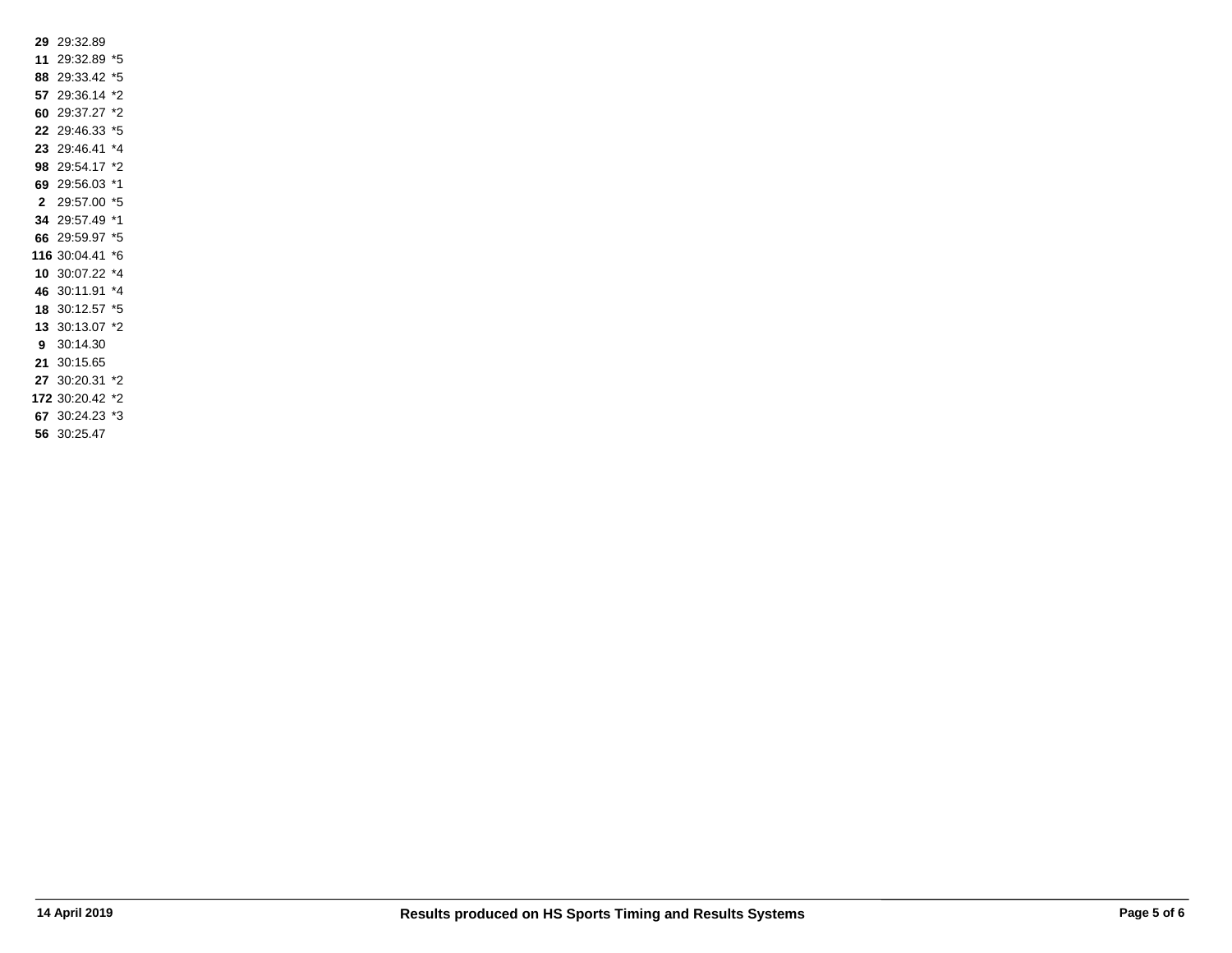29:32.89 29:32.89 \*5 29:33.42 \*5 29:36.14 \*2 29:37.27 \*2 29:46.33 \*5 29:46.41 \*4 29:54.17 \*2 29:56.03 \*1 29:57.00 \*5 29:57.49 \*1 29:59.97 \*5 30:04.41 \*6 30:07.22 \*4 30:11.91 \*4 30:12.57 \*5 30:13.07 \*2 **9** 30:14.30 30:15.65 30:20.31 \*2 30:20.42 \*2 30:24.23 \*3

30:25.47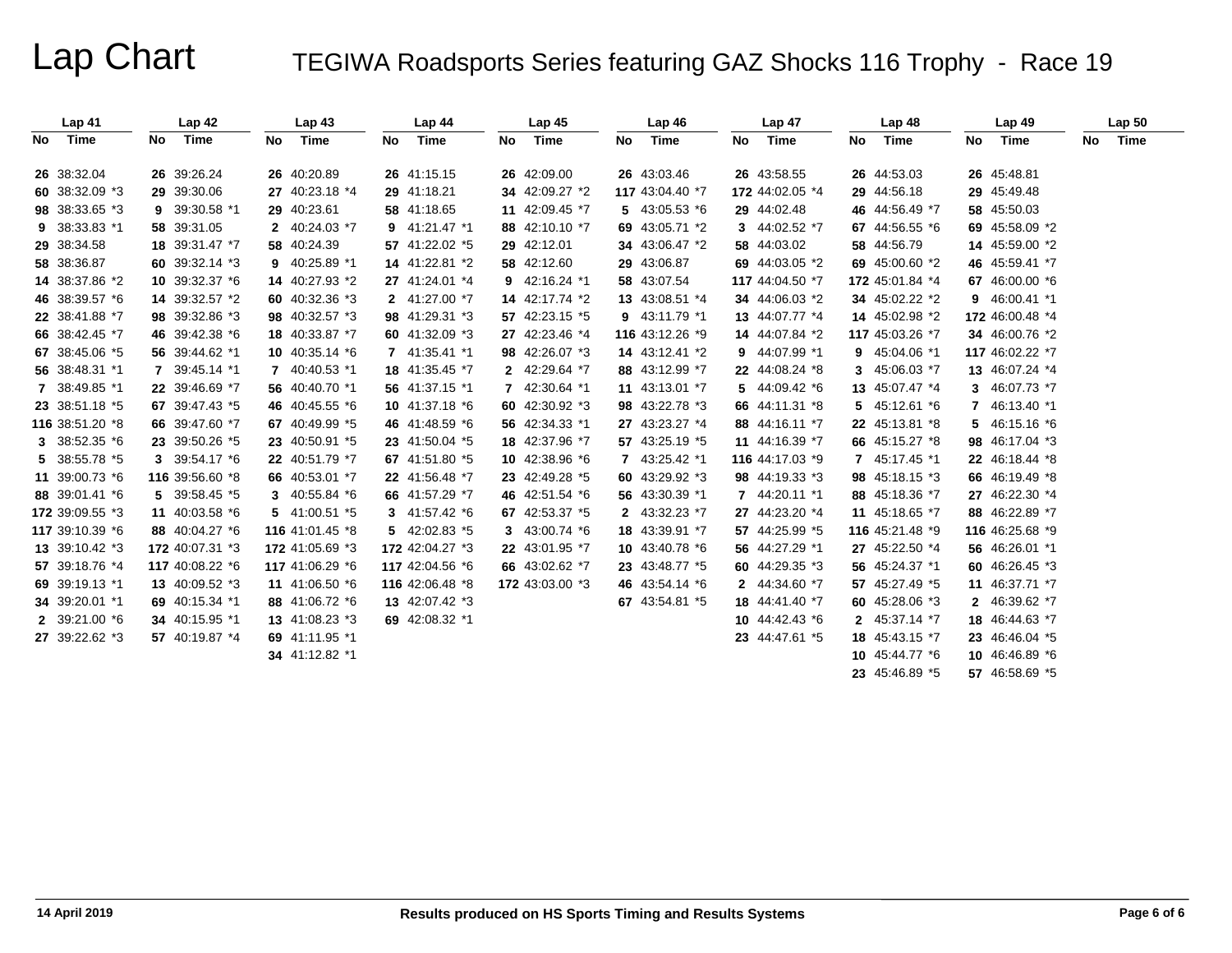|    | Lap <sub>41</sub> |    | Lap42             |    | Lap43            |    | Lap44             |    | Lap <sub>45</sub> |    | Lap46             |    | Lap 47          |    | Lap48            |    | Lap49           |    | Lap 50 |
|----|-------------------|----|-------------------|----|------------------|----|-------------------|----|-------------------|----|-------------------|----|-----------------|----|------------------|----|-----------------|----|--------|
| No | Time              | No | Time              | No | Time             | No | Time              | No | Time              | No | Time              | No | Time            | No | Time             | No | Time            | No | Time   |
|    | 26 38:32.04       |    | 26 39:26.24       |    | 26 40:20.89      |    | 26 41:15.15       |    | 26 42:09.00       |    | 26 43:03.46       |    | 26 43:58.55     |    | 26 44:53.03      |    | 26 45:48.81     |    |        |
|    | 60 38:32.09 *3    |    | 29 39:30.06       |    | 27 40:23.18 *4   |    | 29 41:18.21       |    | 34 42:09.27 *2    |    | 117 43:04.40 *7   |    | 172 44:02.05 *4 |    | 29 44:56.18      |    | 29 45:49.48     |    |        |
|    | 98 38:33.65 *3    |    | 9 39:30.58 *1     |    | 29 40:23.61      |    | 58 41:18.65       |    | 11 42:09.45 *7    |    | 5 43:05.53 *6     |    | 29 44:02.48     |    | 46 44:56.49 *7   |    | 58 45:50.03     |    |        |
|    | 9 38:33.83 *1     |    | 58 39:31.05       |    | 2 40:24.03 *7    |    | $9$ 41:21.47 $*1$ |    | 88 42:10.10 *7    |    | 69 43:05.71 *2    |    | 3 44:02.52 *7   |    | 67 44:56.55 *6   |    | 69 45:58.09 *2  |    |        |
|    | 29 38:34.58       |    | 18 39:31.47 *7    |    | 58 40:24.39      |    | 57 41:22.02 *5    |    | 29 42:12.01       |    | 34 43:06.47 *2    |    | 58 44:03.02     |    | 58 44:56.79      |    | 14 45:59.00 *2  |    |        |
|    | 58 38:36.87       |    | 60 39:32.14 *3    |    | 9 40:25.89 *1    |    | 14 41:22.81 *2    |    | 58 42:12.60       |    | 29 43:06.87       |    | 69 44:03.05 *2  |    | 69 45:00.60 *2   |    | 46 45:59.41 *7  |    |        |
|    | 14 38:37.86 *2    |    | 10 39:32.37 $*$ 6 |    | 14 40:27.93 *2   |    | 27 41:24.01 *4    |    | $9$ 42:16.24 $*1$ |    | 58 43:07.54       |    | 117 44:04.50 *7 |    | 172 45:01.84 *4  |    | 67 46:00.00 *6  |    |        |
|    | 46 38:39.57 *6    |    | 14 39:32.57 *2    |    | 60 40:32.36 *3   |    | 2 41:27.00 *7     |    | 14 42:17.74 *2    |    | 13 43:08.51 *4    |    | 34 44:06.03 *2  |    | 34 45:02.22 *2   |    | 9 46:00.41 *1   |    |        |
|    | 22 38:41.88 *7    |    | 98 39:32.86 *3    |    | 98 40:32.57 *3   |    | 98 41:29.31 *3    |    | 57 42:23.15 *5    |    | 9 43:11.79 *1     |    | 13 44:07.77 *4  |    | 14 45:02.98 *2   |    | 172 46:00.48 *4 |    |        |
|    | 66 38:42.45 *7    |    | 46 39:42.38 *6    |    | 18 40:33.87 *7   |    | 60 41:32.09 *3    |    | 27 42:23.46 *4    |    | 116 43:12.26 *9   |    | 14 44:07.84 *2  |    | 117 45:03.26 *7  |    | 34 46:00.76 *2  |    |        |
|    | 67 38:45.06 *5    |    | 56 39:44.62 *1    |    | 10 40:35.14 *6   |    | 7 41:35.41 *1     |    | 98 42:26.07 *3    |    | 14 43:12.41 *2    |    | 9 44:07.99 *1   |    | 9 45:04.06 *1    |    | 117 46:02.22 *7 |    |        |
|    | 56 38:48.31 *1    |    | 7 39:45.14 *1     |    | 7 40:40.53 *1    |    | 18 41:35.45 *7    |    | 2 42:29.64 *7     |    | 88 43:12.99 *7    |    | 22 44:08.24 *8  |    | 3 45:06.03 *7    |    | 13 46:07.24 *4  |    |        |
|    | 7 38:49.85 *1     |    | 22 39:46.69 *7    |    | 56 40:40.70 *1   |    | 56 41:37.15 *1    |    | 7 42:30.64 *1     |    | 11 43:13.01 *7    |    | 5 44:09.42 *6   |    | 13 45:07.47 *4   |    | 3 46:07.73 *7   |    |        |
|    | 23 38:51.18 *5    |    | 67 39:47.43 *5    |    | 46 40:45.55 *6   |    | 10 41:37.18 *6    |    | 60 42:30.92 *3    |    | 98 43:22.78 *3    |    | 66 44:11.31 *8  |    | 5 45:12.61 $*$ 6 | 7  | 46:13.40 *1     |    |        |
|    | 116 38:51.20 *8   |    | 66 39:47.60 *7    |    | 67 40:49.99 *5   |    | 46 41:48.59 *6    |    | 56 42:34.33 *1    |    | 27 43:23.27 *4    |    | 88 44:16.11 *7  |    | 22 45:13.81 *8   |    | 5 46:15.16 *6   |    |        |
|    | 3 38:52.35 *6     |    | 23 39:50.26 *5    |    | 23 40:50.91 *5   |    | 23 41:50.04 *5    |    | 18 42:37.96 *7    |    | 57 43:25.19 *5    |    | 11 44:16.39 *7  |    | 66 45:15.27 *8   |    | 98 46:17.04 *3  |    |        |
|    | 5 38:55.78 *5     |    | 3 39:54.17 *6     |    | 22 40:51.79 *7   |    | 67 41:51.80 *5    |    | 10 42:38.96 *6    |    | 7 43:25.42 *1     |    | 116 44:17.03 *9 |    | 7 45:17.45 *1    |    | 22 46:18.44 *8  |    |        |
|    | 11 39:00.73 *6    |    | 116 39:56.60 *8   |    | 66 40:53.01 *7   |    | 22 41:56.48 *7    |    | 23 42:49.28 *5    |    | 60 43:29.92 *3    |    | 98 44:19.33 *3  |    | 98 45:18.15 *3   |    | 66 46:19.49 *8  |    |        |
|    | 88 39:01.41 *6    |    | 5 39:58.45 *5     |    | 3 40:55.84 $*$ 6 |    | 66 41:57.29 *7    |    | 46 42:51.54 *6    |    | 56 43:30.39 *1    |    | 7 44:20.11 *1   |    | 88 45:18.36 *7   |    | 27 46:22.30 *4  |    |        |
|    | 172 39:09.55 *3   |    | 11 40:03.58 *6    |    | 5 41:00.51 *5    |    | 3 41:57.42 $*$ 6  |    | 67 42:53.37 *5    |    | 2 43:32.23 *7     |    | 27 44:23.20 *4  |    | 11 45:18.65 *7   |    | 88 46:22.89 *7  |    |        |
|    | 117 39:10.39 *6   |    | 88 40:04.27 *6    |    | 116 41:01.45 *8  |    | 5 42:02.83 *5     |    | 3 43:00.74 *6     |    | 18 43:39.91 *7    |    | 57 44:25.99 *5  |    | 116 45:21.48 *9  |    | 116 46:25.68 *9 |    |        |
|    | 13 39:10.42 *3    |    | 172 40:07.31 *3   |    | 172 41:05.69 *3  |    | 172 42:04.27 *3   |    | 22 43:01.95 *7    |    | 10 43:40.78 *6    |    | 56 44:27.29 *1  |    | 27 45:22.50 *4   |    | 56 46:26.01 *1  |    |        |
|    | 57 39:18.76 *4    |    | 117 40:08.22 *6   |    | 117 41:06.29 *6  |    | 117 42:04.56 *6   |    | 66 43:02.62 *7    |    | 23 43:48.77 *5    |    | 60 44:29.35 *3  |    | 56 45:24.37 *1   |    | 60 46:26.45 *3  |    |        |
|    | 69 39:19.13 *1    |    | 13 40:09.52 *3    |    | 11 41:06.50 *6   |    | 116 42:06.48 *8   |    | 172 43:03.00 *3   |    | 46 43:54.14 $*$ 6 |    | 2 44:34.60 *7   |    | 57 45:27.49 *5   |    | 11 46:37.71 *7  |    |        |
|    | 34 39:20.01 *1    |    | 69 40:15.34 *1    |    | 88 41:06.72 *6   |    | 13 42:07.42 *3    |    |                   |    | 67 43:54.81 *5    |    | 18 44:41.40 *7  |    | 60 45:28.06 *3   |    | 2 46:39.62 *7   |    |        |
|    | 2 39:21.00 *6     |    | 34 40:15.95 *1    |    | 13 41:08.23 *3   |    | 69 42:08.32 *1    |    |                   |    |                   |    | 10 44:42.43 *6  |    | 2 45:37.14 *7    |    | 18 46:44.63 *7  |    |        |
|    | 27 39:22.62 *3    |    | 57 40:19.87 *4    |    | 69 41:11.95 *1   |    |                   |    |                   |    |                   |    | 23 44:47.61 *5  |    | 18 45:43.15 *7   |    | 23 46:46.04 *5  |    |        |
|    |                   |    |                   |    | 34 41:12.82 *1   |    |                   |    |                   |    |                   |    |                 |    | 10 45:44.77 *6   |    | 10 46:46.89 *6  |    |        |
|    |                   |    |                   |    |                  |    |                   |    |                   |    |                   |    |                 |    | 23 45:46.89 *5   |    | 57 46:58.69 *5  |    |        |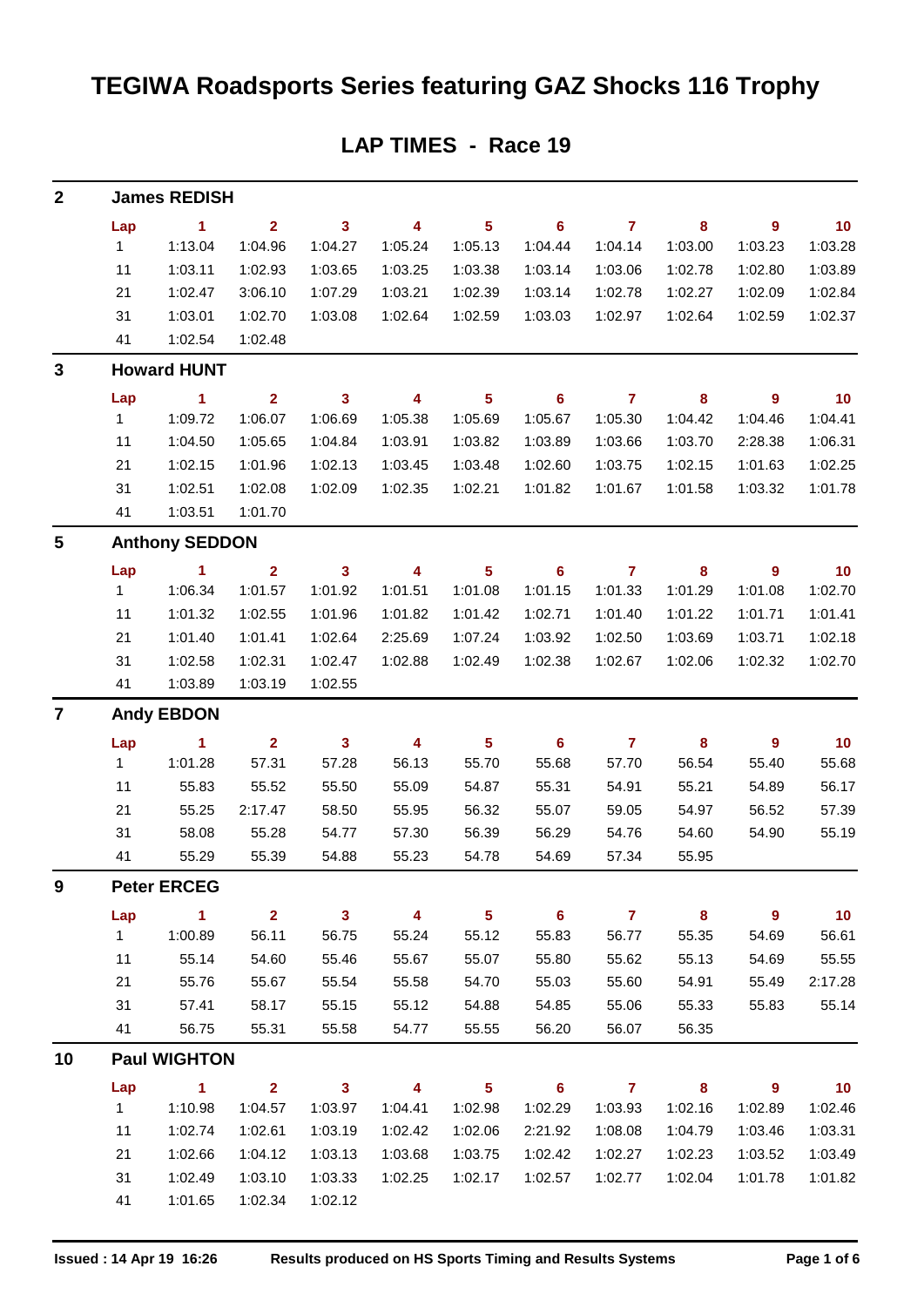## **TEGIWA Roadsports Series featuring GAZ Shocks 116 Trophy**

| $\mathbf{2}$   |              | <b>James REDISH</b>   |                |                         |                         |                         |                |                |         |                |         |
|----------------|--------------|-----------------------|----------------|-------------------------|-------------------------|-------------------------|----------------|----------------|---------|----------------|---------|
|                | Lap          | $\blacktriangleleft$  | $\overline{2}$ | $\overline{\mathbf{3}}$ | 4                       | $\overline{\mathbf{5}}$ | 6              | $\mathbf{7}$   | 8       | 9              | 10      |
|                | 1            | 1:13.04               | 1:04.96        | 1:04.27                 | 1:05.24                 | 1:05.13                 | 1:04.44        | 1:04.14        | 1:03.00 | 1:03.23        | 1:03.28 |
|                | 11           | 1:03.11               | 1:02.93        | 1:03.65                 | 1:03.25                 | 1:03.38                 | 1:03.14        | 1:03.06        | 1:02.78 | 1:02.80        | 1:03.89 |
|                | 21           | 1:02.47               | 3:06.10        | 1:07.29                 | 1:03.21                 | 1:02.39                 | 1:03.14        | 1:02.78        | 1:02.27 | 1:02.09        | 1:02.84 |
|                | 31           | 1:03.01               | 1:02.70        | 1:03.08                 | 1:02.64                 | 1:02.59                 | 1:03.03        | 1:02.97        | 1:02.64 | 1:02.59        | 1:02.37 |
|                | 41           | 1:02.54               | 1:02.48        |                         |                         |                         |                |                |         |                |         |
| 3              |              | <b>Howard HUNT</b>    |                |                         |                         |                         |                |                |         |                |         |
|                | Lap          | $\sim$ 1              | $\overline{2}$ | $\mathbf{3}$            | $\overline{4}$          | $5\phantom{.0}$         | 6              | $\overline{7}$ | 8       | 9              | 10      |
|                | $\mathbf{1}$ | 1:09.72               | 1:06.07        | 1:06.69                 | 1:05.38                 | 1:05.69                 | 1:05.67        | 1:05.30        | 1:04.42 | 1:04.46        | 1:04.41 |
|                | 11           | 1:04.50               | 1:05.65        | 1:04.84                 | 1:03.91                 | 1:03.82                 | 1:03.89        | 1:03.66        | 1:03.70 | 2:28.38        | 1:06.31 |
|                | 21           | 1:02.15               | 1:01.96        | 1:02.13                 | 1:03.45                 | 1:03.48                 | 1:02.60        | 1:03.75        | 1:02.15 | 1:01.63        | 1:02.25 |
|                | 31           | 1:02.51               | 1:02.08        | 1:02.09                 | 1:02.35                 | 1:02.21                 | 1:01.82        | 1:01.67        | 1:01.58 | 1:03.32        | 1:01.78 |
|                | 41           | 1:03.51               | 1:01.70        |                         |                         |                         |                |                |         |                |         |
| 5              |              | <b>Anthony SEDDON</b> |                |                         |                         |                         |                |                |         |                |         |
|                | Lap          | $\vert$ 1             | $\overline{2}$ | $\mathbf{3}$            | $\overline{\mathbf{4}}$ | 5 <sub>5</sub>          | - 6            | $\overline{7}$ | 8       | $\overline{9}$ | 10      |
|                | 1            | 1:06.34               | 1:01.57        | 1:01.92                 | 1:01.51                 | 1:01.08                 | 1:01.15        | 1:01.33        | 1:01.29 | 1:01.08        | 1:02.70 |
|                | 11           | 1:01.32               | 1:02.55        | 1:01.96                 | 1:01.82                 | 1:01.42                 | 1:02.71        | 1:01.40        | 1:01.22 | 1:01.71        | 1:01.41 |
|                | 21           | 1:01.40               | 1:01.41        | 1:02.64                 | 2:25.69                 | 1:07.24                 | 1:03.92        | 1:02.50        | 1:03.69 | 1:03.71        | 1:02.18 |
|                | 31           | 1:02.58               | 1:02.31        | 1:02.47                 | 1:02.88                 | 1:02.49                 | 1:02.38        | 1:02.67        | 1:02.06 | 1:02.32        | 1:02.70 |
|                | 41           | 1:03.89               | 1:03.19        | 1:02.55                 |                         |                         |                |                |         |                |         |
| $\overline{7}$ |              | <b>Andy EBDON</b>     |                |                         |                         |                         |                |                |         |                |         |
|                | Lap          | 1                     | $\overline{2}$ | $\mathbf{3}$            | 4                       | $\overline{\mathbf{5}}$ | 6              | $\overline{7}$ | 8       | $\overline{9}$ | 10      |
|                | 1            | 1:01.28               | 57.31          | 57.28                   | 56.13                   | 55.70                   | 55.68          | 57.70          | 56.54   | 55.40          | 55.68   |
|                | 11           | 55.83                 | 55.52          | 55.50                   | 55.09                   | 54.87                   | 55.31          | 54.91          | 55.21   | 54.89          | 56.17   |
|                | 21           | 55.25                 | 2:17.47        | 58.50                   | 55.95                   | 56.32                   | 55.07          | 59.05          | 54.97   | 56.52          | 57.39   |
|                | 31           | 58.08                 | 55.28          | 54.77                   | 57.30                   | 56.39                   | 56.29          | 54.76          | 54.60   | 54.90          | 55.19   |
|                | 41           | 55.29                 | 55.39          | 54.88                   | 55.23                   | 54.78                   | 54.69          | 57.34          | 55.95   |                |         |
| 9              |              | <b>Peter ERCEG</b>    |                |                         |                         |                         |                |                |         |                |         |
|                | Lap          | $\mathbf{1}$          | 2 <sup>1</sup> | $\mathbf{3}$            | 4                       | 5 <sub>5</sub>          | $6\phantom{1}$ | $\mathbf{7}$   | 8       | $\overline{9}$ | 10      |
|                | 1            | 1:00.89               | 56.11          | 56.75                   | 55.24                   | 55.12                   | 55.83          | 56.77          | 55.35   | 54.69          | 56.61   |
|                | 11           | 55.14                 | 54.60          | 55.46                   | 55.67                   | 55.07                   | 55.80          | 55.62          | 55.13   | 54.69          | 55.55   |
|                | 21           | 55.76                 | 55.67          | 55.54                   | 55.58                   | 54.70                   | 55.03          | 55.60          | 54.91   | 55.49          | 2:17.28 |
|                | 31           | 57.41                 | 58.17          | 55.15                   | 55.12                   | 54.88                   | 54.85          | 55.06          | 55.33   | 55.83          | 55.14   |
|                | 41           | 56.75                 | 55.31          | 55.58                   | 54.77                   | 55.55                   | 56.20          | 56.07          | 56.35   |                |         |
| 10             |              | <b>Paul WIGHTON</b>   |                |                         |                         |                         |                |                |         |                |         |
|                | Lap          | 1.                    | $\overline{2}$ | $\mathbf{3}$            | $\overline{\mathbf{4}}$ | $5\phantom{.0}$         | 6              | $\overline{7}$ | 8       | $\overline{9}$ | 10      |
|                | $\mathbf{1}$ | 1:10.98               | 1:04.57        | 1:03.97                 | 1:04.41                 | 1:02.98                 | 1:02.29        | 1:03.93        | 1:02.16 | 1:02.89        | 1:02.46 |
|                | 11           | 1:02.74               | 1:02.61        | 1:03.19                 | 1:02.42                 | 1:02.06                 | 2:21.92        | 1:08.08        | 1:04.79 | 1:03.46        | 1:03.31 |
|                | 21           | 1:02.66               | 1:04.12        | 1:03.13                 | 1:03.68                 | 1:03.75                 | 1:02.42        | 1:02.27        | 1:02.23 | 1:03.52        | 1:03.49 |
|                | 31           | 1:02.49               | 1:03.10        | 1:03.33                 | 1:02.25                 | 1:02.17                 | 1:02.57        | 1:02.77        | 1:02.04 | 1:01.78        | 1:01.82 |
|                | 41           | 1:01.65               | 1:02.34        | 1:02.12                 |                         |                         |                |                |         |                |         |

### **LAP TIMES - Race 19**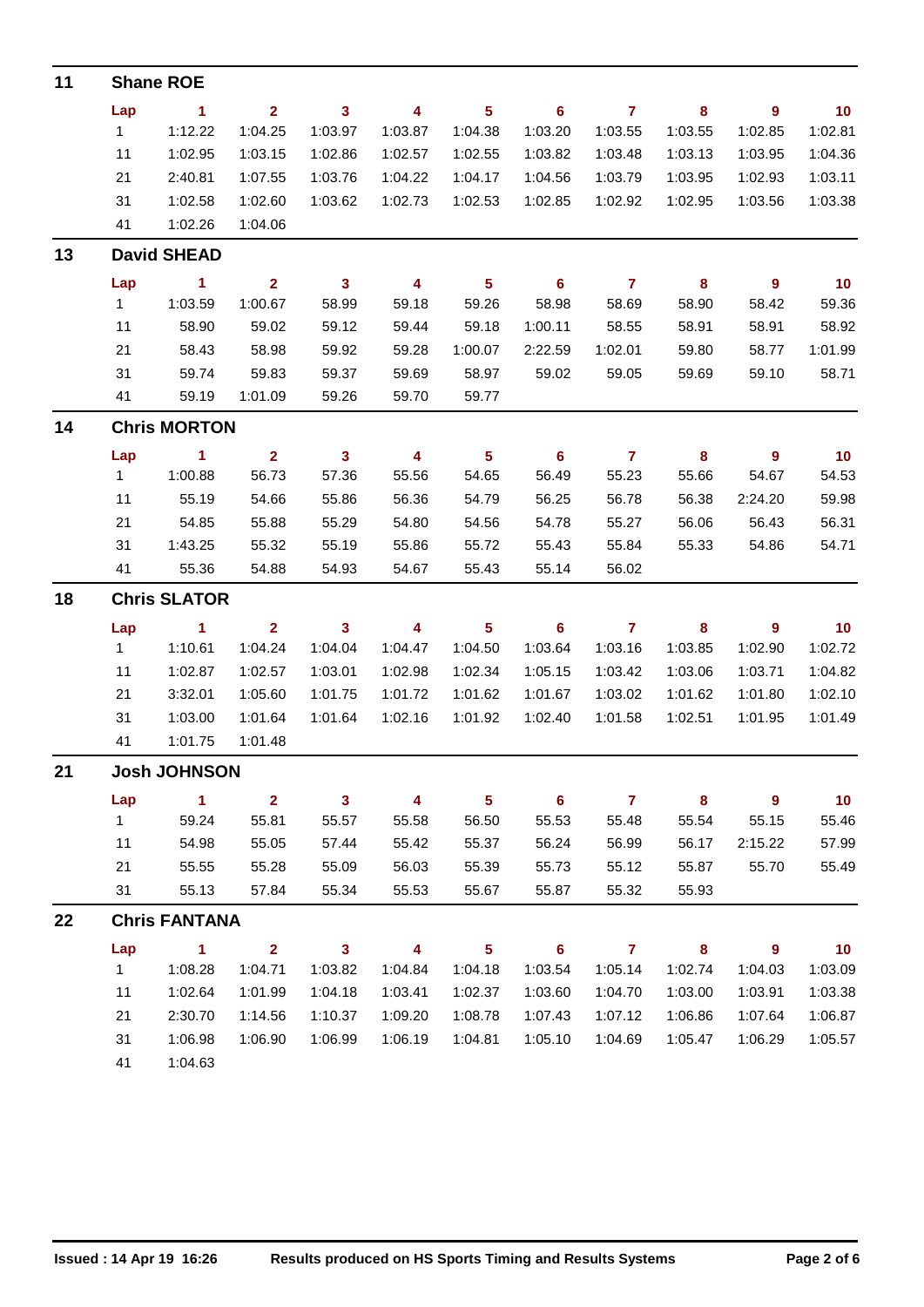| 11 | <b>Shane ROE</b> |                      |                         |                            |                         |                 |                            |                |                         |                         |                 |  |  |
|----|------------------|----------------------|-------------------------|----------------------------|-------------------------|-----------------|----------------------------|----------------|-------------------------|-------------------------|-----------------|--|--|
|    | Lap              | $\blacktriangleleft$ | $\mathbf{2}$            | $\overline{\phantom{a}}$ 3 | 4                       | $5\phantom{.0}$ | $\overline{\phantom{0}}$ 6 | $\overline{7}$ | 8                       | 9                       | 10              |  |  |
|    | 1                | 1:12.22              | 1:04.25                 | 1:03.97                    | 1:03.87                 | 1:04.38         | 1:03.20                    | 1:03.55        | 1:03.55                 | 1:02.85                 | 1:02.81         |  |  |
|    | 11               | 1:02.95              | 1:03.15                 | 1:02.86                    | 1:02.57                 | 1:02.55         | 1:03.82                    | 1:03.48        | 1:03.13                 | 1:03.95                 | 1:04.36         |  |  |
|    | 21               | 2:40.81              | 1:07.55                 | 1:03.76                    | 1:04.22                 | 1:04.17         | 1:04.56                    | 1:03.79        | 1:03.95                 | 1:02.93                 | 1:03.11         |  |  |
|    | 31               | 1:02.58              | 1:02.60                 | 1:03.62                    | 1:02.73                 | 1:02.53         | 1:02.85                    | 1:02.92        | 1:02.95                 | 1:03.56                 | 1:03.38         |  |  |
|    | 41               | 1:02.26              | 1:04.06                 |                            |                         |                 |                            |                |                         |                         |                 |  |  |
| 13 |                  | <b>David SHEAD</b>   |                         |                            |                         |                 |                            |                |                         |                         |                 |  |  |
|    | Lap              | $\sim$ 1             | $\overline{2}$          | $\overline{\mathbf{3}}$    | $\overline{\mathbf{4}}$ | $5\phantom{.0}$ | $\overline{\phantom{0}}$ 6 | $\overline{7}$ | $\overline{\mathbf{8}}$ | $\overline{\mathbf{9}}$ | 10              |  |  |
|    | $\mathbf{1}$     | 1:03.59              | 1:00.67                 | 58.99                      | 59.18                   | 59.26           | 58.98                      | 58.69          | 58.90                   | 58.42                   | 59.36           |  |  |
|    | 11               | 58.90                | 59.02                   | 59.12                      | 59.44                   | 59.18           | 1:00.11                    | 58.55          | 58.91                   | 58.91                   | 58.92           |  |  |
|    | 21               | 58.43                | 58.98                   | 59.92                      | 59.28                   | 1:00.07         | 2:22.59                    | 1:02.01        | 59.80                   | 58.77                   | 1:01.99         |  |  |
|    | 31               | 59.74                | 59.83                   | 59.37                      | 59.69                   | 58.97           | 59.02                      | 59.05          | 59.69                   | 59.10                   | 58.71           |  |  |
|    | 41               | 59.19                | 1:01.09                 | 59.26                      | 59.70                   | 59.77           |                            |                |                         |                         |                 |  |  |
| 14 |                  | <b>Chris MORTON</b>  |                         |                            |                         |                 |                            |                |                         |                         |                 |  |  |
|    | Lap              | $\blacktriangleleft$ | $\overline{2}$          | $\mathbf{3}$               | 4                       | $5\phantom{.0}$ | 6                          | $\overline{7}$ | 8                       | 9                       | 10              |  |  |
|    | $1 \quad$        | 1:00.88              | 56.73                   | 57.36                      | 55.56                   | 54.65           | 56.49                      | 55.23          | 55.66                   | 54.67                   | 54.53           |  |  |
|    | 11               | 55.19                | 54.66                   | 55.86                      | 56.36                   | 54.79           | 56.25                      | 56.78          | 56.38                   | 2:24.20                 | 59.98           |  |  |
|    | 21               | 54.85                | 55.88                   | 55.29                      | 54.80                   | 54.56           | 54.78                      | 55.27          | 56.06                   | 56.43                   | 56.31           |  |  |
|    | 31               | 1:43.25              | 55.32                   | 55.19                      | 55.86                   | 55.72           | 55.43                      | 55.84          | 55.33                   | 54.86                   | 54.71           |  |  |
|    | 41               | 55.36                | 54.88                   | 54.93                      | 54.67                   | 55.43           | 55.14                      | 56.02          |                         |                         |                 |  |  |
| 18 |                  | <b>Chris SLATOR</b>  |                         |                            |                         |                 |                            |                |                         |                         |                 |  |  |
|    | Lap              | $\sim$ 1             | $\overline{\mathbf{2}}$ | $\overline{\phantom{a}}$ 3 | 4                       | $5\phantom{.0}$ | $\overline{\phantom{0}}$ 6 | $\overline{7}$ | 8                       | $\boldsymbol{9}$        | 10              |  |  |
|    | 1                | 1:10.61              | 1:04.24                 | 1:04.04                    | 1:04.47                 | 1:04.50         | 1:03.64                    | 1:03.16        | 1:03.85                 | 1:02.90                 | 1:02.72         |  |  |
|    | 11               | 1:02.87              | 1:02.57                 | 1:03.01                    | 1:02.98                 | 1:02.34         | 1:05.15                    | 1:03.42        | 1:03.06                 | 1:03.71                 | 1:04.82         |  |  |
|    | 21               | 3:32.01              | 1:05.60                 | 1:01.75                    | 1:01.72                 | 1:01.62         | 1:01.67                    | 1:03.02        | 1:01.62                 | 1:01.80                 | 1:02.10         |  |  |
|    | 31               | 1:03.00              | 1:01.64                 | 1:01.64                    | 1:02.16                 | 1:01.92         | 1:02.40                    | 1:01.58        | 1:02.51                 | 1:01.95                 | 1:01.49         |  |  |
|    | 41               | 1:01.75              | 1:01.48                 |                            |                         |                 |                            |                |                         |                         |                 |  |  |
| 21 |                  | <b>Josh JOHNSON</b>  |                         |                            |                         |                 |                            |                |                         |                         |                 |  |  |
|    | Lap              | $\blacktriangleleft$ | $\overline{2}$          | $\mathbf{3}$               | 4                       | $5\phantom{.0}$ | 6                          | $\overline{7}$ | 8                       | $\overline{9}$          | 10 <sub>1</sub> |  |  |
|    | $\mathbf{1}$     | 59.24                | 55.81                   | 55.57                      | 55.58                   | 56.50           | 55.53                      | 55.48          | 55.54                   | 55.15                   | 55.46           |  |  |
|    | 11               | 54.98                | 55.05                   | 57.44                      | 55.42                   | 55.37           | 56.24                      | 56.99          | 56.17                   | 2:15.22                 | 57.99           |  |  |
|    | 21               | 55.55                | 55.28                   | 55.09                      | 56.03                   | 55.39           | 55.73                      | 55.12          | 55.87                   | 55.70                   | 55.49           |  |  |
|    | 31               | 55.13                | 57.84                   | 55.34                      | 55.53                   | 55.67           | 55.87                      | 55.32          | 55.93                   |                         |                 |  |  |
| 22 |                  | <b>Chris FANTANA</b> |                         |                            |                         |                 |                            |                |                         |                         |                 |  |  |
|    | Lap              | 1.                   | $\overline{2}$          | $\mathbf{3}$               | 4                       | $5\phantom{a}$  | 6                          | $\overline{7}$ | 8                       | 9                       | 10              |  |  |
|    | $\mathbf{1}$     | 1:08.28              | 1:04.71                 | 1:03.82                    | 1:04.84                 | 1:04.18         | 1:03.54                    | 1:05.14        | 1:02.74                 | 1:04.03                 | 1:03.09         |  |  |
|    | 11               | 1:02.64              | 1:01.99                 | 1:04.18                    | 1:03.41                 | 1:02.37         | 1:03.60                    | 1:04.70        | 1:03.00                 | 1:03.91                 | 1:03.38         |  |  |
|    | 21               | 2:30.70              | 1:14.56                 | 1:10.37                    | 1:09.20                 | 1:08.78         | 1:07.43                    | 1:07.12        | 1:06.86                 | 1:07.64                 | 1:06.87         |  |  |
|    | 31               | 1:06.98              | 1:06.90                 | 1:06.99                    | 1:06.19                 | 1:04.81         | 1:05.10                    | 1:04.69        | 1:05.47                 | 1:06.29                 | 1:05.57         |  |  |
|    | 41               | 1:04.63              |                         |                            |                         |                 |                            |                |                         |                         |                 |  |  |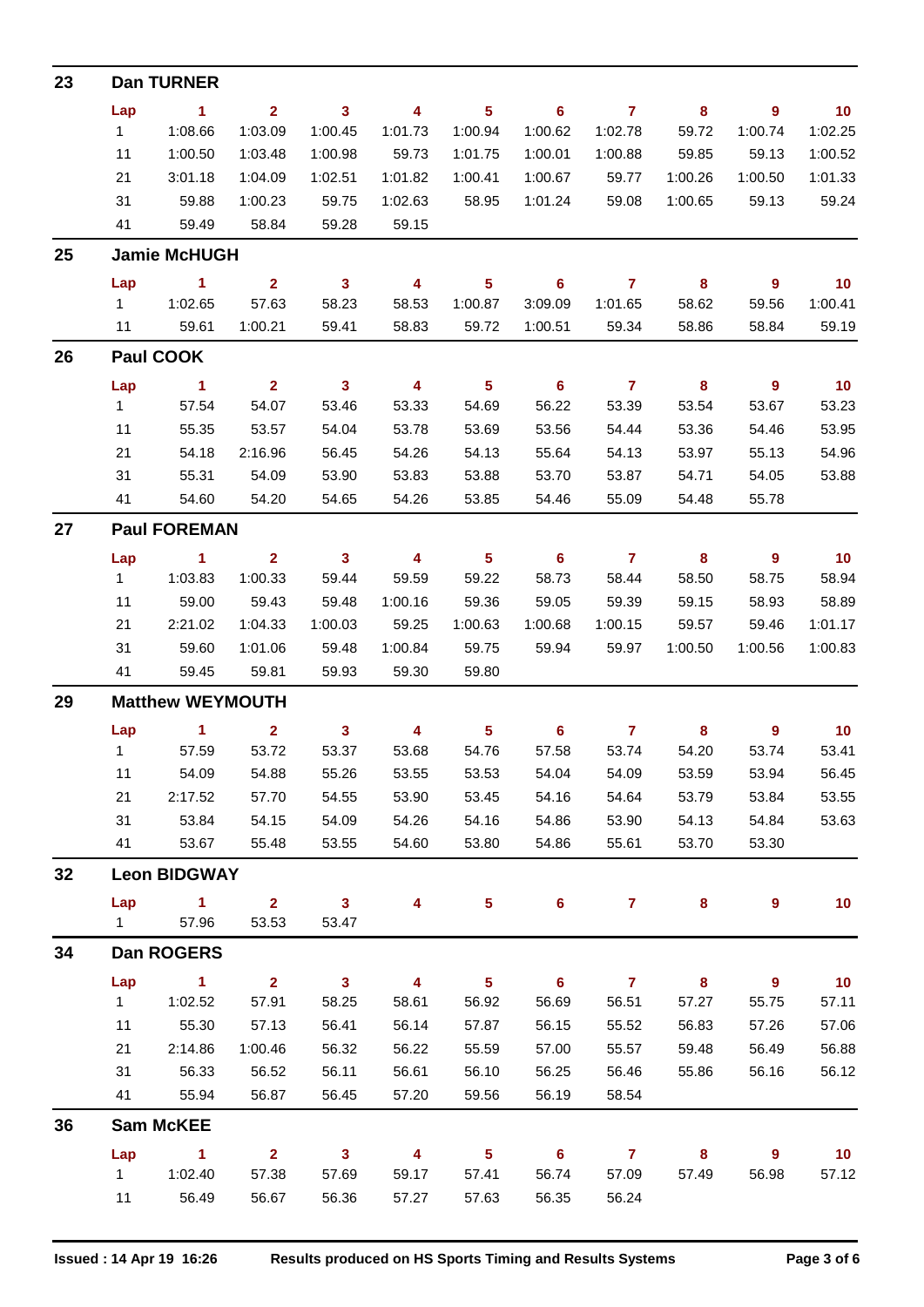| 23 |              | <b>Dan TURNER</b>       |                         |                         |                |                         |                            |                         |                            |                |         |
|----|--------------|-------------------------|-------------------------|-------------------------|----------------|-------------------------|----------------------------|-------------------------|----------------------------|----------------|---------|
|    | Lap          | $\blacksquare$ 1        | $\overline{2}$          | $\mathbf{3}$            | 4              | 5 <sup>5</sup>          | $\overline{\phantom{0}}$ 6 | $\overline{7}$          | 8                          | 9              | 10      |
|    | 1            | 1:08.66                 | 1:03.09                 | 1:00.45                 | 1:01.73        | 1:00.94                 | 1:00.62                    | 1:02.78                 | 59.72                      | 1:00.74        | 1:02.25 |
|    | 11           | 1:00.50                 | 1:03.48                 | 1:00.98                 | 59.73          | 1:01.75                 | 1:00.01                    | 1:00.88                 | 59.85                      | 59.13          | 1:00.52 |
|    | 21           | 3:01.18                 | 1:04.09                 | 1:02.51                 | 1:01.82        | 1:00.41                 | 1:00.67                    | 59.77                   | 1:00.26                    | 1:00.50        | 1:01.33 |
|    | 31           | 59.88                   | 1:00.23                 | 59.75                   | 1:02.63        | 58.95                   | 1:01.24                    | 59.08                   | 1:00.65                    | 59.13          | 59.24   |
|    | 41           | 59.49                   | 58.84                   | 59.28                   | 59.15          |                         |                            |                         |                            |                |         |
| 25 |              | <b>Jamie McHUGH</b>     |                         |                         |                |                         |                            |                         |                            |                |         |
|    | Lap          | $\blacksquare$ 1        | $\mathbf{2}$            | $\overline{\mathbf{3}}$ | $\overline{4}$ | 5                       | 6                          | $\overline{7}$          | 8                          | 9              | 10      |
|    | 1.           | 1:02.65                 | 57.63                   | 58.23                   | 58.53          | 1:00.87                 | 3:09.09                    | 1:01.65                 | 58.62                      | 59.56          | 1:00.41 |
|    | 11           | 59.61                   | 1:00.21                 | 59.41                   | 58.83          | 59.72                   | 1:00.51                    | 59.34                   | 58.86                      | 58.84          | 59.19   |
| 26 |              | <b>Paul COOK</b>        |                         |                         |                |                         |                            |                         |                            |                |         |
|    | Lap          | $\blacksquare$ 1        | $\overline{\mathbf{2}}$ | $\overline{\mathbf{3}}$ | 4              | $-5$                    | $6^{\circ}$                | $\overline{7}$          | $\overline{\mathbf{8}}$    | - 9            | 10      |
|    | 1            | 57.54                   | 54.07                   | 53.46                   | 53.33          | 54.69                   | 56.22                      | 53.39                   | 53.54                      | 53.67          | 53.23   |
|    | 11           | 55.35                   | 53.57                   | 54.04                   | 53.78          | 53.69                   | 53.56                      | 54.44                   | 53.36                      | 54.46          | 53.95   |
|    | 21           | 54.18                   | 2:16.96                 | 56.45                   | 54.26          | 54.13                   | 55.64                      | 54.13                   | 53.97                      | 55.13          | 54.96   |
|    | 31           | 55.31                   | 54.09                   | 53.90                   | 53.83          | 53.88                   | 53.70                      | 53.87                   | 54.71                      | 54.05          | 53.88   |
|    | 41           | 54.60                   | 54.20                   | 54.65                   | 54.26          | 53.85                   | 54.46                      | 55.09                   | 54.48                      | 55.78          |         |
| 27 |              | <b>Paul FOREMAN</b>     |                         |                         |                |                         |                            |                         |                            |                |         |
|    | Lap          | $\sim$ 1                | $\overline{2}$          | 3 <sup>1</sup>          | $\overline{4}$ | $5\phantom{.0}$         | $\overline{\phantom{0}}$ 6 | $\overline{7}$          | $\overline{\phantom{a}}$ 8 | - 9            | 10      |
|    | 1            | 1:03.83                 | 1:00.33                 | 59.44                   | 59.59          | 59.22                   | 58.73                      | 58.44                   | 58.50                      | 58.75          | 58.94   |
|    | 11           | 59.00                   | 59.43                   | 59.48                   | 1:00.16        | 59.36                   | 59.05                      | 59.39                   | 59.15                      | 58.93          | 58.89   |
|    | 21           | 2:21.02                 | 1:04.33                 | 1:00.03                 | 59.25          | 1:00.63                 | 1:00.68                    | 1:00.15                 | 59.57                      | 59.46          | 1:01.17 |
|    | 31           | 59.60                   | 1:01.06                 | 59.48                   | 1:00.84        | 59.75                   | 59.94                      | 59.97                   | 1:00.50                    | 1:00.56        | 1:00.83 |
|    | 41           | 59.45                   | 59.81                   | 59.93                   | 59.30          | 59.80                   |                            |                         |                            |                |         |
| 29 |              | <b>Matthew WEYMOUTH</b> |                         |                         |                |                         |                            |                         |                            |                |         |
|    | Lap          | $\blacktriangleleft$    | $\mathbf{2}$            | 3                       | 4              | 5                       | 6                          | $\mathbf{7}$            | 8                          | $\overline{9}$ | 10      |
|    | 1            | 57.59                   | 53.72                   | 53.37                   | 53.68          | 54.76                   | 57.58                      | 53.74                   | 54.20                      | 53.74          | 53.41   |
|    | 11           | 54.09                   | 54.88                   | 55.26                   | 53.55          | 53.53                   | 54.04                      | 54.09                   | 53.59                      | 53.94          | 56.45   |
|    | 21           | 2:17.52                 | 57.70                   | 54.55                   | 53.90          | 53.45                   | 54.16                      | 54.64                   | 53.79                      | 53.84          | 53.55   |
|    | 31           | 53.84                   | 54.15                   | 54.09                   | 54.26          | 54.16                   | 54.86                      | 53.90                   | 54.13                      | 54.84          | 53.63   |
|    | 41           | 53.67                   | 55.48                   | 53.55                   | 54.60          | 53.80                   | 54.86                      | 55.61                   | 53.70                      | 53.30          |         |
| 32 |              | <b>Leon BIDGWAY</b>     |                         |                         |                |                         |                            |                         |                            |                |         |
|    | Lap          | 1.                      | $\overline{2}$          | $\overline{\mathbf{3}}$ | 4              | 5                       | 6                          | $\overline{7}$          | 8                          | 9              | 10      |
|    | $\mathbf{1}$ | 57.96                   | 53.53                   | 53.47                   |                |                         |                            |                         |                            |                |         |
| 34 |              | <b>Dan ROGERS</b>       |                         |                         |                |                         |                            |                         |                            |                |         |
|    | Lap          | 1.                      | $\overline{\mathbf{2}}$ | $\overline{\mathbf{3}}$ | 4              | $\overline{\mathbf{5}}$ | $6\phantom{a}$             | $\overline{\mathbf{r}}$ | 8                          | 9              | 10      |
|    | 1            | 1:02.52                 | 57.91                   | 58.25                   | 58.61          | 56.92                   | 56.69                      | 56.51                   | 57.27                      | 55.75          | 57.11   |
|    | 11           | 55.30                   | 57.13                   | 56.41                   | 56.14          | 57.87                   | 56.15                      | 55.52                   | 56.83                      | 57.26          | 57.06   |
|    | 21           | 2:14.86                 | 1:00.46                 | 56.32                   | 56.22          | 55.59                   | 57.00                      | 55.57                   | 59.48                      | 56.49          | 56.88   |
|    | 31           | 56.33                   | 56.52                   | 56.11                   | 56.61          | 56.10                   | 56.25                      | 56.46                   | 55.86                      | 56.16          | 56.12   |
|    | 41           | 55.94                   | 56.87                   | 56.45                   | 57.20          | 59.56                   | 56.19                      | 58.54                   |                            |                |         |
| 36 |              | <b>Sam McKEE</b>        |                         |                         |                |                         |                            |                         |                            |                |         |
|    | Lap          | 1.                      | $\overline{2}$          | $\overline{\mathbf{3}}$ | 4              | $\overline{\mathbf{5}}$ | 6                          | $\overline{7}$          | 8                          | 9              | 10      |
|    | $\mathbf{1}$ | 1:02.40                 | 57.38                   | 57.69                   | 59.17          | 57.41                   | 56.74                      | 57.09                   | 57.49                      | 56.98          | 57.12   |
|    | 11           | 56.49                   | 56.67                   | 56.36                   | 57.27          | 57.63                   | 56.35                      | 56.24                   |                            |                |         |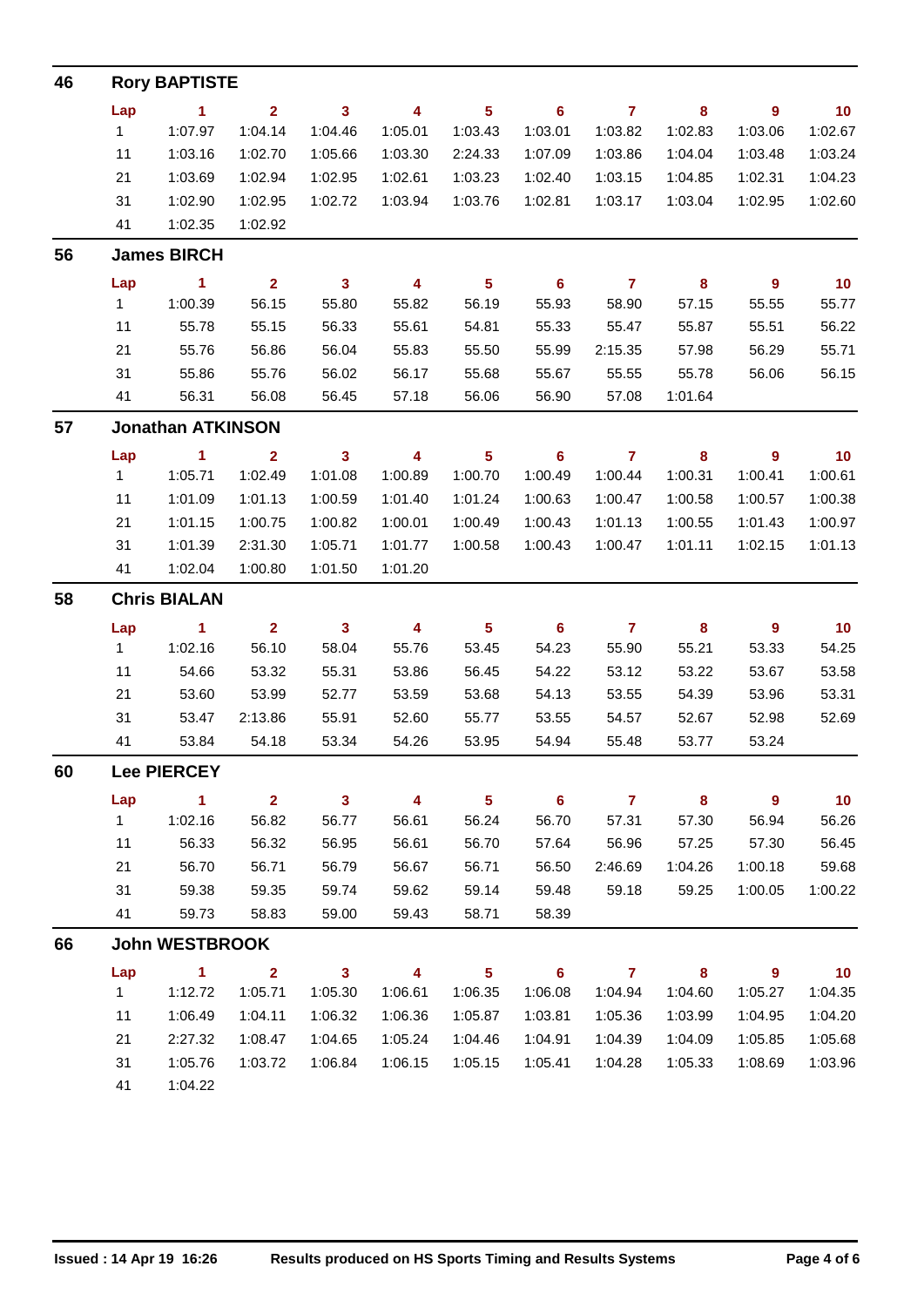| 46 | <b>Rory BAPTISTE</b> |                          |                |              |         |                         |                |                |         |                |         |  |  |
|----|----------------------|--------------------------|----------------|--------------|---------|-------------------------|----------------|----------------|---------|----------------|---------|--|--|
|    | Lap                  | 1                        | $\overline{2}$ | $\mathbf{3}$ | 4       | $5\phantom{a}$          | 6              | $\overline{7}$ | 8       | 9              | 10      |  |  |
|    | $\mathbf{1}$         | 1:07.97                  | 1:04.14        | 1:04.46      | 1:05.01 | 1:03.43                 | 1:03.01        | 1:03.82        | 1:02.83 | 1:03.06        | 1:02.67 |  |  |
|    | 11                   | 1:03.16                  | 1:02.70        | 1:05.66      | 1:03.30 | 2:24.33                 | 1:07.09        | 1:03.86        | 1:04.04 | 1:03.48        | 1:03.24 |  |  |
|    | 21                   | 1:03.69                  | 1:02.94        | 1:02.95      | 1:02.61 | 1:03.23                 | 1:02.40        | 1:03.15        | 1:04.85 | 1:02.31        | 1:04.23 |  |  |
|    | 31                   | 1:02.90                  | 1:02.95        | 1:02.72      | 1:03.94 | 1:03.76                 | 1:02.81        | 1:03.17        | 1:03.04 | 1:02.95        | 1:02.60 |  |  |
|    | 41                   | 1:02.35                  | 1:02.92        |              |         |                         |                |                |         |                |         |  |  |
| 56 |                      | <b>James BIRCH</b>       |                |              |         |                         |                |                |         |                |         |  |  |
|    | Lap                  | $\blacktriangleleft$     | $\overline{2}$ | $\mathbf{3}$ | 4       | $\overline{\mathbf{5}}$ | $6\phantom{1}$ | $\overline{7}$ | 8       | 9              | 10      |  |  |
|    | $\mathbf{1}$         | 1:00.39                  | 56.15          | 55.80        | 55.82   | 56.19                   | 55.93          | 58.90          | 57.15   | 55.55          | 55.77   |  |  |
|    | 11                   | 55.78                    | 55.15          | 56.33        | 55.61   | 54.81                   | 55.33          | 55.47          | 55.87   | 55.51          | 56.22   |  |  |
|    | 21                   | 55.76                    | 56.86          | 56.04        | 55.83   | 55.50                   | 55.99          | 2:15.35        | 57.98   | 56.29          | 55.71   |  |  |
|    | 31                   | 55.86                    | 55.76          | 56.02        | 56.17   | 55.68                   | 55.67          | 55.55          | 55.78   | 56.06          | 56.15   |  |  |
|    | 41                   | 56.31                    | 56.08          | 56.45        | 57.18   | 56.06                   | 56.90          | 57.08          | 1:01.64 |                |         |  |  |
| 57 |                      | <b>Jonathan ATKINSON</b> |                |              |         |                         |                |                |         |                |         |  |  |
|    | Lap                  | 1                        | $\mathbf{2}$   | $\mathbf{3}$ | 4       | 5                       | 6              | $\overline{7}$ | 8       | 9              | 10      |  |  |
|    | $\mathbf{1}$         | 1:05.71                  | 1:02.49        | 1:01.08      | 1:00.89 | 1:00.70                 | 1:00.49        | 1:00.44        | 1:00.31 | 1:00.41        | 1:00.61 |  |  |
|    | 11                   | 1:01.09                  | 1:01.13        | 1:00.59      | 1:01.40 | 1:01.24                 | 1:00.63        | 1:00.47        | 1:00.58 | 1:00.57        | 1:00.38 |  |  |
|    | 21                   | 1:01.15                  | 1:00.75        | 1:00.82      | 1:00.01 | 1:00.49                 | 1:00.43        | 1:01.13        | 1:00.55 | 1:01.43        | 1:00.97 |  |  |
|    | 31                   | 1:01.39                  | 2:31.30        | 1:05.71      | 1:01.77 | 1:00.58                 | 1:00.43        | 1:00.47        | 1:01.11 | 1:02.15        | 1:01.13 |  |  |
|    | 41                   | 1:02.04                  | 1:00.80        | 1:01.50      | 1:01.20 |                         |                |                |         |                |         |  |  |
| 58 |                      | <b>Chris BIALAN</b>      |                |              |         |                         |                |                |         |                |         |  |  |
|    | Lap                  | 1                        | $\overline{2}$ | $\mathbf{3}$ | 4       | $\overline{\mathbf{5}}$ | 6              | $\overline{7}$ | 8       | $\mathbf{9}$   | 10      |  |  |
|    | 1                    | 1:02.16                  | 56.10          | 58.04        | 55.76   | 53.45                   | 54.23          | 55.90          | 55.21   | 53.33          | 54.25   |  |  |
|    | 11                   | 54.66                    | 53.32          | 55.31        | 53.86   | 56.45                   | 54.22          | 53.12          | 53.22   | 53.67          | 53.58   |  |  |
|    | 21                   | 53.60                    | 53.99          | 52.77        | 53.59   | 53.68                   | 54.13          | 53.55          | 54.39   | 53.96          | 53.31   |  |  |
|    | 31                   | 53.47                    | 2:13.86        | 55.91        | 52.60   | 55.77                   | 53.55          | 54.57          | 52.67   | 52.98          | 52.69   |  |  |
|    | 41                   | 53.84                    | 54.18          | 53.34        | 54.26   | 53.95                   | 54.94          | 55.48          | 53.77   | 53.24          |         |  |  |
| 60 |                      | <b>Lee PIERCEY</b>       |                |              |         |                         |                |                |         |                |         |  |  |
|    | Lap                  | $\blacktriangleleft$     | $\overline{2}$ | $\mathbf{3}$ | 4       | $\overline{\mathbf{5}}$ | $6\phantom{a}$ | $\overline{7}$ | 8       | $\overline{9}$ | 10      |  |  |
|    | $\mathbf{1}$         | 1:02.16                  | 56.82          | 56.77        | 56.61   | 56.24                   | 56.70          | 57.31          | 57.30   | 56.94          | 56.26   |  |  |
|    | 11                   | 56.33                    | 56.32          | 56.95        | 56.61   | 56.70                   | 57.64          | 56.96          | 57.25   | 57.30          | 56.45   |  |  |
|    | 21                   | 56.70                    | 56.71          | 56.79        | 56.67   | 56.71                   | 56.50          | 2:46.69        | 1:04.26 | 1:00.18        | 59.68   |  |  |
|    | 31                   | 59.38                    | 59.35          | 59.74        | 59.62   | 59.14                   | 59.48          | 59.18          | 59.25   | 1:00.05        | 1:00.22 |  |  |
|    | 41                   | 59.73                    | 58.83          | 59.00        | 59.43   | 58.71                   | 58.39          |                |         |                |         |  |  |
| 66 |                      | <b>John WESTBROOK</b>    |                |              |         |                         |                |                |         |                |         |  |  |
|    | Lap                  | $\blacktriangleleft$     | $\mathbf{2}$   | $\mathbf{3}$ | 4       | $5\phantom{a}$          | $6\phantom{1}$ | $\overline{7}$ | 8       | 9              | 10      |  |  |
|    | 1                    | 1:12.72                  | 1:05.71        | 1:05.30      | 1:06.61 | 1:06.35                 | 1:06.08        | 1:04.94        | 1:04.60 | 1:05.27        | 1:04.35 |  |  |
|    | 11                   | 1:06.49                  | 1:04.11        | 1:06.32      | 1:06.36 | 1:05.87                 | 1:03.81        | 1:05.36        | 1:03.99 | 1:04.95        | 1:04.20 |  |  |
|    | 21                   | 2:27.32                  | 1:08.47        | 1:04.65      | 1:05.24 | 1:04.46                 | 1:04.91        | 1:04.39        | 1:04.09 | 1:05.85        | 1:05.68 |  |  |
|    | 31                   | 1:05.76                  | 1:03.72        | 1:06.84      | 1:06.15 | 1:05.15                 | 1:05.41        | 1:04.28        | 1:05.33 | 1:08.69        | 1:03.96 |  |  |
|    | 41                   | 1:04.22                  |                |              |         |                         |                |                |         |                |         |  |  |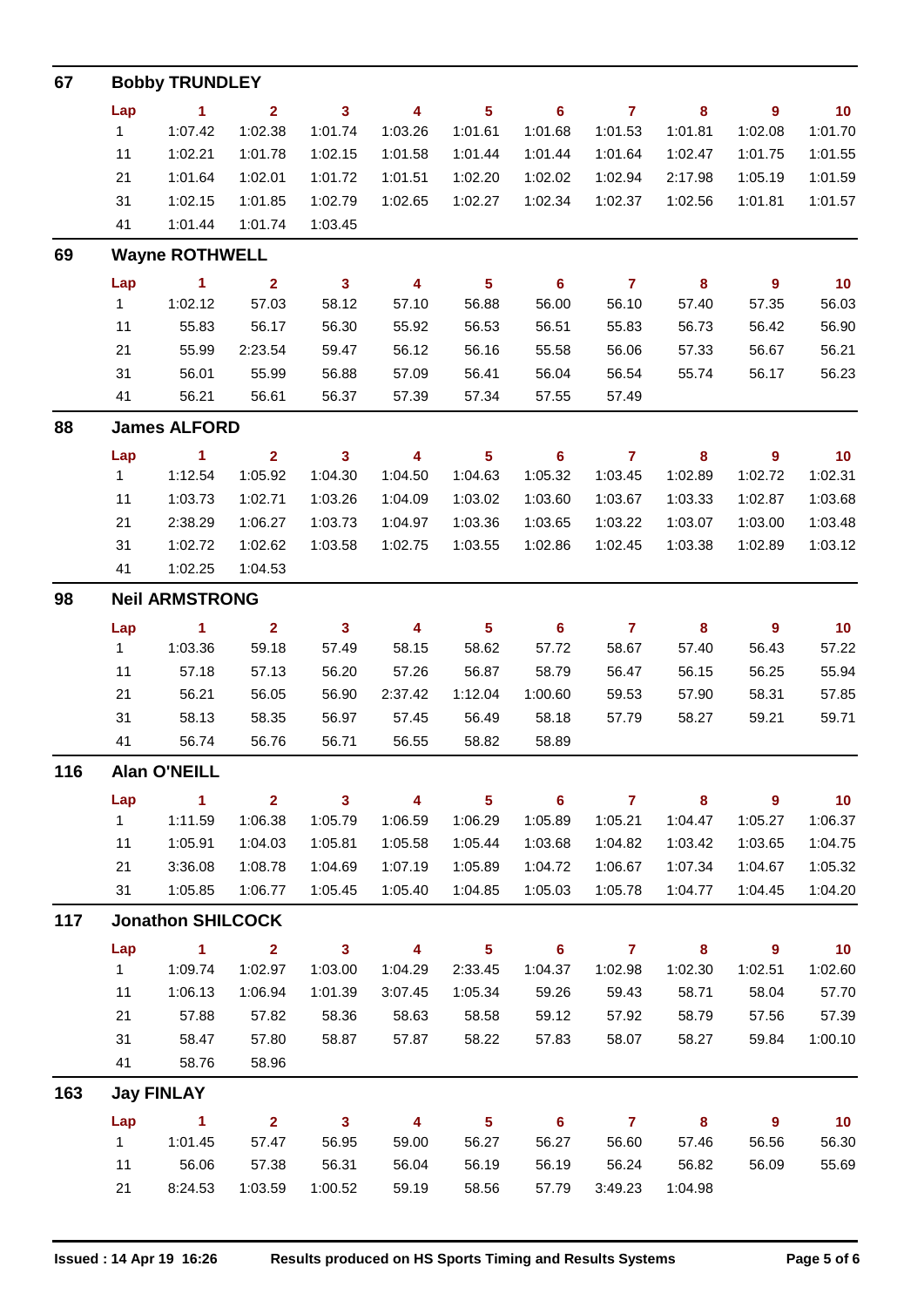| 67  |                       | <b>Bobby TRUNDLEY</b>    |                |                         |                         |                         |                |                         |         |                  |         |  |  |  |
|-----|-----------------------|--------------------------|----------------|-------------------------|-------------------------|-------------------------|----------------|-------------------------|---------|------------------|---------|--|--|--|
|     | Lap                   | 1                        | $\overline{2}$ | 3                       | 4                       | $\overline{\mathbf{5}}$ | 6              | $\overline{7}$          | 8       | 9                | 10      |  |  |  |
|     | $\mathbf{1}$          | 1:07.42                  | 1:02.38        | 1:01.74                 | 1:03.26                 | 1:01.61                 | 1:01.68        | 1:01.53                 | 1:01.81 | 1:02.08          | 1:01.70 |  |  |  |
|     | 11                    | 1:02.21                  | 1:01.78        | 1:02.15                 | 1:01.58                 | 1:01.44                 | 1:01.44        | 1:01.64                 | 1:02.47 | 1:01.75          | 1:01.55 |  |  |  |
|     | 21                    | 1:01.64                  | 1:02.01        | 1:01.72                 | 1:01.51                 | 1:02.20                 | 1:02.02        | 1:02.94                 | 2:17.98 | 1:05.19          | 1:01.59 |  |  |  |
|     | 31                    | 1:02.15                  | 1:01.85        | 1:02.79                 | 1:02.65                 | 1:02.27                 | 1:02.34        | 1:02.37                 | 1:02.56 | 1:01.81          | 1:01.57 |  |  |  |
|     | 41                    | 1:01.44                  | 1:01.74        | 1:03.45                 |                         |                         |                |                         |         |                  |         |  |  |  |
| 69  |                       | <b>Wayne ROTHWELL</b>    |                |                         |                         |                         |                |                         |         |                  |         |  |  |  |
|     | Lap                   | $\blacktriangleleft$     | $\overline{2}$ | $\mathbf{3}$            | 4                       | $5\phantom{a}$          | $6\phantom{a}$ | $\mathbf{7}$            | 8       | $\overline{9}$   | 10      |  |  |  |
|     | $\mathbf{1}$          | 1:02.12                  | 57.03          | 58.12                   | 57.10                   | 56.88                   | 56.00          | 56.10                   | 57.40   | 57.35            | 56.03   |  |  |  |
|     | 11                    | 55.83                    | 56.17          | 56.30                   | 55.92                   | 56.53                   | 56.51          | 55.83                   | 56.73   | 56.42            | 56.90   |  |  |  |
|     | 21                    | 55.99                    | 2:23.54        | 59.47                   | 56.12                   | 56.16                   | 55.58          | 56.06                   | 57.33   | 56.67            | 56.21   |  |  |  |
|     | 31                    | 56.01                    | 55.99          | 56.88                   | 57.09                   | 56.41                   | 56.04          | 56.54                   | 55.74   | 56.17            | 56.23   |  |  |  |
|     | 41                    | 56.21                    | 56.61          | 56.37                   | 57.39                   | 57.34                   | 57.55          | 57.49                   |         |                  |         |  |  |  |
| 88  |                       | <b>James ALFORD</b>      |                |                         |                         |                         |                |                         |         |                  |         |  |  |  |
|     | Lap                   | 1                        | $\mathbf{2}$   | $\mathbf{3}$            | 4                       | 5                       | 6              | $\mathbf{7}$            | 8       | 9                | 10      |  |  |  |
|     | $\mathbf{1}$          | 1:12.54                  | 1:05.92        | 1:04.30                 | 1:04.50                 | 1:04.63                 | 1:05.32        | 1:03.45                 | 1:02.89 | 1:02.72          | 1:02.31 |  |  |  |
|     | 11                    | 1:03.73                  | 1:02.71        | 1:03.26                 | 1:04.09                 | 1:03.02                 | 1:03.60        | 1:03.67                 | 1:03.33 | 1:02.87          | 1:03.68 |  |  |  |
|     | 21                    | 2:38.29                  | 1:06.27        | 1:03.73                 | 1:04.97                 | 1:03.36                 | 1:03.65        | 1:03.22                 | 1:03.07 | 1:03.00          | 1:03.48 |  |  |  |
|     | 31                    | 1:02.72                  | 1:02.62        | 1:03.58                 | 1:02.75                 | 1:03.55                 | 1:02.86        | 1:02.45                 | 1:03.38 | 1:02.89          | 1:03.12 |  |  |  |
|     | 41                    | 1:02.25                  | 1:04.53        |                         |                         |                         |                |                         |         |                  |         |  |  |  |
| 98  | <b>Neil ARMSTRONG</b> |                          |                |                         |                         |                         |                |                         |         |                  |         |  |  |  |
|     | Lap                   | 1                        | $\overline{2}$ | $\mathbf{3}$            | 4                       | $\overline{\mathbf{5}}$ | 6              | $\overline{7}$          | 8       | $\boldsymbol{9}$ | 10      |  |  |  |
|     | 1                     | 1:03.36                  | 59.18          | 57.49                   | 58.15                   | 58.62                   | 57.72          | 58.67                   | 57.40   | 56.43            | 57.22   |  |  |  |
|     | 11                    | 57.18                    | 57.13          | 56.20                   | 57.26                   | 56.87                   | 58.79          | 56.47                   | 56.15   | 56.25            | 55.94   |  |  |  |
|     | 21                    | 56.21                    | 56.05          | 56.90                   | 2:37.42                 | 1:12.04                 | 1:00.60        | 59.53                   | 57.90   | 58.31            | 57.85   |  |  |  |
|     | 31                    | 58.13                    | 58.35          | 56.97                   | 57.45                   | 56.49                   | 58.18          | 57.79                   | 58.27   | 59.21            | 59.71   |  |  |  |
|     | 41                    | 56.74                    | 56.76          | 56.71                   | 56.55                   | 58.82                   | 58.89          |                         |         |                  |         |  |  |  |
| 116 | <b>Alan O'NEILL</b>   |                          |                |                         |                         |                         |                |                         |         |                  |         |  |  |  |
|     | Lap                   | $\blacktriangleleft$     | $\overline{2}$ | $\mathbf{3}$            | $\overline{\mathbf{4}}$ | $5\phantom{.0}$         | 6              | $\overline{7}$          | 8       | $\boldsymbol{9}$ | 10      |  |  |  |
|     | 1                     | 1:11.59                  | 1:06.38        | 1:05.79                 | 1:06.59                 | 1:06.29                 | 1:05.89        | 1:05.21                 | 1:04.47 | 1:05.27          | 1:06.37 |  |  |  |
|     | 11                    | 1:05.91                  | 1:04.03        | 1:05.81                 | 1:05.58                 | 1:05.44                 | 1:03.68        | 1:04.82                 | 1:03.42 | 1:03.65          | 1:04.75 |  |  |  |
|     | 21                    | 3:36.08                  | 1:08.78        | 1:04.69                 | 1:07.19                 | 1:05.89                 | 1:04.72        | 1:06.67                 | 1:07.34 | 1:04.67          | 1:05.32 |  |  |  |
|     | 31                    | 1:05.85                  | 1:06.77        | 1:05.45                 | 1:05.40                 | 1:04.85                 | 1:05.03        | 1:05.78                 | 1:04.77 | 1:04.45          | 1:04.20 |  |  |  |
| 117 |                       | <b>Jonathon SHILCOCK</b> |                |                         |                         |                         |                |                         |         |                  |         |  |  |  |
|     | Lap                   | 1.                       | $\overline{2}$ | $\mathbf{3}$            | 4                       | $5\phantom{a}$          | 6              | $\mathbf{7}$            | 8       | $\overline{9}$   | 10      |  |  |  |
|     | 1                     | 1:09.74                  | 1:02.97        | 1:03.00                 | 1:04.29                 | 2:33.45                 | 1:04.37        | 1:02.98                 | 1:02.30 | 1:02.51          | 1:02.60 |  |  |  |
|     | 11                    | 1:06.13                  | 1:06.94        | 1:01.39                 | 3:07.45                 | 1:05.34                 | 59.26          | 59.43                   | 58.71   | 58.04            | 57.70   |  |  |  |
|     | 21                    | 57.88                    | 57.82          | 58.36                   | 58.63                   | 58.58                   | 59.12          | 57.92                   | 58.79   | 57.56            | 57.39   |  |  |  |
|     | 31                    | 58.47                    | 57.80          | 58.87                   | 57.87                   | 58.22                   | 57.83          | 58.07                   | 58.27   | 59.84            | 1:00.10 |  |  |  |
|     | 41                    | 58.76                    | 58.96          |                         |                         |                         |                |                         |         |                  |         |  |  |  |
| 163 |                       | <b>Jay FINLAY</b>        |                |                         |                         |                         |                |                         |         |                  |         |  |  |  |
|     | Lap                   | $\sim$ 1                 | $\overline{2}$ | $\overline{\mathbf{3}}$ | 4                       | 5 <sub>5</sub>          | $6^{\circ}$    | $\overline{\mathbf{7}}$ | 8       | 9                | 10      |  |  |  |
|     | $1 \quad$             | 1:01.45                  | 57.47          | 56.95                   | 59.00                   | 56.27                   | 56.27          | 56.60                   | 57.46   | 56.56            | 56.30   |  |  |  |
|     | 11                    | 56.06                    | 57.38          | 56.31                   | 56.04                   | 56.19                   | 56.19          | 56.24                   | 56.82   | 56.09            | 55.69   |  |  |  |
|     | 21                    | 8:24.53                  | 1:03.59        | 1:00.52                 | 59.19                   | 58.56                   | 57.79          | 3:49.23                 | 1:04.98 |                  |         |  |  |  |